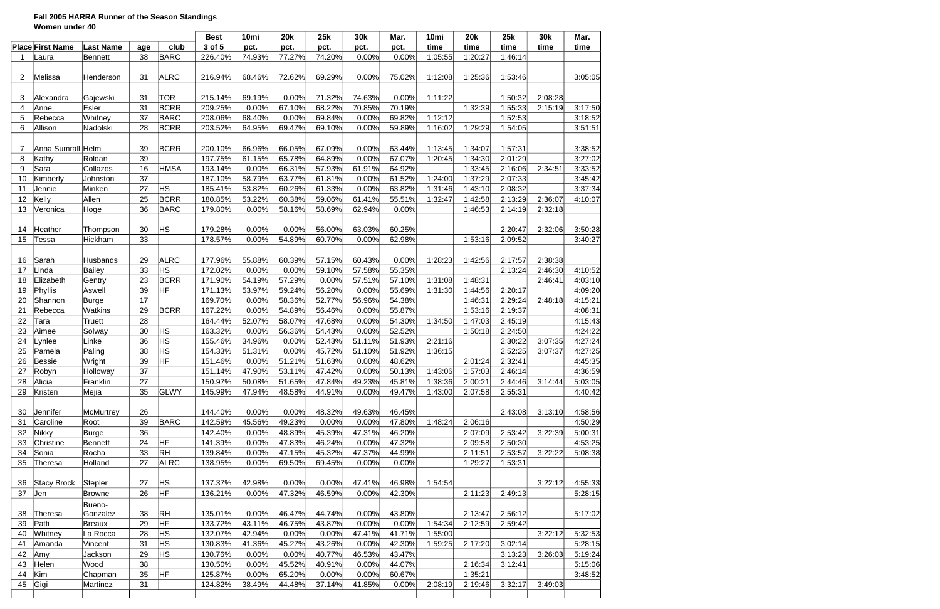### **Fall 2005 HARRA Runner of the Season Standings Women under 40**

| 3 of 5<br><b>Place First Name</b><br><b>Last Name</b><br>club<br>pct.<br>pct.<br>time<br>time<br>time<br>pct.<br>pct.<br>pct.<br>time<br>time<br>age<br><b>BARC</b><br>38<br>77.27%<br>74.20%<br>0.00%<br>1:05:55<br><b>Bennett</b><br>226.40%<br>74.93%<br>0.00%<br>1:20:27<br>1:46:14<br>Laura<br>-1<br>$\overline{2}$<br>31<br><b>ALRC</b><br>68.46%<br>72.62%<br>69.29%<br>0.00%<br>75.02%<br>1:12:08<br>1:25:36<br>1:53:46<br>Melissa<br>216.94%<br>Henderson<br><b>TOR</b><br>69.19%<br>0.00%<br>71.32%<br>74.63%<br>0.00%<br>1:11:22<br>1:50:32<br>2:08:28<br>3<br>Gajewski<br>31<br>215.14%<br>Alexandra<br>Esler<br>31<br><b>BCRR</b><br>1:32:39<br>67.10%<br>70.19%<br>1:55:33<br>4<br>Anne<br>209.25%<br>0.00%<br>68.22%<br>70.85%<br>2:15:19<br>37<br><b>BARC</b><br>68.40%<br>69.84%<br>69.82%<br>1:12:12<br>Whitney<br>0.00%<br>0.00%<br>1:52:53<br>5<br>Rebecca<br>208.06%<br>6<br><b>BCRR</b><br>Allison<br>28<br>64.95%<br>69.47%<br>69.10%<br>0.00%<br>59.89%<br>1:16:02<br>1:29:29<br>1:54:05<br>Nadolski<br>203.52%<br>Anna Sumrall Helm<br>39<br><b>BCRR</b><br>200.10%<br>66.96%<br>66.05%<br>67.09%<br>0.00%<br>63.44%<br>1:13:45<br>1:57:31<br>7<br>1:34:07<br>39<br>65.78%<br>67.07%<br>8<br>Kathy<br>Roldan<br>197.75%<br>61.15%<br>64.89%<br>0.00%<br>1:20:45<br>1:34:30<br>2:01:29<br>16<br><b>HMSA</b><br>0.00%<br>66.31%<br>57.93%<br>64.92%<br>2:16:06<br>Sara<br>Collazos<br>193.14%<br>61.91%<br>1:33:45<br>2:34:51<br>9<br>37<br>63.77%<br>1:24:00<br>Kimberly<br>187.10%<br>58.79%<br>61.81%<br>0.00%<br>61.52%<br>1:37:29<br>2:07:33<br>10<br>Johnston<br>27<br>ΗS<br>53.82%<br>63.82%<br>185.41%<br>60.26%<br>61.33%<br>0.00%<br>1:31:46<br>1:43:10<br>2:08:32<br>11<br>Minken<br>Jennie<br>25<br>55.51%<br>2:36:07<br>Kelly<br><b>BCRR</b><br>53.22%<br>60.38%<br>59.06%<br>2:13:29<br>12<br>Allen<br>180.85%<br>61.41%<br>1:32:47<br>1:42:58<br>36<br><b>BARC</b><br>0.00%<br>58.16%<br>0.00%<br>2:14:19<br>2:32:18<br>13<br>Veronica<br>Hoge<br>179.80%<br>58.69%<br>62.94%<br>1:46:53<br>ΗS<br>30<br>0.00%<br>0.00%<br>56.00%<br>63.03%<br>60.25%<br>2:20:47<br>2:32:06<br>Heather<br>179.28%<br>14<br>Thompson<br>33<br>0.00%<br>Hickham<br>178.57%<br>54.89%<br>60.70%<br>0.00%<br>62.98%<br>1:53:16<br>2:09:52<br>15<br>Tessa<br>29<br><b>ALRC</b><br>55.88%<br>60.39%<br>0.00%<br>1:28:23<br>2:38:38<br>Sarah<br>Husbands<br>177.96%<br>57.15%<br>60.43%<br>1:42:56<br>2:17:57<br>16<br>33<br><b>HS</b><br>0.00%<br>55.35%<br>0.00%<br>57.58%<br>2:46:30<br>Linda<br>Bailey<br>172.02%<br>59.10%<br>2:13:24<br>17<br>23<br><b>BCRR</b><br>1:31:08<br>1:48:31<br>Elizabeth<br>171.90%<br>54.19%<br>57.29%<br>0.00%<br>57.51%<br>57.10%<br>2:46:41<br>18<br>Gentry<br>39<br>HF<br>171.13%<br>53.97%<br>59.24%<br>56.20%<br>0.00%<br>55.69%<br>1:31:30<br>2:20:17<br>19<br>Phyllis<br>Aswell<br>1:44:56<br>17<br>0.00%<br>58.36%<br>52.77%<br>56.96%<br>54.38%<br>2:29:24<br>2:48:18<br>20<br>Shannon<br>169.70%<br>1:46:31<br>Burge<br><b>BCRR</b><br>29<br>0.00%<br>54.89%<br>55.87%<br>1:53:16<br>2:19:37<br>21<br>Rebecca<br>Watkins<br>167.22%<br>56.46%<br>0.00%<br>28<br>54.30%<br>22<br>52.07%<br>58.07%<br>47.68%<br>2:45:19<br>164.44%<br>0.00%<br>1:34:50<br>1:47:03<br>Tara<br>Truett<br>30<br>HS<br>23<br>56.36%<br>52.52%<br>Aimee<br>163.32%<br>0.00%<br>54.43%<br>0.00%<br>2:24:50<br>Solway<br>1:50:18<br>HS<br>36<br>24<br>34.96%<br>51.11%<br>51.93%<br>2:21:16<br>2:30:22<br>3:07:35<br>Linke<br>155.46%<br>0.00%<br>52.43%<br>Lynlee<br>Paling<br>38<br><b>HS</b><br>25<br>51.31%<br>0.00%<br>45.72%<br>51.92%<br>1:36:15<br>2:52:25<br>Pamela<br>154.33%<br>51.10%<br>3:07:37<br>HF<br>39<br>51.21%<br>51.63%<br>48.62%<br>2:01:24<br>2:32:41<br>26<br>Wright<br>151.46%<br>0.00%<br>0.00%<br><b>Bessie</b><br>37<br>27<br>47.90%<br>47.42%<br>0.00%<br>50.13%<br>1:43:06<br>Robyn<br>Holloway<br>151.14%<br>53.11%<br>1:57:03<br>2:46:14<br>Alicia<br>150.97%<br>50.08%<br>51.65%<br>49.23%<br>45.81%<br>Franklin<br>47.84%<br>1:38:36<br>2:00:21<br>2:44:46<br>3:14:44<br>28<br>27<br>GLWY<br>Kristen<br>35<br>145.99%<br>47.94%<br>48.58%<br>44.91%<br>0.00%<br>49.47%<br>1:43:00<br>2:07:58<br>29<br>Mejia<br>2:55:31<br>26<br>48.32%<br>Jennifer<br>McMurtrey<br>144.40%<br>0.00%<br>0.00%<br>49.63%<br>46.45%<br>2:43:08<br>3:13:10<br>30<br><b>BARC</b><br>39<br>45.56%<br>49.23%<br>0.00%<br>47.80%<br>1:48:24<br>2:06:16<br>Caroline<br>Root<br>142.59%<br>0.00%<br>31<br>36<br>46.20%<br>2:53:42<br>32<br>Nikky<br>142.40%<br>0.00%<br>48.89%<br>45.39%<br>47.31%<br>3:22:39<br><b>Burge</b><br>2:07:09<br>HF<br>24<br>0.00%<br>47.83%<br>47.32%<br>33<br>Christine<br>141.39%<br>46.24%<br>0.00%<br>2:09:58<br>2:50:30<br><b>Bennett</b><br><b>RH</b><br>34<br>Sonia<br>Rocha<br>33<br>0.00%<br>47.15%<br>44.99%<br>2:11:51<br>2:53:57<br>139.84%<br>45.32%<br>47.37%<br>3:22:22<br><b>ALRC</b><br>Holland<br>27<br>138.95%<br>0.00%<br>69.50%<br>69.45%<br>0.00%<br>0.00%<br>1:29:27<br>1:53:31<br>35<br>Theresa<br>HS<br>Stepler<br>27<br>137.37%<br>42.98%<br>0.00%<br>0.00%<br>47.41%<br>46.98%<br>1:54:54<br>3:22:12<br>36<br>Stacy Brock<br>HF<br>37<br>0.00%<br>47.32%<br>46.59%<br>42.30%<br>2:11:23<br>2:49:13<br>Jen<br>26<br>136.21%<br>0.00%<br>Browne<br>Bueno-<br><b>RH</b><br>Gonzalez<br>38<br>135.01%<br>0.00%<br>46.47%<br>44.74%<br>0.00%<br>43.80%<br>2:13:47<br>2:56:12<br>38<br>Theresa<br>HF<br>29<br>43.11%<br>0.00%<br>Patti<br>133.72%<br>46.75%<br>43.87%<br>0.00%<br>1:54:34<br>2:12:59<br>2:59:42<br>39<br><b>Breaux</b><br>HS<br>41.71%<br>Whitney<br>28<br>132.07%<br>42.94%<br>0.00%<br>0.00%<br>47.41%<br>1:55:00<br>3:22:12<br>40<br>La Rocca<br>ΗS<br>31<br>130.83%<br>41.36%<br>45.27%<br>43.26%<br>0.00%<br>42.30%<br>2:17:20<br>3:02:14<br>41<br>Amanda<br>Vincent<br>1:59:25<br>29<br>ΗS<br>43.47%<br>42<br>Amy<br>Jackson<br>130.76%<br>0.00%<br>0.00%<br>40.77%<br>46.53%<br>3:13:23<br>3:26:03<br>Helen<br>Wood<br>45.52%<br>44.07%<br>2:16:34<br>43<br>38<br>130.50%<br>0.00%<br>40.91%<br>0.00%<br>3:12:41<br>35<br>HF<br>0.00%<br>65.20%<br>60.67%<br>1:35:21<br>44<br>Kim<br>125.87%<br>0.00%<br>0.00%<br>Chapman<br>Gigi<br>31<br>3:32:17<br>124.82%<br>38.49%<br>44.48%<br>41.85%<br>0.00%<br>2:08:19<br>2:19:46<br>3:49:03<br>45<br>Martinez<br>37.14% |  |  | <b>Best</b> | 10mi | <b>20k</b> | 25k | 30k | Mar. | 10mi | <b>20k</b> | 25k | <b>30k</b> | Mar.    |
|------------------------------------------------------------------------------------------------------------------------------------------------------------------------------------------------------------------------------------------------------------------------------------------------------------------------------------------------------------------------------------------------------------------------------------------------------------------------------------------------------------------------------------------------------------------------------------------------------------------------------------------------------------------------------------------------------------------------------------------------------------------------------------------------------------------------------------------------------------------------------------------------------------------------------------------------------------------------------------------------------------------------------------------------------------------------------------------------------------------------------------------------------------------------------------------------------------------------------------------------------------------------------------------------------------------------------------------------------------------------------------------------------------------------------------------------------------------------------------------------------------------------------------------------------------------------------------------------------------------------------------------------------------------------------------------------------------------------------------------------------------------------------------------------------------------------------------------------------------------------------------------------------------------------------------------------------------------------------------------------------------------------------------------------------------------------------------------------------------------------------------------------------------------------------------------------------------------------------------------------------------------------------------------------------------------------------------------------------------------------------------------------------------------------------------------------------------------------------------------------------------------------------------------------------------------------------------------------------------------------------------------------------------------------------------------------------------------------------------------------------------------------------------------------------------------------------------------------------------------------------------------------------------------------------------------------------------------------------------------------------------------------------------------------------------------------------------------------------------------------------------------------------------------------------------------------------------------------------------------------------------------------------------------------------------------------------------------------------------------------------------------------------------------------------------------------------------------------------------------------------------------------------------------------------------------------------------------------------------------------------------------------------------------------------------------------------------------------------------------------------------------------------------------------------------------------------------------------------------------------------------------------------------------------------------------------------------------------------------------------------------------------------------------------------------------------------------------------------------------------------------------------------------------------------------------------------------------------------------------------------------------------------------------------------------------------------------------------------------------------------------------------------------------------------------------------------------------------------------------------------------------------------------------------------------------------------------------------------------------------------------------------------------------------------------------------------------------------------------------------------------------------------------------------------------------------------------------------------------------------------------------------------------------------------------------------------------------------------------------------------------------------------------------------------------------------------------------------------------------------------------------------------------------------------------------------------------------------------------------------------------------------------------------------------------------------------------------------------------------------------------------------------------------------------------------------------------------------------------------------------------------------------------------------------------------------------------------------------------------------------------------------------------------------------------------------------------------------------------------------------------------------------------------------------------------------------------------------------------------------------------------------------------------------------------------------------------------------------------------------------------------------------------------------------------------------------------------------------------------------------------------------------------------------------------------------------------------------------------------------------------------------------------|--|--|-------------|------|------------|-----|-----|------|------|------------|-----|------------|---------|
|                                                                                                                                                                                                                                                                                                                                                                                                                                                                                                                                                                                                                                                                                                                                                                                                                                                                                                                                                                                                                                                                                                                                                                                                                                                                                                                                                                                                                                                                                                                                                                                                                                                                                                                                                                                                                                                                                                                                                                                                                                                                                                                                                                                                                                                                                                                                                                                                                                                                                                                                                                                                                                                                                                                                                                                                                                                                                                                                                                                                                                                                                                                                                                                                                                                                                                                                                                                                                                                                                                                                                                                                                                                                                                                                                                                                                                                                                                                                                                                                                                                                                                                                                                                                                                                                                                                                                                                                                                                                                                                                                                                                                                                                                                                                                                                                                                                                                                                                                                                                                                                                                                                                                                                                                                                                                                                                                                                                                                                                                                                                                                                                                                                                                                                                                                                                                                                                                                                                                                                                                                                                                                                                                                                                                                                                                    |  |  |             |      |            |     |     |      |      |            |     |            |         |
|                                                                                                                                                                                                                                                                                                                                                                                                                                                                                                                                                                                                                                                                                                                                                                                                                                                                                                                                                                                                                                                                                                                                                                                                                                                                                                                                                                                                                                                                                                                                                                                                                                                                                                                                                                                                                                                                                                                                                                                                                                                                                                                                                                                                                                                                                                                                                                                                                                                                                                                                                                                                                                                                                                                                                                                                                                                                                                                                                                                                                                                                                                                                                                                                                                                                                                                                                                                                                                                                                                                                                                                                                                                                                                                                                                                                                                                                                                                                                                                                                                                                                                                                                                                                                                                                                                                                                                                                                                                                                                                                                                                                                                                                                                                                                                                                                                                                                                                                                                                                                                                                                                                                                                                                                                                                                                                                                                                                                                                                                                                                                                                                                                                                                                                                                                                                                                                                                                                                                                                                                                                                                                                                                                                                                                                                                    |  |  |             |      |            |     |     |      |      |            |     |            |         |
|                                                                                                                                                                                                                                                                                                                                                                                                                                                                                                                                                                                                                                                                                                                                                                                                                                                                                                                                                                                                                                                                                                                                                                                                                                                                                                                                                                                                                                                                                                                                                                                                                                                                                                                                                                                                                                                                                                                                                                                                                                                                                                                                                                                                                                                                                                                                                                                                                                                                                                                                                                                                                                                                                                                                                                                                                                                                                                                                                                                                                                                                                                                                                                                                                                                                                                                                                                                                                                                                                                                                                                                                                                                                                                                                                                                                                                                                                                                                                                                                                                                                                                                                                                                                                                                                                                                                                                                                                                                                                                                                                                                                                                                                                                                                                                                                                                                                                                                                                                                                                                                                                                                                                                                                                                                                                                                                                                                                                                                                                                                                                                                                                                                                                                                                                                                                                                                                                                                                                                                                                                                                                                                                                                                                                                                                                    |  |  |             |      |            |     |     |      |      |            |     |            |         |
|                                                                                                                                                                                                                                                                                                                                                                                                                                                                                                                                                                                                                                                                                                                                                                                                                                                                                                                                                                                                                                                                                                                                                                                                                                                                                                                                                                                                                                                                                                                                                                                                                                                                                                                                                                                                                                                                                                                                                                                                                                                                                                                                                                                                                                                                                                                                                                                                                                                                                                                                                                                                                                                                                                                                                                                                                                                                                                                                                                                                                                                                                                                                                                                                                                                                                                                                                                                                                                                                                                                                                                                                                                                                                                                                                                                                                                                                                                                                                                                                                                                                                                                                                                                                                                                                                                                                                                                                                                                                                                                                                                                                                                                                                                                                                                                                                                                                                                                                                                                                                                                                                                                                                                                                                                                                                                                                                                                                                                                                                                                                                                                                                                                                                                                                                                                                                                                                                                                                                                                                                                                                                                                                                                                                                                                                                    |  |  |             |      |            |     |     |      |      |            |     |            | 3:05:05 |
|                                                                                                                                                                                                                                                                                                                                                                                                                                                                                                                                                                                                                                                                                                                                                                                                                                                                                                                                                                                                                                                                                                                                                                                                                                                                                                                                                                                                                                                                                                                                                                                                                                                                                                                                                                                                                                                                                                                                                                                                                                                                                                                                                                                                                                                                                                                                                                                                                                                                                                                                                                                                                                                                                                                                                                                                                                                                                                                                                                                                                                                                                                                                                                                                                                                                                                                                                                                                                                                                                                                                                                                                                                                                                                                                                                                                                                                                                                                                                                                                                                                                                                                                                                                                                                                                                                                                                                                                                                                                                                                                                                                                                                                                                                                                                                                                                                                                                                                                                                                                                                                                                                                                                                                                                                                                                                                                                                                                                                                                                                                                                                                                                                                                                                                                                                                                                                                                                                                                                                                                                                                                                                                                                                                                                                                                                    |  |  |             |      |            |     |     |      |      |            |     |            |         |
|                                                                                                                                                                                                                                                                                                                                                                                                                                                                                                                                                                                                                                                                                                                                                                                                                                                                                                                                                                                                                                                                                                                                                                                                                                                                                                                                                                                                                                                                                                                                                                                                                                                                                                                                                                                                                                                                                                                                                                                                                                                                                                                                                                                                                                                                                                                                                                                                                                                                                                                                                                                                                                                                                                                                                                                                                                                                                                                                                                                                                                                                                                                                                                                                                                                                                                                                                                                                                                                                                                                                                                                                                                                                                                                                                                                                                                                                                                                                                                                                                                                                                                                                                                                                                                                                                                                                                                                                                                                                                                                                                                                                                                                                                                                                                                                                                                                                                                                                                                                                                                                                                                                                                                                                                                                                                                                                                                                                                                                                                                                                                                                                                                                                                                                                                                                                                                                                                                                                                                                                                                                                                                                                                                                                                                                                                    |  |  |             |      |            |     |     |      |      |            |     |            |         |
|                                                                                                                                                                                                                                                                                                                                                                                                                                                                                                                                                                                                                                                                                                                                                                                                                                                                                                                                                                                                                                                                                                                                                                                                                                                                                                                                                                                                                                                                                                                                                                                                                                                                                                                                                                                                                                                                                                                                                                                                                                                                                                                                                                                                                                                                                                                                                                                                                                                                                                                                                                                                                                                                                                                                                                                                                                                                                                                                                                                                                                                                                                                                                                                                                                                                                                                                                                                                                                                                                                                                                                                                                                                                                                                                                                                                                                                                                                                                                                                                                                                                                                                                                                                                                                                                                                                                                                                                                                                                                                                                                                                                                                                                                                                                                                                                                                                                                                                                                                                                                                                                                                                                                                                                                                                                                                                                                                                                                                                                                                                                                                                                                                                                                                                                                                                                                                                                                                                                                                                                                                                                                                                                                                                                                                                                                    |  |  |             |      |            |     |     |      |      |            |     |            | 3:17:50 |
|                                                                                                                                                                                                                                                                                                                                                                                                                                                                                                                                                                                                                                                                                                                                                                                                                                                                                                                                                                                                                                                                                                                                                                                                                                                                                                                                                                                                                                                                                                                                                                                                                                                                                                                                                                                                                                                                                                                                                                                                                                                                                                                                                                                                                                                                                                                                                                                                                                                                                                                                                                                                                                                                                                                                                                                                                                                                                                                                                                                                                                                                                                                                                                                                                                                                                                                                                                                                                                                                                                                                                                                                                                                                                                                                                                                                                                                                                                                                                                                                                                                                                                                                                                                                                                                                                                                                                                                                                                                                                                                                                                                                                                                                                                                                                                                                                                                                                                                                                                                                                                                                                                                                                                                                                                                                                                                                                                                                                                                                                                                                                                                                                                                                                                                                                                                                                                                                                                                                                                                                                                                                                                                                                                                                                                                                                    |  |  |             |      |            |     |     |      |      |            |     |            | 3:18:52 |
|                                                                                                                                                                                                                                                                                                                                                                                                                                                                                                                                                                                                                                                                                                                                                                                                                                                                                                                                                                                                                                                                                                                                                                                                                                                                                                                                                                                                                                                                                                                                                                                                                                                                                                                                                                                                                                                                                                                                                                                                                                                                                                                                                                                                                                                                                                                                                                                                                                                                                                                                                                                                                                                                                                                                                                                                                                                                                                                                                                                                                                                                                                                                                                                                                                                                                                                                                                                                                                                                                                                                                                                                                                                                                                                                                                                                                                                                                                                                                                                                                                                                                                                                                                                                                                                                                                                                                                                                                                                                                                                                                                                                                                                                                                                                                                                                                                                                                                                                                                                                                                                                                                                                                                                                                                                                                                                                                                                                                                                                                                                                                                                                                                                                                                                                                                                                                                                                                                                                                                                                                                                                                                                                                                                                                                                                                    |  |  |             |      |            |     |     |      |      |            |     |            | 3:51:51 |
|                                                                                                                                                                                                                                                                                                                                                                                                                                                                                                                                                                                                                                                                                                                                                                                                                                                                                                                                                                                                                                                                                                                                                                                                                                                                                                                                                                                                                                                                                                                                                                                                                                                                                                                                                                                                                                                                                                                                                                                                                                                                                                                                                                                                                                                                                                                                                                                                                                                                                                                                                                                                                                                                                                                                                                                                                                                                                                                                                                                                                                                                                                                                                                                                                                                                                                                                                                                                                                                                                                                                                                                                                                                                                                                                                                                                                                                                                                                                                                                                                                                                                                                                                                                                                                                                                                                                                                                                                                                                                                                                                                                                                                                                                                                                                                                                                                                                                                                                                                                                                                                                                                                                                                                                                                                                                                                                                                                                                                                                                                                                                                                                                                                                                                                                                                                                                                                                                                                                                                                                                                                                                                                                                                                                                                                                                    |  |  |             |      |            |     |     |      |      |            |     |            |         |
|                                                                                                                                                                                                                                                                                                                                                                                                                                                                                                                                                                                                                                                                                                                                                                                                                                                                                                                                                                                                                                                                                                                                                                                                                                                                                                                                                                                                                                                                                                                                                                                                                                                                                                                                                                                                                                                                                                                                                                                                                                                                                                                                                                                                                                                                                                                                                                                                                                                                                                                                                                                                                                                                                                                                                                                                                                                                                                                                                                                                                                                                                                                                                                                                                                                                                                                                                                                                                                                                                                                                                                                                                                                                                                                                                                                                                                                                                                                                                                                                                                                                                                                                                                                                                                                                                                                                                                                                                                                                                                                                                                                                                                                                                                                                                                                                                                                                                                                                                                                                                                                                                                                                                                                                                                                                                                                                                                                                                                                                                                                                                                                                                                                                                                                                                                                                                                                                                                                                                                                                                                                                                                                                                                                                                                                                                    |  |  |             |      |            |     |     |      |      |            |     |            | 3:38:52 |
|                                                                                                                                                                                                                                                                                                                                                                                                                                                                                                                                                                                                                                                                                                                                                                                                                                                                                                                                                                                                                                                                                                                                                                                                                                                                                                                                                                                                                                                                                                                                                                                                                                                                                                                                                                                                                                                                                                                                                                                                                                                                                                                                                                                                                                                                                                                                                                                                                                                                                                                                                                                                                                                                                                                                                                                                                                                                                                                                                                                                                                                                                                                                                                                                                                                                                                                                                                                                                                                                                                                                                                                                                                                                                                                                                                                                                                                                                                                                                                                                                                                                                                                                                                                                                                                                                                                                                                                                                                                                                                                                                                                                                                                                                                                                                                                                                                                                                                                                                                                                                                                                                                                                                                                                                                                                                                                                                                                                                                                                                                                                                                                                                                                                                                                                                                                                                                                                                                                                                                                                                                                                                                                                                                                                                                                                                    |  |  |             |      |            |     |     |      |      |            |     |            | 3:27:02 |
|                                                                                                                                                                                                                                                                                                                                                                                                                                                                                                                                                                                                                                                                                                                                                                                                                                                                                                                                                                                                                                                                                                                                                                                                                                                                                                                                                                                                                                                                                                                                                                                                                                                                                                                                                                                                                                                                                                                                                                                                                                                                                                                                                                                                                                                                                                                                                                                                                                                                                                                                                                                                                                                                                                                                                                                                                                                                                                                                                                                                                                                                                                                                                                                                                                                                                                                                                                                                                                                                                                                                                                                                                                                                                                                                                                                                                                                                                                                                                                                                                                                                                                                                                                                                                                                                                                                                                                                                                                                                                                                                                                                                                                                                                                                                                                                                                                                                                                                                                                                                                                                                                                                                                                                                                                                                                                                                                                                                                                                                                                                                                                                                                                                                                                                                                                                                                                                                                                                                                                                                                                                                                                                                                                                                                                                                                    |  |  |             |      |            |     |     |      |      |            |     |            | 3:33:52 |
|                                                                                                                                                                                                                                                                                                                                                                                                                                                                                                                                                                                                                                                                                                                                                                                                                                                                                                                                                                                                                                                                                                                                                                                                                                                                                                                                                                                                                                                                                                                                                                                                                                                                                                                                                                                                                                                                                                                                                                                                                                                                                                                                                                                                                                                                                                                                                                                                                                                                                                                                                                                                                                                                                                                                                                                                                                                                                                                                                                                                                                                                                                                                                                                                                                                                                                                                                                                                                                                                                                                                                                                                                                                                                                                                                                                                                                                                                                                                                                                                                                                                                                                                                                                                                                                                                                                                                                                                                                                                                                                                                                                                                                                                                                                                                                                                                                                                                                                                                                                                                                                                                                                                                                                                                                                                                                                                                                                                                                                                                                                                                                                                                                                                                                                                                                                                                                                                                                                                                                                                                                                                                                                                                                                                                                                                                    |  |  |             |      |            |     |     |      |      |            |     |            | 3:45:42 |
|                                                                                                                                                                                                                                                                                                                                                                                                                                                                                                                                                                                                                                                                                                                                                                                                                                                                                                                                                                                                                                                                                                                                                                                                                                                                                                                                                                                                                                                                                                                                                                                                                                                                                                                                                                                                                                                                                                                                                                                                                                                                                                                                                                                                                                                                                                                                                                                                                                                                                                                                                                                                                                                                                                                                                                                                                                                                                                                                                                                                                                                                                                                                                                                                                                                                                                                                                                                                                                                                                                                                                                                                                                                                                                                                                                                                                                                                                                                                                                                                                                                                                                                                                                                                                                                                                                                                                                                                                                                                                                                                                                                                                                                                                                                                                                                                                                                                                                                                                                                                                                                                                                                                                                                                                                                                                                                                                                                                                                                                                                                                                                                                                                                                                                                                                                                                                                                                                                                                                                                                                                                                                                                                                                                                                                                                                    |  |  |             |      |            |     |     |      |      |            |     |            | 3:37:34 |
|                                                                                                                                                                                                                                                                                                                                                                                                                                                                                                                                                                                                                                                                                                                                                                                                                                                                                                                                                                                                                                                                                                                                                                                                                                                                                                                                                                                                                                                                                                                                                                                                                                                                                                                                                                                                                                                                                                                                                                                                                                                                                                                                                                                                                                                                                                                                                                                                                                                                                                                                                                                                                                                                                                                                                                                                                                                                                                                                                                                                                                                                                                                                                                                                                                                                                                                                                                                                                                                                                                                                                                                                                                                                                                                                                                                                                                                                                                                                                                                                                                                                                                                                                                                                                                                                                                                                                                                                                                                                                                                                                                                                                                                                                                                                                                                                                                                                                                                                                                                                                                                                                                                                                                                                                                                                                                                                                                                                                                                                                                                                                                                                                                                                                                                                                                                                                                                                                                                                                                                                                                                                                                                                                                                                                                                                                    |  |  |             |      |            |     |     |      |      |            |     |            | 4:10:07 |
|                                                                                                                                                                                                                                                                                                                                                                                                                                                                                                                                                                                                                                                                                                                                                                                                                                                                                                                                                                                                                                                                                                                                                                                                                                                                                                                                                                                                                                                                                                                                                                                                                                                                                                                                                                                                                                                                                                                                                                                                                                                                                                                                                                                                                                                                                                                                                                                                                                                                                                                                                                                                                                                                                                                                                                                                                                                                                                                                                                                                                                                                                                                                                                                                                                                                                                                                                                                                                                                                                                                                                                                                                                                                                                                                                                                                                                                                                                                                                                                                                                                                                                                                                                                                                                                                                                                                                                                                                                                                                                                                                                                                                                                                                                                                                                                                                                                                                                                                                                                                                                                                                                                                                                                                                                                                                                                                                                                                                                                                                                                                                                                                                                                                                                                                                                                                                                                                                                                                                                                                                                                                                                                                                                                                                                                                                    |  |  |             |      |            |     |     |      |      |            |     |            |         |
|                                                                                                                                                                                                                                                                                                                                                                                                                                                                                                                                                                                                                                                                                                                                                                                                                                                                                                                                                                                                                                                                                                                                                                                                                                                                                                                                                                                                                                                                                                                                                                                                                                                                                                                                                                                                                                                                                                                                                                                                                                                                                                                                                                                                                                                                                                                                                                                                                                                                                                                                                                                                                                                                                                                                                                                                                                                                                                                                                                                                                                                                                                                                                                                                                                                                                                                                                                                                                                                                                                                                                                                                                                                                                                                                                                                                                                                                                                                                                                                                                                                                                                                                                                                                                                                                                                                                                                                                                                                                                                                                                                                                                                                                                                                                                                                                                                                                                                                                                                                                                                                                                                                                                                                                                                                                                                                                                                                                                                                                                                                                                                                                                                                                                                                                                                                                                                                                                                                                                                                                                                                                                                                                                                                                                                                                                    |  |  |             |      |            |     |     |      |      |            |     |            |         |
|                                                                                                                                                                                                                                                                                                                                                                                                                                                                                                                                                                                                                                                                                                                                                                                                                                                                                                                                                                                                                                                                                                                                                                                                                                                                                                                                                                                                                                                                                                                                                                                                                                                                                                                                                                                                                                                                                                                                                                                                                                                                                                                                                                                                                                                                                                                                                                                                                                                                                                                                                                                                                                                                                                                                                                                                                                                                                                                                                                                                                                                                                                                                                                                                                                                                                                                                                                                                                                                                                                                                                                                                                                                                                                                                                                                                                                                                                                                                                                                                                                                                                                                                                                                                                                                                                                                                                                                                                                                                                                                                                                                                                                                                                                                                                                                                                                                                                                                                                                                                                                                                                                                                                                                                                                                                                                                                                                                                                                                                                                                                                                                                                                                                                                                                                                                                                                                                                                                                                                                                                                                                                                                                                                                                                                                                                    |  |  |             |      |            |     |     |      |      |            |     |            | 3:50:28 |
|                                                                                                                                                                                                                                                                                                                                                                                                                                                                                                                                                                                                                                                                                                                                                                                                                                                                                                                                                                                                                                                                                                                                                                                                                                                                                                                                                                                                                                                                                                                                                                                                                                                                                                                                                                                                                                                                                                                                                                                                                                                                                                                                                                                                                                                                                                                                                                                                                                                                                                                                                                                                                                                                                                                                                                                                                                                                                                                                                                                                                                                                                                                                                                                                                                                                                                                                                                                                                                                                                                                                                                                                                                                                                                                                                                                                                                                                                                                                                                                                                                                                                                                                                                                                                                                                                                                                                                                                                                                                                                                                                                                                                                                                                                                                                                                                                                                                                                                                                                                                                                                                                                                                                                                                                                                                                                                                                                                                                                                                                                                                                                                                                                                                                                                                                                                                                                                                                                                                                                                                                                                                                                                                                                                                                                                                                    |  |  |             |      |            |     |     |      |      |            |     |            | 3:40:27 |
|                                                                                                                                                                                                                                                                                                                                                                                                                                                                                                                                                                                                                                                                                                                                                                                                                                                                                                                                                                                                                                                                                                                                                                                                                                                                                                                                                                                                                                                                                                                                                                                                                                                                                                                                                                                                                                                                                                                                                                                                                                                                                                                                                                                                                                                                                                                                                                                                                                                                                                                                                                                                                                                                                                                                                                                                                                                                                                                                                                                                                                                                                                                                                                                                                                                                                                                                                                                                                                                                                                                                                                                                                                                                                                                                                                                                                                                                                                                                                                                                                                                                                                                                                                                                                                                                                                                                                                                                                                                                                                                                                                                                                                                                                                                                                                                                                                                                                                                                                                                                                                                                                                                                                                                                                                                                                                                                                                                                                                                                                                                                                                                                                                                                                                                                                                                                                                                                                                                                                                                                                                                                                                                                                                                                                                                                                    |  |  |             |      |            |     |     |      |      |            |     |            |         |
|                                                                                                                                                                                                                                                                                                                                                                                                                                                                                                                                                                                                                                                                                                                                                                                                                                                                                                                                                                                                                                                                                                                                                                                                                                                                                                                                                                                                                                                                                                                                                                                                                                                                                                                                                                                                                                                                                                                                                                                                                                                                                                                                                                                                                                                                                                                                                                                                                                                                                                                                                                                                                                                                                                                                                                                                                                                                                                                                                                                                                                                                                                                                                                                                                                                                                                                                                                                                                                                                                                                                                                                                                                                                                                                                                                                                                                                                                                                                                                                                                                                                                                                                                                                                                                                                                                                                                                                                                                                                                                                                                                                                                                                                                                                                                                                                                                                                                                                                                                                                                                                                                                                                                                                                                                                                                                                                                                                                                                                                                                                                                                                                                                                                                                                                                                                                                                                                                                                                                                                                                                                                                                                                                                                                                                                                                    |  |  |             |      |            |     |     |      |      |            |     |            |         |
|                                                                                                                                                                                                                                                                                                                                                                                                                                                                                                                                                                                                                                                                                                                                                                                                                                                                                                                                                                                                                                                                                                                                                                                                                                                                                                                                                                                                                                                                                                                                                                                                                                                                                                                                                                                                                                                                                                                                                                                                                                                                                                                                                                                                                                                                                                                                                                                                                                                                                                                                                                                                                                                                                                                                                                                                                                                                                                                                                                                                                                                                                                                                                                                                                                                                                                                                                                                                                                                                                                                                                                                                                                                                                                                                                                                                                                                                                                                                                                                                                                                                                                                                                                                                                                                                                                                                                                                                                                                                                                                                                                                                                                                                                                                                                                                                                                                                                                                                                                                                                                                                                                                                                                                                                                                                                                                                                                                                                                                                                                                                                                                                                                                                                                                                                                                                                                                                                                                                                                                                                                                                                                                                                                                                                                                                                    |  |  |             |      |            |     |     |      |      |            |     |            | 4:10:52 |
|                                                                                                                                                                                                                                                                                                                                                                                                                                                                                                                                                                                                                                                                                                                                                                                                                                                                                                                                                                                                                                                                                                                                                                                                                                                                                                                                                                                                                                                                                                                                                                                                                                                                                                                                                                                                                                                                                                                                                                                                                                                                                                                                                                                                                                                                                                                                                                                                                                                                                                                                                                                                                                                                                                                                                                                                                                                                                                                                                                                                                                                                                                                                                                                                                                                                                                                                                                                                                                                                                                                                                                                                                                                                                                                                                                                                                                                                                                                                                                                                                                                                                                                                                                                                                                                                                                                                                                                                                                                                                                                                                                                                                                                                                                                                                                                                                                                                                                                                                                                                                                                                                                                                                                                                                                                                                                                                                                                                                                                                                                                                                                                                                                                                                                                                                                                                                                                                                                                                                                                                                                                                                                                                                                                                                                                                                    |  |  |             |      |            |     |     |      |      |            |     |            | 4:03:10 |
|                                                                                                                                                                                                                                                                                                                                                                                                                                                                                                                                                                                                                                                                                                                                                                                                                                                                                                                                                                                                                                                                                                                                                                                                                                                                                                                                                                                                                                                                                                                                                                                                                                                                                                                                                                                                                                                                                                                                                                                                                                                                                                                                                                                                                                                                                                                                                                                                                                                                                                                                                                                                                                                                                                                                                                                                                                                                                                                                                                                                                                                                                                                                                                                                                                                                                                                                                                                                                                                                                                                                                                                                                                                                                                                                                                                                                                                                                                                                                                                                                                                                                                                                                                                                                                                                                                                                                                                                                                                                                                                                                                                                                                                                                                                                                                                                                                                                                                                                                                                                                                                                                                                                                                                                                                                                                                                                                                                                                                                                                                                                                                                                                                                                                                                                                                                                                                                                                                                                                                                                                                                                                                                                                                                                                                                                                    |  |  |             |      |            |     |     |      |      |            |     |            | 4:09:20 |
|                                                                                                                                                                                                                                                                                                                                                                                                                                                                                                                                                                                                                                                                                                                                                                                                                                                                                                                                                                                                                                                                                                                                                                                                                                                                                                                                                                                                                                                                                                                                                                                                                                                                                                                                                                                                                                                                                                                                                                                                                                                                                                                                                                                                                                                                                                                                                                                                                                                                                                                                                                                                                                                                                                                                                                                                                                                                                                                                                                                                                                                                                                                                                                                                                                                                                                                                                                                                                                                                                                                                                                                                                                                                                                                                                                                                                                                                                                                                                                                                                                                                                                                                                                                                                                                                                                                                                                                                                                                                                                                                                                                                                                                                                                                                                                                                                                                                                                                                                                                                                                                                                                                                                                                                                                                                                                                                                                                                                                                                                                                                                                                                                                                                                                                                                                                                                                                                                                                                                                                                                                                                                                                                                                                                                                                                                    |  |  |             |      |            |     |     |      |      |            |     |            | 4:15:21 |
|                                                                                                                                                                                                                                                                                                                                                                                                                                                                                                                                                                                                                                                                                                                                                                                                                                                                                                                                                                                                                                                                                                                                                                                                                                                                                                                                                                                                                                                                                                                                                                                                                                                                                                                                                                                                                                                                                                                                                                                                                                                                                                                                                                                                                                                                                                                                                                                                                                                                                                                                                                                                                                                                                                                                                                                                                                                                                                                                                                                                                                                                                                                                                                                                                                                                                                                                                                                                                                                                                                                                                                                                                                                                                                                                                                                                                                                                                                                                                                                                                                                                                                                                                                                                                                                                                                                                                                                                                                                                                                                                                                                                                                                                                                                                                                                                                                                                                                                                                                                                                                                                                                                                                                                                                                                                                                                                                                                                                                                                                                                                                                                                                                                                                                                                                                                                                                                                                                                                                                                                                                                                                                                                                                                                                                                                                    |  |  |             |      |            |     |     |      |      |            |     |            | 4:08:31 |
|                                                                                                                                                                                                                                                                                                                                                                                                                                                                                                                                                                                                                                                                                                                                                                                                                                                                                                                                                                                                                                                                                                                                                                                                                                                                                                                                                                                                                                                                                                                                                                                                                                                                                                                                                                                                                                                                                                                                                                                                                                                                                                                                                                                                                                                                                                                                                                                                                                                                                                                                                                                                                                                                                                                                                                                                                                                                                                                                                                                                                                                                                                                                                                                                                                                                                                                                                                                                                                                                                                                                                                                                                                                                                                                                                                                                                                                                                                                                                                                                                                                                                                                                                                                                                                                                                                                                                                                                                                                                                                                                                                                                                                                                                                                                                                                                                                                                                                                                                                                                                                                                                                                                                                                                                                                                                                                                                                                                                                                                                                                                                                                                                                                                                                                                                                                                                                                                                                                                                                                                                                                                                                                                                                                                                                                                                    |  |  |             |      |            |     |     |      |      |            |     |            | 4:15:43 |
|                                                                                                                                                                                                                                                                                                                                                                                                                                                                                                                                                                                                                                                                                                                                                                                                                                                                                                                                                                                                                                                                                                                                                                                                                                                                                                                                                                                                                                                                                                                                                                                                                                                                                                                                                                                                                                                                                                                                                                                                                                                                                                                                                                                                                                                                                                                                                                                                                                                                                                                                                                                                                                                                                                                                                                                                                                                                                                                                                                                                                                                                                                                                                                                                                                                                                                                                                                                                                                                                                                                                                                                                                                                                                                                                                                                                                                                                                                                                                                                                                                                                                                                                                                                                                                                                                                                                                                                                                                                                                                                                                                                                                                                                                                                                                                                                                                                                                                                                                                                                                                                                                                                                                                                                                                                                                                                                                                                                                                                                                                                                                                                                                                                                                                                                                                                                                                                                                                                                                                                                                                                                                                                                                                                                                                                                                    |  |  |             |      |            |     |     |      |      |            |     |            | 4:24:22 |
|                                                                                                                                                                                                                                                                                                                                                                                                                                                                                                                                                                                                                                                                                                                                                                                                                                                                                                                                                                                                                                                                                                                                                                                                                                                                                                                                                                                                                                                                                                                                                                                                                                                                                                                                                                                                                                                                                                                                                                                                                                                                                                                                                                                                                                                                                                                                                                                                                                                                                                                                                                                                                                                                                                                                                                                                                                                                                                                                                                                                                                                                                                                                                                                                                                                                                                                                                                                                                                                                                                                                                                                                                                                                                                                                                                                                                                                                                                                                                                                                                                                                                                                                                                                                                                                                                                                                                                                                                                                                                                                                                                                                                                                                                                                                                                                                                                                                                                                                                                                                                                                                                                                                                                                                                                                                                                                                                                                                                                                                                                                                                                                                                                                                                                                                                                                                                                                                                                                                                                                                                                                                                                                                                                                                                                                                                    |  |  |             |      |            |     |     |      |      |            |     |            | 4:27:24 |
|                                                                                                                                                                                                                                                                                                                                                                                                                                                                                                                                                                                                                                                                                                                                                                                                                                                                                                                                                                                                                                                                                                                                                                                                                                                                                                                                                                                                                                                                                                                                                                                                                                                                                                                                                                                                                                                                                                                                                                                                                                                                                                                                                                                                                                                                                                                                                                                                                                                                                                                                                                                                                                                                                                                                                                                                                                                                                                                                                                                                                                                                                                                                                                                                                                                                                                                                                                                                                                                                                                                                                                                                                                                                                                                                                                                                                                                                                                                                                                                                                                                                                                                                                                                                                                                                                                                                                                                                                                                                                                                                                                                                                                                                                                                                                                                                                                                                                                                                                                                                                                                                                                                                                                                                                                                                                                                                                                                                                                                                                                                                                                                                                                                                                                                                                                                                                                                                                                                                                                                                                                                                                                                                                                                                                                                                                    |  |  |             |      |            |     |     |      |      |            |     |            | 4:27:25 |
|                                                                                                                                                                                                                                                                                                                                                                                                                                                                                                                                                                                                                                                                                                                                                                                                                                                                                                                                                                                                                                                                                                                                                                                                                                                                                                                                                                                                                                                                                                                                                                                                                                                                                                                                                                                                                                                                                                                                                                                                                                                                                                                                                                                                                                                                                                                                                                                                                                                                                                                                                                                                                                                                                                                                                                                                                                                                                                                                                                                                                                                                                                                                                                                                                                                                                                                                                                                                                                                                                                                                                                                                                                                                                                                                                                                                                                                                                                                                                                                                                                                                                                                                                                                                                                                                                                                                                                                                                                                                                                                                                                                                                                                                                                                                                                                                                                                                                                                                                                                                                                                                                                                                                                                                                                                                                                                                                                                                                                                                                                                                                                                                                                                                                                                                                                                                                                                                                                                                                                                                                                                                                                                                                                                                                                                                                    |  |  |             |      |            |     |     |      |      |            |     |            | 4:45:35 |
|                                                                                                                                                                                                                                                                                                                                                                                                                                                                                                                                                                                                                                                                                                                                                                                                                                                                                                                                                                                                                                                                                                                                                                                                                                                                                                                                                                                                                                                                                                                                                                                                                                                                                                                                                                                                                                                                                                                                                                                                                                                                                                                                                                                                                                                                                                                                                                                                                                                                                                                                                                                                                                                                                                                                                                                                                                                                                                                                                                                                                                                                                                                                                                                                                                                                                                                                                                                                                                                                                                                                                                                                                                                                                                                                                                                                                                                                                                                                                                                                                                                                                                                                                                                                                                                                                                                                                                                                                                                                                                                                                                                                                                                                                                                                                                                                                                                                                                                                                                                                                                                                                                                                                                                                                                                                                                                                                                                                                                                                                                                                                                                                                                                                                                                                                                                                                                                                                                                                                                                                                                                                                                                                                                                                                                                                                    |  |  |             |      |            |     |     |      |      |            |     |            | 4:36:59 |
|                                                                                                                                                                                                                                                                                                                                                                                                                                                                                                                                                                                                                                                                                                                                                                                                                                                                                                                                                                                                                                                                                                                                                                                                                                                                                                                                                                                                                                                                                                                                                                                                                                                                                                                                                                                                                                                                                                                                                                                                                                                                                                                                                                                                                                                                                                                                                                                                                                                                                                                                                                                                                                                                                                                                                                                                                                                                                                                                                                                                                                                                                                                                                                                                                                                                                                                                                                                                                                                                                                                                                                                                                                                                                                                                                                                                                                                                                                                                                                                                                                                                                                                                                                                                                                                                                                                                                                                                                                                                                                                                                                                                                                                                                                                                                                                                                                                                                                                                                                                                                                                                                                                                                                                                                                                                                                                                                                                                                                                                                                                                                                                                                                                                                                                                                                                                                                                                                                                                                                                                                                                                                                                                                                                                                                                                                    |  |  |             |      |            |     |     |      |      |            |     |            | 5:03:05 |
|                                                                                                                                                                                                                                                                                                                                                                                                                                                                                                                                                                                                                                                                                                                                                                                                                                                                                                                                                                                                                                                                                                                                                                                                                                                                                                                                                                                                                                                                                                                                                                                                                                                                                                                                                                                                                                                                                                                                                                                                                                                                                                                                                                                                                                                                                                                                                                                                                                                                                                                                                                                                                                                                                                                                                                                                                                                                                                                                                                                                                                                                                                                                                                                                                                                                                                                                                                                                                                                                                                                                                                                                                                                                                                                                                                                                                                                                                                                                                                                                                                                                                                                                                                                                                                                                                                                                                                                                                                                                                                                                                                                                                                                                                                                                                                                                                                                                                                                                                                                                                                                                                                                                                                                                                                                                                                                                                                                                                                                                                                                                                                                                                                                                                                                                                                                                                                                                                                                                                                                                                                                                                                                                                                                                                                                                                    |  |  |             |      |            |     |     |      |      |            |     |            | 4:40:42 |
|                                                                                                                                                                                                                                                                                                                                                                                                                                                                                                                                                                                                                                                                                                                                                                                                                                                                                                                                                                                                                                                                                                                                                                                                                                                                                                                                                                                                                                                                                                                                                                                                                                                                                                                                                                                                                                                                                                                                                                                                                                                                                                                                                                                                                                                                                                                                                                                                                                                                                                                                                                                                                                                                                                                                                                                                                                                                                                                                                                                                                                                                                                                                                                                                                                                                                                                                                                                                                                                                                                                                                                                                                                                                                                                                                                                                                                                                                                                                                                                                                                                                                                                                                                                                                                                                                                                                                                                                                                                                                                                                                                                                                                                                                                                                                                                                                                                                                                                                                                                                                                                                                                                                                                                                                                                                                                                                                                                                                                                                                                                                                                                                                                                                                                                                                                                                                                                                                                                                                                                                                                                                                                                                                                                                                                                                                    |  |  |             |      |            |     |     |      |      |            |     |            |         |
|                                                                                                                                                                                                                                                                                                                                                                                                                                                                                                                                                                                                                                                                                                                                                                                                                                                                                                                                                                                                                                                                                                                                                                                                                                                                                                                                                                                                                                                                                                                                                                                                                                                                                                                                                                                                                                                                                                                                                                                                                                                                                                                                                                                                                                                                                                                                                                                                                                                                                                                                                                                                                                                                                                                                                                                                                                                                                                                                                                                                                                                                                                                                                                                                                                                                                                                                                                                                                                                                                                                                                                                                                                                                                                                                                                                                                                                                                                                                                                                                                                                                                                                                                                                                                                                                                                                                                                                                                                                                                                                                                                                                                                                                                                                                                                                                                                                                                                                                                                                                                                                                                                                                                                                                                                                                                                                                                                                                                                                                                                                                                                                                                                                                                                                                                                                                                                                                                                                                                                                                                                                                                                                                                                                                                                                                                    |  |  |             |      |            |     |     |      |      |            |     |            | 4:58:56 |
|                                                                                                                                                                                                                                                                                                                                                                                                                                                                                                                                                                                                                                                                                                                                                                                                                                                                                                                                                                                                                                                                                                                                                                                                                                                                                                                                                                                                                                                                                                                                                                                                                                                                                                                                                                                                                                                                                                                                                                                                                                                                                                                                                                                                                                                                                                                                                                                                                                                                                                                                                                                                                                                                                                                                                                                                                                                                                                                                                                                                                                                                                                                                                                                                                                                                                                                                                                                                                                                                                                                                                                                                                                                                                                                                                                                                                                                                                                                                                                                                                                                                                                                                                                                                                                                                                                                                                                                                                                                                                                                                                                                                                                                                                                                                                                                                                                                                                                                                                                                                                                                                                                                                                                                                                                                                                                                                                                                                                                                                                                                                                                                                                                                                                                                                                                                                                                                                                                                                                                                                                                                                                                                                                                                                                                                                                    |  |  |             |      |            |     |     |      |      |            |     |            | 4:50:29 |
|                                                                                                                                                                                                                                                                                                                                                                                                                                                                                                                                                                                                                                                                                                                                                                                                                                                                                                                                                                                                                                                                                                                                                                                                                                                                                                                                                                                                                                                                                                                                                                                                                                                                                                                                                                                                                                                                                                                                                                                                                                                                                                                                                                                                                                                                                                                                                                                                                                                                                                                                                                                                                                                                                                                                                                                                                                                                                                                                                                                                                                                                                                                                                                                                                                                                                                                                                                                                                                                                                                                                                                                                                                                                                                                                                                                                                                                                                                                                                                                                                                                                                                                                                                                                                                                                                                                                                                                                                                                                                                                                                                                                                                                                                                                                                                                                                                                                                                                                                                                                                                                                                                                                                                                                                                                                                                                                                                                                                                                                                                                                                                                                                                                                                                                                                                                                                                                                                                                                                                                                                                                                                                                                                                                                                                                                                    |  |  |             |      |            |     |     |      |      |            |     |            | 5:00:31 |
|                                                                                                                                                                                                                                                                                                                                                                                                                                                                                                                                                                                                                                                                                                                                                                                                                                                                                                                                                                                                                                                                                                                                                                                                                                                                                                                                                                                                                                                                                                                                                                                                                                                                                                                                                                                                                                                                                                                                                                                                                                                                                                                                                                                                                                                                                                                                                                                                                                                                                                                                                                                                                                                                                                                                                                                                                                                                                                                                                                                                                                                                                                                                                                                                                                                                                                                                                                                                                                                                                                                                                                                                                                                                                                                                                                                                                                                                                                                                                                                                                                                                                                                                                                                                                                                                                                                                                                                                                                                                                                                                                                                                                                                                                                                                                                                                                                                                                                                                                                                                                                                                                                                                                                                                                                                                                                                                                                                                                                                                                                                                                                                                                                                                                                                                                                                                                                                                                                                                                                                                                                                                                                                                                                                                                                                                                    |  |  |             |      |            |     |     |      |      |            |     |            | 4:53:25 |
|                                                                                                                                                                                                                                                                                                                                                                                                                                                                                                                                                                                                                                                                                                                                                                                                                                                                                                                                                                                                                                                                                                                                                                                                                                                                                                                                                                                                                                                                                                                                                                                                                                                                                                                                                                                                                                                                                                                                                                                                                                                                                                                                                                                                                                                                                                                                                                                                                                                                                                                                                                                                                                                                                                                                                                                                                                                                                                                                                                                                                                                                                                                                                                                                                                                                                                                                                                                                                                                                                                                                                                                                                                                                                                                                                                                                                                                                                                                                                                                                                                                                                                                                                                                                                                                                                                                                                                                                                                                                                                                                                                                                                                                                                                                                                                                                                                                                                                                                                                                                                                                                                                                                                                                                                                                                                                                                                                                                                                                                                                                                                                                                                                                                                                                                                                                                                                                                                                                                                                                                                                                                                                                                                                                                                                                                                    |  |  |             |      |            |     |     |      |      |            |     |            | 5:08:38 |
|                                                                                                                                                                                                                                                                                                                                                                                                                                                                                                                                                                                                                                                                                                                                                                                                                                                                                                                                                                                                                                                                                                                                                                                                                                                                                                                                                                                                                                                                                                                                                                                                                                                                                                                                                                                                                                                                                                                                                                                                                                                                                                                                                                                                                                                                                                                                                                                                                                                                                                                                                                                                                                                                                                                                                                                                                                                                                                                                                                                                                                                                                                                                                                                                                                                                                                                                                                                                                                                                                                                                                                                                                                                                                                                                                                                                                                                                                                                                                                                                                                                                                                                                                                                                                                                                                                                                                                                                                                                                                                                                                                                                                                                                                                                                                                                                                                                                                                                                                                                                                                                                                                                                                                                                                                                                                                                                                                                                                                                                                                                                                                                                                                                                                                                                                                                                                                                                                                                                                                                                                                                                                                                                                                                                                                                                                    |  |  |             |      |            |     |     |      |      |            |     |            |         |
|                                                                                                                                                                                                                                                                                                                                                                                                                                                                                                                                                                                                                                                                                                                                                                                                                                                                                                                                                                                                                                                                                                                                                                                                                                                                                                                                                                                                                                                                                                                                                                                                                                                                                                                                                                                                                                                                                                                                                                                                                                                                                                                                                                                                                                                                                                                                                                                                                                                                                                                                                                                                                                                                                                                                                                                                                                                                                                                                                                                                                                                                                                                                                                                                                                                                                                                                                                                                                                                                                                                                                                                                                                                                                                                                                                                                                                                                                                                                                                                                                                                                                                                                                                                                                                                                                                                                                                                                                                                                                                                                                                                                                                                                                                                                                                                                                                                                                                                                                                                                                                                                                                                                                                                                                                                                                                                                                                                                                                                                                                                                                                                                                                                                                                                                                                                                                                                                                                                                                                                                                                                                                                                                                                                                                                                                                    |  |  |             |      |            |     |     |      |      |            |     |            |         |
|                                                                                                                                                                                                                                                                                                                                                                                                                                                                                                                                                                                                                                                                                                                                                                                                                                                                                                                                                                                                                                                                                                                                                                                                                                                                                                                                                                                                                                                                                                                                                                                                                                                                                                                                                                                                                                                                                                                                                                                                                                                                                                                                                                                                                                                                                                                                                                                                                                                                                                                                                                                                                                                                                                                                                                                                                                                                                                                                                                                                                                                                                                                                                                                                                                                                                                                                                                                                                                                                                                                                                                                                                                                                                                                                                                                                                                                                                                                                                                                                                                                                                                                                                                                                                                                                                                                                                                                                                                                                                                                                                                                                                                                                                                                                                                                                                                                                                                                                                                                                                                                                                                                                                                                                                                                                                                                                                                                                                                                                                                                                                                                                                                                                                                                                                                                                                                                                                                                                                                                                                                                                                                                                                                                                                                                                                    |  |  |             |      |            |     |     |      |      |            |     |            | 4:55:33 |
|                                                                                                                                                                                                                                                                                                                                                                                                                                                                                                                                                                                                                                                                                                                                                                                                                                                                                                                                                                                                                                                                                                                                                                                                                                                                                                                                                                                                                                                                                                                                                                                                                                                                                                                                                                                                                                                                                                                                                                                                                                                                                                                                                                                                                                                                                                                                                                                                                                                                                                                                                                                                                                                                                                                                                                                                                                                                                                                                                                                                                                                                                                                                                                                                                                                                                                                                                                                                                                                                                                                                                                                                                                                                                                                                                                                                                                                                                                                                                                                                                                                                                                                                                                                                                                                                                                                                                                                                                                                                                                                                                                                                                                                                                                                                                                                                                                                                                                                                                                                                                                                                                                                                                                                                                                                                                                                                                                                                                                                                                                                                                                                                                                                                                                                                                                                                                                                                                                                                                                                                                                                                                                                                                                                                                                                                                    |  |  |             |      |            |     |     |      |      |            |     |            | 5:28:15 |
|                                                                                                                                                                                                                                                                                                                                                                                                                                                                                                                                                                                                                                                                                                                                                                                                                                                                                                                                                                                                                                                                                                                                                                                                                                                                                                                                                                                                                                                                                                                                                                                                                                                                                                                                                                                                                                                                                                                                                                                                                                                                                                                                                                                                                                                                                                                                                                                                                                                                                                                                                                                                                                                                                                                                                                                                                                                                                                                                                                                                                                                                                                                                                                                                                                                                                                                                                                                                                                                                                                                                                                                                                                                                                                                                                                                                                                                                                                                                                                                                                                                                                                                                                                                                                                                                                                                                                                                                                                                                                                                                                                                                                                                                                                                                                                                                                                                                                                                                                                                                                                                                                                                                                                                                                                                                                                                                                                                                                                                                                                                                                                                                                                                                                                                                                                                                                                                                                                                                                                                                                                                                                                                                                                                                                                                                                    |  |  |             |      |            |     |     |      |      |            |     |            |         |
|                                                                                                                                                                                                                                                                                                                                                                                                                                                                                                                                                                                                                                                                                                                                                                                                                                                                                                                                                                                                                                                                                                                                                                                                                                                                                                                                                                                                                                                                                                                                                                                                                                                                                                                                                                                                                                                                                                                                                                                                                                                                                                                                                                                                                                                                                                                                                                                                                                                                                                                                                                                                                                                                                                                                                                                                                                                                                                                                                                                                                                                                                                                                                                                                                                                                                                                                                                                                                                                                                                                                                                                                                                                                                                                                                                                                                                                                                                                                                                                                                                                                                                                                                                                                                                                                                                                                                                                                                                                                                                                                                                                                                                                                                                                                                                                                                                                                                                                                                                                                                                                                                                                                                                                                                                                                                                                                                                                                                                                                                                                                                                                                                                                                                                                                                                                                                                                                                                                                                                                                                                                                                                                                                                                                                                                                                    |  |  |             |      |            |     |     |      |      |            |     |            | 5:17:02 |
|                                                                                                                                                                                                                                                                                                                                                                                                                                                                                                                                                                                                                                                                                                                                                                                                                                                                                                                                                                                                                                                                                                                                                                                                                                                                                                                                                                                                                                                                                                                                                                                                                                                                                                                                                                                                                                                                                                                                                                                                                                                                                                                                                                                                                                                                                                                                                                                                                                                                                                                                                                                                                                                                                                                                                                                                                                                                                                                                                                                                                                                                                                                                                                                                                                                                                                                                                                                                                                                                                                                                                                                                                                                                                                                                                                                                                                                                                                                                                                                                                                                                                                                                                                                                                                                                                                                                                                                                                                                                                                                                                                                                                                                                                                                                                                                                                                                                                                                                                                                                                                                                                                                                                                                                                                                                                                                                                                                                                                                                                                                                                                                                                                                                                                                                                                                                                                                                                                                                                                                                                                                                                                                                                                                                                                                                                    |  |  |             |      |            |     |     |      |      |            |     |            |         |
|                                                                                                                                                                                                                                                                                                                                                                                                                                                                                                                                                                                                                                                                                                                                                                                                                                                                                                                                                                                                                                                                                                                                                                                                                                                                                                                                                                                                                                                                                                                                                                                                                                                                                                                                                                                                                                                                                                                                                                                                                                                                                                                                                                                                                                                                                                                                                                                                                                                                                                                                                                                                                                                                                                                                                                                                                                                                                                                                                                                                                                                                                                                                                                                                                                                                                                                                                                                                                                                                                                                                                                                                                                                                                                                                                                                                                                                                                                                                                                                                                                                                                                                                                                                                                                                                                                                                                                                                                                                                                                                                                                                                                                                                                                                                                                                                                                                                                                                                                                                                                                                                                                                                                                                                                                                                                                                                                                                                                                                                                                                                                                                                                                                                                                                                                                                                                                                                                                                                                                                                                                                                                                                                                                                                                                                                                    |  |  |             |      |            |     |     |      |      |            |     |            | 5:32:53 |
|                                                                                                                                                                                                                                                                                                                                                                                                                                                                                                                                                                                                                                                                                                                                                                                                                                                                                                                                                                                                                                                                                                                                                                                                                                                                                                                                                                                                                                                                                                                                                                                                                                                                                                                                                                                                                                                                                                                                                                                                                                                                                                                                                                                                                                                                                                                                                                                                                                                                                                                                                                                                                                                                                                                                                                                                                                                                                                                                                                                                                                                                                                                                                                                                                                                                                                                                                                                                                                                                                                                                                                                                                                                                                                                                                                                                                                                                                                                                                                                                                                                                                                                                                                                                                                                                                                                                                                                                                                                                                                                                                                                                                                                                                                                                                                                                                                                                                                                                                                                                                                                                                                                                                                                                                                                                                                                                                                                                                                                                                                                                                                                                                                                                                                                                                                                                                                                                                                                                                                                                                                                                                                                                                                                                                                                                                    |  |  |             |      |            |     |     |      |      |            |     |            | 5:28:15 |
|                                                                                                                                                                                                                                                                                                                                                                                                                                                                                                                                                                                                                                                                                                                                                                                                                                                                                                                                                                                                                                                                                                                                                                                                                                                                                                                                                                                                                                                                                                                                                                                                                                                                                                                                                                                                                                                                                                                                                                                                                                                                                                                                                                                                                                                                                                                                                                                                                                                                                                                                                                                                                                                                                                                                                                                                                                                                                                                                                                                                                                                                                                                                                                                                                                                                                                                                                                                                                                                                                                                                                                                                                                                                                                                                                                                                                                                                                                                                                                                                                                                                                                                                                                                                                                                                                                                                                                                                                                                                                                                                                                                                                                                                                                                                                                                                                                                                                                                                                                                                                                                                                                                                                                                                                                                                                                                                                                                                                                                                                                                                                                                                                                                                                                                                                                                                                                                                                                                                                                                                                                                                                                                                                                                                                                                                                    |  |  |             |      |            |     |     |      |      |            |     |            | 5:19:24 |
|                                                                                                                                                                                                                                                                                                                                                                                                                                                                                                                                                                                                                                                                                                                                                                                                                                                                                                                                                                                                                                                                                                                                                                                                                                                                                                                                                                                                                                                                                                                                                                                                                                                                                                                                                                                                                                                                                                                                                                                                                                                                                                                                                                                                                                                                                                                                                                                                                                                                                                                                                                                                                                                                                                                                                                                                                                                                                                                                                                                                                                                                                                                                                                                                                                                                                                                                                                                                                                                                                                                                                                                                                                                                                                                                                                                                                                                                                                                                                                                                                                                                                                                                                                                                                                                                                                                                                                                                                                                                                                                                                                                                                                                                                                                                                                                                                                                                                                                                                                                                                                                                                                                                                                                                                                                                                                                                                                                                                                                                                                                                                                                                                                                                                                                                                                                                                                                                                                                                                                                                                                                                                                                                                                                                                                                                                    |  |  |             |      |            |     |     |      |      |            |     |            | 5:15:06 |
|                                                                                                                                                                                                                                                                                                                                                                                                                                                                                                                                                                                                                                                                                                                                                                                                                                                                                                                                                                                                                                                                                                                                                                                                                                                                                                                                                                                                                                                                                                                                                                                                                                                                                                                                                                                                                                                                                                                                                                                                                                                                                                                                                                                                                                                                                                                                                                                                                                                                                                                                                                                                                                                                                                                                                                                                                                                                                                                                                                                                                                                                                                                                                                                                                                                                                                                                                                                                                                                                                                                                                                                                                                                                                                                                                                                                                                                                                                                                                                                                                                                                                                                                                                                                                                                                                                                                                                                                                                                                                                                                                                                                                                                                                                                                                                                                                                                                                                                                                                                                                                                                                                                                                                                                                                                                                                                                                                                                                                                                                                                                                                                                                                                                                                                                                                                                                                                                                                                                                                                                                                                                                                                                                                                                                                                                                    |  |  |             |      |            |     |     |      |      |            |     |            | 3:48:52 |
|                                                                                                                                                                                                                                                                                                                                                                                                                                                                                                                                                                                                                                                                                                                                                                                                                                                                                                                                                                                                                                                                                                                                                                                                                                                                                                                                                                                                                                                                                                                                                                                                                                                                                                                                                                                                                                                                                                                                                                                                                                                                                                                                                                                                                                                                                                                                                                                                                                                                                                                                                                                                                                                                                                                                                                                                                                                                                                                                                                                                                                                                                                                                                                                                                                                                                                                                                                                                                                                                                                                                                                                                                                                                                                                                                                                                                                                                                                                                                                                                                                                                                                                                                                                                                                                                                                                                                                                                                                                                                                                                                                                                                                                                                                                                                                                                                                                                                                                                                                                                                                                                                                                                                                                                                                                                                                                                                                                                                                                                                                                                                                                                                                                                                                                                                                                                                                                                                                                                                                                                                                                                                                                                                                                                                                                                                    |  |  |             |      |            |     |     |      |      |            |     |            |         |
|                                                                                                                                                                                                                                                                                                                                                                                                                                                                                                                                                                                                                                                                                                                                                                                                                                                                                                                                                                                                                                                                                                                                                                                                                                                                                                                                                                                                                                                                                                                                                                                                                                                                                                                                                                                                                                                                                                                                                                                                                                                                                                                                                                                                                                                                                                                                                                                                                                                                                                                                                                                                                                                                                                                                                                                                                                                                                                                                                                                                                                                                                                                                                                                                                                                                                                                                                                                                                                                                                                                                                                                                                                                                                                                                                                                                                                                                                                                                                                                                                                                                                                                                                                                                                                                                                                                                                                                                                                                                                                                                                                                                                                                                                                                                                                                                                                                                                                                                                                                                                                                                                                                                                                                                                                                                                                                                                                                                                                                                                                                                                                                                                                                                                                                                                                                                                                                                                                                                                                                                                                                                                                                                                                                                                                                                                    |  |  |             |      |            |     |     |      |      |            |     |            |         |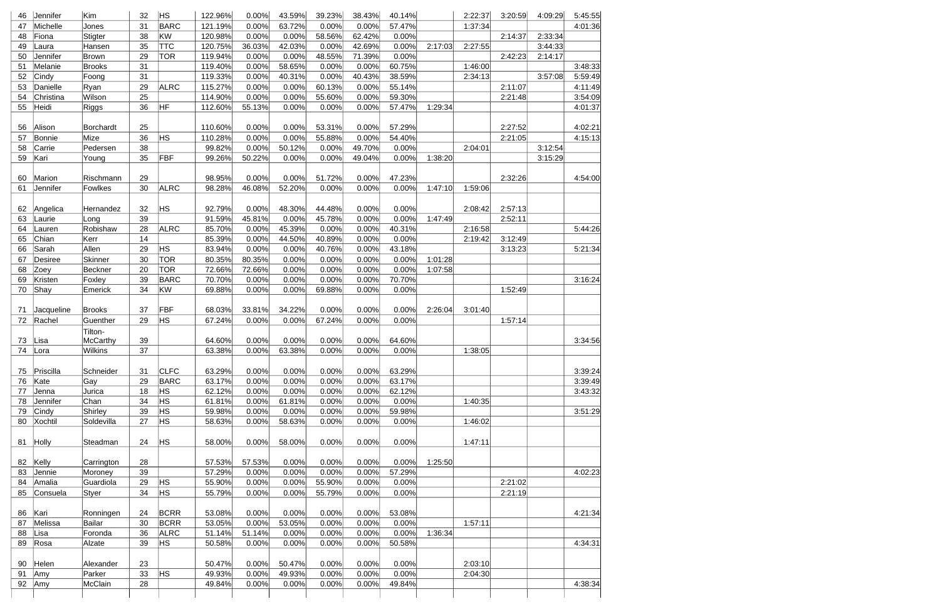| 46 | Jennifer           | Kim              | 32 | <b>HS</b>   | 122.96% | 0.00%  | 43.59% | 39.23% | 38.43% | 40.14% |         | 2:22:37 | 3:20:59 | 4:09:29 | 5:45:55 |
|----|--------------------|------------------|----|-------------|---------|--------|--------|--------|--------|--------|---------|---------|---------|---------|---------|
| 47 | Michelle           | Jones            | 31 | <b>BARC</b> | 121.19% | 0.00%  | 63.72% | 0.00%  | 0.00%  | 57.47% |         | 1:37:34 |         |         | 4:01:36 |
| 48 | Fiona              | Stigter          | 38 | KW          | 120.98% | 0.00%  | 0.00%  | 58.56% | 62.42% | 0.00%  |         |         | 2:14:37 | 2:33:34 |         |
| 49 | Laura              | Hansen           | 35 | <b>TTC</b>  | 120.75% | 36.03% | 42.03% | 0.00%  | 42.69% | 0.00%  | 2:17:03 | 2:27:55 |         | 3:44:33 |         |
| 50 | Jennifer           | <b>Brown</b>     | 29 | TOR         | 119.94% | 0.00%  | 0.00%  | 48.55% | 71.39% | 0.00%  |         |         | 2:42:23 | 2:14:17 |         |
| 51 | Melanie            | <b>Brooks</b>    | 31 |             | 119.40% | 0.00%  | 58.65% | 0.00%  | 0.00%  | 60.75% |         | 1:46:00 |         |         | 3:48:33 |
| 52 | Cindy              | Foong            | 31 |             | 119.33% | 0.00%  | 40.31% | 0.00%  | 40.43% | 38.59% |         | 2:34:13 |         | 3:57:08 | 5:59:49 |
| 53 | Danielle           | Ryan             | 29 | <b>ALRC</b> | 115.27% | 0.00%  | 0.00%  | 60.13% | 0.00%  | 55.14% |         |         | 2:11:07 |         | 4:11:49 |
| 54 | Christina          | Wilson           | 25 |             | 114.90% | 0.00%  | 0.00%  | 55.60% | 0.00%  | 59.30% |         |         | 2:21:48 |         | 3:54:09 |
| 55 | Heidi              | <b>Riggs</b>     | 36 | HF          | 112.60% | 55.13% | 0.00%  | 0.00%  | 0.00%  | 57.47% | 1:29:34 |         |         |         | 4:01:37 |
|    |                    |                  |    |             |         |        |        |        |        |        |         |         |         |         |         |
| 56 | Alison             | <b>Borchardt</b> | 25 |             | 110.60% | 0.00%  | 0.00%  | 53.31% | 0.00%  | 57.29% |         |         | 2:27:52 |         | 4:02:21 |
| 57 | <b>Bonnie</b>      | Mize             | 36 | <b>HS</b>   | 110.28% | 0.00%  | 0.00%  | 55.88% | 0.00%  | 54.40% |         |         | 2:21:05 |         | 4:15:13 |
| 58 | Carrie             | Pedersen         | 38 |             | 99.82%  | 0.00%  | 50.12% | 0.00%  | 49.70% | 0.00%  |         | 2:04:01 |         | 3:12:54 |         |
| 59 | Kari               | Young            | 35 | FBF         | 99.26%  | 50.22% | 0.00%  | 0.00%  | 49.04% | 0.00%  | 1:38:20 |         |         | 3:15:29 |         |
|    |                    |                  |    |             |         |        |        |        |        |        |         |         |         |         |         |
| 60 | Marion             | Rischmann        | 29 |             | 98.95%  | 0.00%  | 0.00%  | 51.72% | 0.00%  | 47.23% |         |         | 2:32:26 |         | 4:54:00 |
| 61 | Jennifer           | Fowlkes          | 30 | <b>ALRC</b> | 98.28%  | 46.08% | 52.20% | 0.00%  | 0.00%  | 0.00%  | 1:47:10 | 1:59:06 |         |         |         |
|    |                    |                  |    |             |         |        |        |        |        |        |         |         |         |         |         |
| 62 |                    |                  | 32 | <b>HS</b>   | 92.79%  | 0.00%  | 48.30% | 44.48% | 0.00%  | 0.00%  |         | 2:08:42 | 2:57:13 |         |         |
| 63 | Angelica<br>Laurie | Hernandez        | 39 |             | 91.59%  | 45.81% | 0.00%  | 45.78% |        | 0.00%  | 1:47:49 |         | 2:52:11 |         |         |
|    |                    | Long             |    |             |         |        |        |        | 0.00%  |        |         |         |         |         |         |
| 64 | Lauren             | Robishaw         | 28 | <b>ALRC</b> | 85.70%  | 0.00%  | 45.39% | 0.00%  | 0.00%  | 40.31% |         | 2:16:58 |         |         | 5:44:26 |
| 65 | Chian              | Kerr             | 14 |             | 85.39%  | 0.00%  | 44.50% | 40.89% | 0.00%  | 0.00%  |         | 2:19:42 | 3:12:49 |         |         |
| 66 | Sarah              | Allen            | 29 | HS.         | 83.94%  | 0.00%  | 0.00%  | 40.76% | 0.00%  | 43.18% |         |         | 3:13:23 |         | 5:21:34 |
| 67 | <b>Desiree</b>     | <b>Skinner</b>   | 30 | <b>TOR</b>  | 80.35%  | 80.35% | 0.00%  | 0.00%  | 0.00%  | 0.00%  | 1:01:28 |         |         |         |         |
| 68 | Zoey               | Beckner          | 20 | TOR         | 72.66%  | 72.66% | 0.00%  | 0.00%  | 0.00%  | 0.00%  | 1:07:58 |         |         |         |         |
| 69 | Kristen            | Foxley           | 39 | <b>BARC</b> | 70.70%  | 0.00%  | 0.00%  | 0.00%  | 0.00%  | 70.70% |         |         |         |         | 3:16:24 |
| 70 | Shay               | Emerick          | 34 | KW          | 69.88%  | 0.00%  | 0.00%  | 69.88% | 0.00%  | 0.00%  |         |         | 1:52:49 |         |         |
|    |                    |                  |    |             |         |        |        |        |        |        |         |         |         |         |         |
| 71 | Jacqueline         | <b>Brooks</b>    | 37 | FBF         | 68.03%  | 33.81% | 34.22% | 0.00%  | 0.00%  | 0.00%  | 2:26:04 | 3:01:40 |         |         |         |
| 72 | Rachel             | Guenther         | 29 | HS.         | 67.24%  | 0.00%  | 0.00%  | 67.24% | 0.00%  | 0.00%  |         |         | 1:57:14 |         |         |
|    |                    | Tilton-          |    |             |         |        |        |        |        |        |         |         |         |         |         |
| 73 | Lisa               | McCarthy         | 39 |             | 64.60%  | 0.00%  | 0.00%  | 0.00%  | 0.00%  | 64.60% |         |         |         |         | 3:34:56 |
| 74 | Lora               | Wilkins          | 37 |             | 63.38%  | 0.00%  | 63.38% | 0.00%  | 0.00%  | 0.00%  |         | 1:38:05 |         |         |         |
|    |                    |                  |    |             |         |        |        |        |        |        |         |         |         |         |         |
| 75 | Priscilla          | Schneider        | 31 | <b>CLFC</b> | 63.29%  | 0.00%  | 0.00%  | 0.00%  | 0.00%  | 63.29% |         |         |         |         | 3:39:24 |
| 76 | Kate               | Gay              | 29 | <b>BARC</b> | 63.17%  | 0.00%  | 0.00%  | 0.00%  | 0.00%  | 63.17% |         |         |         |         | 3:39:49 |
| 77 | Jenna              | Jurica           | 18 | HS          | 62.12%  | 0.00%  | 0.00%  | 0.00%  | 0.00%  | 62.12% |         |         |         |         | 3:43:32 |
| 78 | Jennifer           | Chan             | 34 | HS.         | 61.81%  | 0.00%  | 61.81% | 0.00%  | 0.00%  | 0.00%  |         | 1:40:35 |         |         |         |
| 79 | Cindy              | Shirley          | 39 | <b>HS</b>   | 59.98%  | 0.00%  | 0.00%  | 0.00%  | 0.00%  | 59.98% |         |         |         |         | 3:51:29 |
| 80 | Xochtil            | Soldevilla       | 27 | <b>HS</b>   | 58.63%  | 0.00%  | 58.63% | 0.00%  | 0.00%  | 0.00%  |         | 1:46:02 |         |         |         |
|    |                    |                  |    |             |         |        |        |        |        |        |         |         |         |         |         |
| 81 | Holly              | Steadman         | 24 | <b>HS</b>   | 58.00%  | 0.00%  | 58.00% | 0.00%  | 0.00%  | 0.00%  |         | 1:47:11 |         |         |         |
|    |                    |                  |    |             |         |        |        |        |        |        |         |         |         |         |         |
| 82 | Kelly              | Carrington       | 28 |             | 57.53%  | 57.53% | 0.00%  | 0.00%  | 0.00%  | 0.00%  | 1:25:50 |         |         |         |         |
| 83 | Jennie             | Moroney          | 39 |             | 57.29%  | 0.00%  | 0.00%  | 0.00%  | 0.00%  | 57.29% |         |         |         |         | 4:02:23 |
| 84 | Amalia             | Guardiola        | 29 | <b>HS</b>   | 55.90%  | 0.00%  | 0.00%  | 55.90% | 0.00%  | 0.00%  |         |         | 2:21:02 |         |         |
| 85 | Consuela           | Styer            | 34 | <b>HS</b>   | 55.79%  | 0.00%  | 0.00%  | 55.79% | 0.00%  | 0.00%  |         |         | 2:21:19 |         |         |
|    |                    |                  |    |             |         |        |        |        |        |        |         |         |         |         |         |
| 86 | Kari               | Ronningen        | 24 | <b>BCRR</b> | 53.08%  | 0.00%  | 0.00%  | 0.00%  | 0.00%  | 53.08% |         |         |         |         | 4:21:34 |
| 87 | Melissa            | Bailar           | 30 | <b>BCRR</b> | 53.05%  | 0.00%  | 53.05% | 0.00%  | 0.00%  | 0.00%  |         | 1:57:11 |         |         |         |
| 88 | Lisa               | Foronda          | 36 | <b>ALRC</b> | 51.14%  | 51.14% | 0.00%  | 0.00%  | 0.00%  | 0.00%  | 1:36:34 |         |         |         |         |
| 89 |                    |                  | 39 | <b>HS</b>   |         |        |        |        |        |        |         |         |         |         | 4:34:31 |
|    | Rosa               | Alzate           |    |             | 50.58%  | 0.00%  | 0.00%  | 0.00%  | 0.00%  | 50.58% |         |         |         |         |         |
|    |                    |                  |    |             |         |        |        |        |        |        |         |         |         |         |         |
| 90 | Helen              | Alexander        | 23 |             | 50.47%  | 0.00%  | 50.47% | 0.00%  | 0.00%  | 0.00%  |         | 2:03:10 |         |         |         |
| 91 | Amy                | Parker           | 33 | <b>HS</b>   | 49.93%  | 0.00%  | 49.93% | 0.00%  | 0.00%  | 0.00%  |         | 2:04:30 |         |         |         |
| 92 | Amy                | McClain          | 28 |             | 49.84%  | 0.00%  | 0.00%  | 0.00%  | 0.00%  | 49.84% |         |         |         |         | 4:38:34 |
|    |                    |                  |    |             |         |        |        |        |        |        |         |         |         |         |         |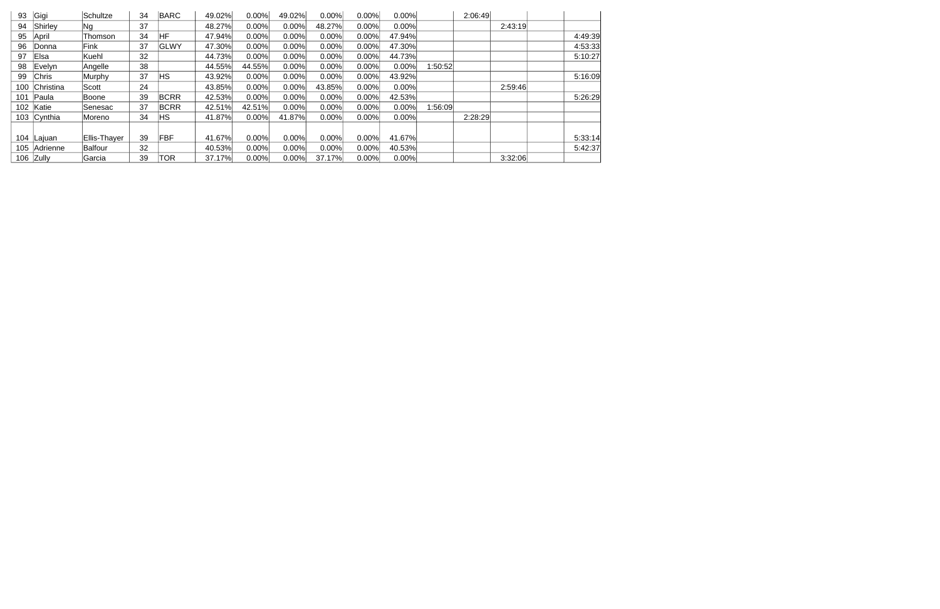| 93  | Gigi         | Schultze     | 34 | <b>BARC</b> | 49.02% | 0.00%  | 49.02% | 0.00%  | 0.00% | 0.00%  | 2:06:49 |         |         |  |
|-----|--------------|--------------|----|-------------|--------|--------|--------|--------|-------|--------|---------|---------|---------|--|
| 94  | Shirley      | Ng           | 37 |             | 48.27% | 0.00%  | 0.00%  | 48.27% | 0.00% | 0.00%  |         | 2:43:19 |         |  |
| 95  | April        | Thomson      | 34 | HF          | 47.94% | 0.00%  | 0.00%  | 0.00%  | 0.00% | 47.94% |         |         | 4:49:39 |  |
| 96  | lDonna       | Fink         | 37 | GLWY        | 47.30% | 0.00%  | 0.00%  | 0.00%  | 0.00% | 47.30% |         |         | 4:53:33 |  |
| 97  | Elsa         | Kuehl        | 32 |             | 44.73% | 0.00%  | 0.00%  | 0.00%  | 0.00% | 44.73% |         |         | 5:10:27 |  |
| 98  | ∣Evelyn.     | Angelle      | 38 |             | 44.55% | 44.55% | 0.00%  | 0.00%  | 0.00% | 0.00%  | 1:50:52 |         |         |  |
| 99  | Chris        | Murphy       | 37 | ΗS          | 43.92% | 0.00%  | 0.00%  | 0.00%  | 0.00% | 43.92% |         |         | 5:16:09 |  |
| 100 | Christina    | Scott        | 24 |             | 43.85% | 0.00%  | 0.00%  | 43.85% | 0.00% | 0.00%  |         | 2:59:46 |         |  |
| 101 | <b>Paula</b> | <b>Boone</b> | 39 | <b>BCRR</b> | 42.53% | 0.00%  | 0.00%  | 0.00%  | 0.00% | 42.53% |         |         | 5:26:29 |  |
| 102 | Katie        | lSenesac     | 37 | <b>BCRR</b> | 42.51% | 42.51% | 0.00%  | 0.00%  | 0.00% | 0.00%  | 1:56:09 |         |         |  |
|     | 103 Cynthia  | Moreno       | 34 | ΗS          | 41.87% | 0.00%  | 41.87% | 0.00%  | 0.00% | 0.00%  | 2:28:29 |         |         |  |
|     |              |              |    |             |        |        |        |        |       |        |         |         |         |  |
|     | 104 Lajuan   | Ellis-Thayer | 39 | <b>FBF</b>  | 41.67% | 0.00%  | 0.00%  | 0.00%  | 0.00% | 41.67% |         |         | 5:33:14 |  |
|     | 105 Adrienne | Balfour      | 32 |             | 40.53% | 0.00%  | 0.00%  | 0.00%  | 0.00% | 40.53% |         |         | 5:42:37 |  |
|     | 106 Zully    | Garcia       | 39 | TOR         | 37.17% | 0.00%  | 0.00%  | 37.17% | 0.00% | 0.00%  |         | 3:32:06 |         |  |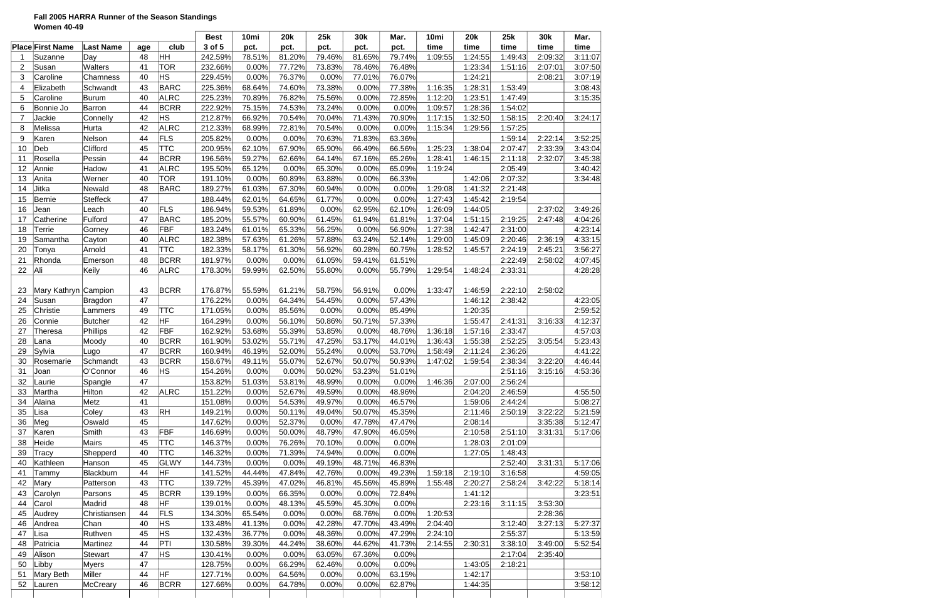# **Fall 2005 HARRA Runner of the Season Standings Women 40-49**

|                |                         |                  |     |             | <b>Best</b> | 10mi   | <b>20k</b> | 25k    | 30k    | Mar.   | 10mi    | <b>20k</b> | 25k     | 30k     | Mar.    |
|----------------|-------------------------|------------------|-----|-------------|-------------|--------|------------|--------|--------|--------|---------|------------|---------|---------|---------|
|                | <b>Place First Name</b> | <b>Last Name</b> | age | club        | 3 of 5      | pct.   | pct.       | pct.   | pct.   | pct.   | time    | time       | time    | time    | time    |
|                | Suzanne                 | Day              | 48  | Iнн         | 242.59%     | 78.51% | 81.20%     | 79.46% | 81.65% | 79.74% | 1:09:55 | 1:24:55    | 1:49:43 | 2:09:32 | 3:11:07 |
| $\overline{2}$ | Susan                   | Walters          | 41  | <b>TOR</b>  | 232.66%     | 0.00%  | 77.72%     | 73.83% | 78.46% | 76.48% |         | 1:23:34    | 1:51:16 | 2:07:01 | 3:07:50 |
| 3              | Caroline                | Chamness         | 40  | <b>HS</b>   | 229.45%     | 0.00%  | 76.37%     | 0.00%  | 77.01% | 76.07% |         | 1:24:21    |         | 2:08:21 | 3:07:19 |
| 4              | Elizabeth               | Schwandt         | 43  | <b>BARC</b> | 225.36%     | 68.64% | 74.60%     | 73.38% | 0.00%  | 77.38% | 1:16:35 | 1:28:31    | 1:53:49 |         | 3:08:43 |
| 5              | Caroline                | Burum            | 40  | <b>ALRC</b> | 225.23%     | 70.89% | 76.82%     | 75.56% | 0.00%  | 72.85% | 1:12:20 | 1:23:51    | 1:47:49 |         | 3:15:35 |
| 6              | Bonnie Jo               | Barron           | 44  | <b>BCRR</b> | 222.92%     | 75.15% | 74.53%     | 73.24% | 0.00%  | 0.00%  | 1:09:57 | 1:28:36    | 1:54:02 |         |         |
| $\overline{7}$ | Jackie                  | Connelly         | 42  | ΗS          | 212.87%     | 66.92% | 70.54%     | 70.04% | 71.43% | 70.90% | 1:17:15 | 1:32:50    | 1:58:15 | 2:20:40 | 3:24:17 |
| 8              | Melissa                 | Hurta            | 42  | <b>ALRC</b> | 212.33%     | 68.99% | 72.81%     | 70.54% | 0.00%  | 0.00%  | 1:15:34 | 1:29:56    | 1:57:25 |         |         |
| 9              | Karen                   | Nelson           | 44  | FLS         | 205.82%     | 0.00%  | 0.00%      | 70.63% | 71.83% | 63.36% |         |            | 1:59:14 | 2:22:14 | 3:52:25 |
| 10             | Deb                     | Clifford         | 45  | TTC         | 200.95%     | 62.10% | 67.90%     | 65.90% | 66.49% | 66.56% | 1:25:23 | 1:38:04    | 2:07:47 | 2:33:39 | 3:43:04 |
| 11             | Rosella                 | Pessin           | 44  | <b>BCRR</b> | 196.56%     | 59.27% | 62.66%     | 64.14% | 67.16% | 65.26% | 1:28:41 | 1:46:15    | 2:11:18 | 2:32:07 | 3:45:38 |
| 12             | Annie                   | Hadow            | 41  | <b>ALRC</b> | 195.50%     | 65.12% | 0.00%      | 65.30% | 0.00%  | 65.09% | 1:19:24 |            | 2:05:49 |         | 3:40:42 |
| 13             | Anita                   | Werner           | 40  | <b>TOR</b>  | 191.10%     | 0.00%  | 60.89%     | 63.88% | 0.00%  | 66.33% |         | 1:42:06    | 2:07:32 |         | 3:34:48 |
| 14             | Jitka                   | Newald           | 48  | <b>BARC</b> | 189.27%     | 61.03% | 67.30%     | 60.94% | 0.00%  | 0.00%  | 1:29:08 | 1:41:32    | 2:21:48 |         |         |
| 15             | <b>Bernie</b>           | <b>Steffeck</b>  | 47  |             | 188.44%     | 62.01% | 64.65%     | 61.77% | 0.00%  | 0.00%  | 1:27:43 | 1:45:42    | 2:19:54 |         |         |
|                |                         |                  | 40  | FLS         |             |        |            |        |        | 62.10% |         | 1:44:05    |         | 2:37:02 | 3:49:26 |
| 16             | Jean                    | Leach            |     |             | 186.94%     | 59.53% | 61.89%     | 0.00%  | 62.95% |        | 1:26:09 |            |         |         |         |
| 17             | Catherine               | Fulford          | 47  | <b>BARC</b> | 185.20%     | 55.57% | 60.90%     | 61.45% | 61.94% | 61.81% | 1:37:04 | 1:51:15    | 2:19:25 | 2:47:48 | 4:04:26 |
| 18             | Terrie                  | Gorney           | 46  | FBF         | 183.24%     | 61.01% | 65.33%     | 56.25% | 0.00%  | 56.90% | 1:27:38 | 1:42:47    | 2:31:00 |         | 4:23:14 |
| 19             | Samantha                | Cayton           | 40  | <b>ALRC</b> | 182.38%     | 57.63% | 61.26%     | 57.88% | 63.24% | 52.14% | 1:29:00 | 1:45:09    | 2:20:46 | 2:36:19 | 4:33:15 |
| 20             | Tonya                   | Arnold           | 41  | <b>TTC</b>  | 182.33%     | 58.17% | 61.30%     | 56.92% | 60.28% | 60.75% | 1:28:52 | 1:45:57    | 2:24:19 | 2:45:21 | 3:56:27 |
| 21             | Rhonda                  | Emerson          | 48  | <b>BCRR</b> | 181.97%     | 0.00%  | 0.00%      | 61.05% | 59.41% | 61.51% |         |            | 2:22:49 | 2:58:02 | 4:07:45 |
| 22             | Ali                     | Keily            | 46  | <b>ALRC</b> | 178.30%     | 59.99% | 62.50%     | 55.80% | 0.00%  | 55.79% | 1:29:54 | 1:48:24    | 2:33:31 |         | 4:28:28 |
|                |                         |                  |     |             |             |        |            |        |        |        |         |            |         |         |         |
| 23             | Mary Kathryn Campion    |                  | 43  | <b>BCRR</b> | 176.87%     | 55.59% | 61.21%     | 58.75% | 56.91% | 0.00%  | 1:33:47 | 1:46:59    | 2:22:10 | 2:58:02 |         |
| 24             | Susan                   | <b>Bragdon</b>   | 47  |             | 176.22%     | 0.00%  | 64.34%     | 54.45% | 0.00%  | 57.43% |         | 1:46:12    | 2:38:42 |         | 4:23:05 |
| 25             | Christie                | Lammers          | 49  | TTC         | 171.05%     | 0.00%  | 85.56%     | 0.00%  | 0.00%  | 85.49% |         | 1:20:35    |         |         | 2:59:52 |
| 26             | Connie                  | Butcher          | 42  | HF          | 164.29%     | 0.00%  | 56.10%     | 50.86% | 50.71% | 57.33% |         | 1:55:47    | 2:41:31 | 3:16:33 | 4:12:37 |
| 27             | Theresa                 | Phillips         | 42  | <b>FBF</b>  | 162.92%     | 53.68% | 55.39%     | 53.85% | 0.00%  | 48.76% | 1:36:18 | 1:57:16    | 2:33:47 |         | 4:57:03 |
| 28             | Lana                    | Moody            | 40  | <b>BCRR</b> | 161.90%     | 53.02% | 55.71%     | 47.25% | 53.17% | 44.01% | 1:36:43 | 1:55:38    | 2:52:25 | 3:05:54 | 5:23:43 |
| 29             | Sylvia                  | Lugo             | 47  | <b>BCRR</b> | 160.94%     | 46.19% | 52.00%     | 55.24% | 0.00%  | 53.70% | 1:58:49 | 2:11:24    | 2:36:26 |         | 4:41:22 |
| 30             | Rosemarie               | Schmandt         | 43  | <b>BCRR</b> | 158.67%     | 49.11% | 55.07%     | 52.67% | 50.07% | 50.93% | 1:47:02 | 1:59:54    | 2:38:34 | 3:22:20 | 4:46:44 |
| 31             | Joan                    | O'Connor         | 46  | <b>HS</b>   | 154.26%     | 0.00%  | 0.00%      | 50.02% | 53.23% | 51.01% |         |            | 2:51:16 | 3:15:16 | 4:53:36 |
| 32             | Laurie                  | Spangle          | 47  |             | 153.82%     | 51.03% | 53.81%     | 48.99% | 0.00%  | 0.00%  | 1:46:36 | 2:07:00    | 2:56:24 |         |         |
| 33             | Martha                  | Hilton           | 42  | <b>ALRC</b> | 151.22%     | 0.00%  | 52.67%     | 49.59% | 0.00%  | 48.96% |         | 2:04:20    | 2:46:59 |         | 4:55:50 |
| 34             | Alaina                  | Metz             | 41  |             | 151.08%     | 0.00%  | 54.53%     | 49.97% | 0.00%  | 46.57% |         | 1:59:06    | 2:44:24 |         | 5:08:27 |
| 35             | Lisa                    | Coley            | 43  | RH          | 149.21%     | 0.00%  | 50.11%     | 49.04% | 50.07% | 45.35% |         | 2:11:46    | 2:50:19 | 3:22:22 | 5:21:59 |
| 36             | Meg                     | Oswald           | 45  |             | 147.62%     | 0.00%  | 52.37%     | 0.00%  | 47.78% | 47.47% |         | 2:08:14    |         | 3:35:38 | 5:12:47 |
| 37             | Karen                   | Smith            | 43  | FBF         | 146.69%     | 0.00%  | 50.00%     | 48.79% | 47.90% | 46.05% |         | 2:10:58    | 2:51:10 | 3:31:31 | 5:17:06 |
| 38             | Heide                   | Mairs            | 45  | <b>TTC</b>  | 146.37%     | 0.00%  | 76.26%     | 70.10% | 0.00%  | 0.00%  |         | 1:28:03    | 2:01:09 |         |         |
| 39             | Tracy                   | Shepperd         | 40  | <b>TTC</b>  | 146.32%     | 0.00%  | 71.39%     | 74.94% | 0.00%  | 0.00%  |         | 1:27:05    | 1:48:43 |         |         |
| 40             | Kathleen                | Hanson           | 45  | GLWY        | 144.73%     | 0.00%  | 0.00%      | 49.19% | 48.71% | 46.83% |         |            | 2:52:40 | 3:31:31 | 5:17:06 |
| 41             | Tammy                   | Blackburn        | 44  | HF          | 141.52%     | 44.44% | 47.84%     | 42.76% | 0.00%  | 49.23% | 1:59:18 | 2:19:10    | 3:16:58 |         | 4:59:05 |
| 42             | Mary                    | Patterson        | 43  | <b>TTC</b>  | 139.72%     | 45.39% | 47.02%     | 46.81% | 45.56% | 45.89% | 1:55:48 | 2:20:27    | 2:58:24 | 3:42:22 | 5:18:14 |
| 43             | Carolyn                 | Parsons          | 45  | <b>BCRR</b> | 139.19%     | 0.00%  | 66.35%     | 0.00%  | 0.00%  | 72.84% |         | 1:41:12    |         |         | 3:23:51 |
| 44             | Carol                   | Madrid           | 48  | HF          | 139.01%     | 0.00%  | 48.13%     |        | 45.30% | 0.00%  |         |            | 3:11:15 | 3:53:30 |         |
|                |                         |                  |     |             |             |        |            | 45.59% |        |        |         | 2:23:16    |         |         |         |
| 45             | Audrey                  | Christiansen     | 44  | FLS         | 134.30%     | 65.54% | 0.00%      | 0.00%  | 68.76% | 0.00%  | 1:20:53 |            |         | 2:28:36 |         |
| 46             | Andrea                  | Chan             | 40  | ΗS          | 133.48%     | 41.13% | 0.00%      | 42.28% | 47.70% | 43.49% | 2:04:40 |            | 3:12:40 | 3:27:13 | 5:27:37 |
| 47             | Lisa                    | Ruthven          | 45  | ΗS          | 132.43%     | 36.77% | 0.00%      | 48.36% | 0.00%  | 47.29% | 2:24:10 |            | 2:55:37 |         | 5:13:59 |
| 48             | Patricia                | Martinez         | 44  | PTI         | 130.58%     | 39.30% | 44.24%     | 38.60% | 44.62% | 41.73% | 2:14:55 | 2:30:31    | 3:38:10 | 3:49:00 | 5:52:54 |
| 49             | Alison                  | Stewart          | 47  | ΗS          | 130.41%     | 0.00%  | 0.00%      | 63.05% | 67.36% | 0.00%  |         |            | 2:17:04 | 2:35:40 |         |
| 50             | Libby                   | <b>Myers</b>     | 47  |             | 128.75%     | 0.00%  | 66.29%     | 62.46% | 0.00%  | 0.00%  |         | 1:43:05    | 2:18:21 |         |         |
| 51             | Mary Beth               | Miller           | 44  | HF          | 127.71%     | 0.00%  | 64.56%     | 0.00%  | 0.00%  | 63.15% |         | 1:42:17    |         |         | 3:53:10 |
| 52             | Lauren                  | McCreary         | 46  | <b>BCRR</b> | 127.66%     | 0.00%  | 64.78%     | 0.00%  | 0.00%  | 62.87% |         | 1:44:35    |         |         | 3:58:12 |
|                |                         |                  |     |             |             |        |            |        |        |        |         |            |         |         |         |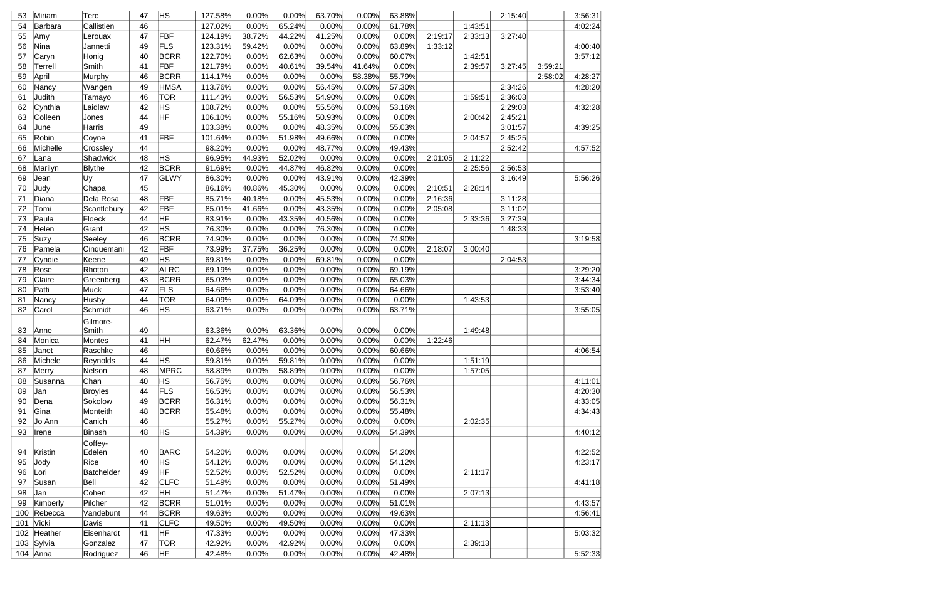| 53               | Miriam      | Terc           | 47       | ∣HS         | 127.58% | 0.00%  | 0.00%  | 63.70% | 0.00%  | 63.88% |         |         | 2:15:40 |         | 3:56:31 |
|------------------|-------------|----------------|----------|-------------|---------|--------|--------|--------|--------|--------|---------|---------|---------|---------|---------|
| 54               | Barbara     | Callistien     | 46       |             | 127.02% | 0.00%  | 65.24% | 0.00%  | 0.00%  | 61.78% |         | 1:43:51 |         |         | 4:02:24 |
| 55               | Amy         | Lerouax        | 47       | FBF         | 124.19% | 38.72% | 44.22% | 41.25% | 0.00%  | 0.00%  | 2:19:17 | 2:33:13 | 3:27:40 |         |         |
| 56               | Nina        | Jannetti       | 49       | FLS         | 123.31% | 59.42% | 0.00%  | 0.00%  | 0.00%  | 63.89% | 1:33:12 |         |         |         | 4:00:40 |
| 57               | Caryn       | Honig          | 40       | <b>BCRR</b> | 122.70% | 0.00%  | 62.63% | 0.00%  | 0.00%  | 60.07% |         | 1:42:51 |         |         | 3:57:12 |
| 58               | Terrell     | Smith          | 41       | FBF         | 121.79% | 0.00%  | 40.61% | 39.54% | 41.64% | 0.00%  |         | 2:39:57 | 3:27:45 | 3:59:21 |         |
| 59               | April       | Murphy         | 46       | <b>BCRR</b> | 114.17% | 0.00%  | 0.00%  | 0.00%  | 58.38% | 55.79% |         |         |         | 2:58:02 | 4:28:27 |
| 60               | Nancy       | Wangen         | 49       | HMSA        | 113.76% | 0.00%  | 0.00%  | 56.45% | 0.00%  | 57.30% |         |         | 2:34:26 |         | 4:28:20 |
| 61               | Judith      | Tamayo         | 46       | <b>TOR</b>  | 111.43% | 0.00%  | 56.53% | 54.90% | 0.00%  | 0.00%  |         | 1:59:51 | 2:36:03 |         |         |
| 62               | Cynthia     | Laidlaw        | 42       | HS.         | 108.72% | 0.00%  | 0.00%  | 55.56% | 0.00%  | 53.16% |         |         | 2:29:03 |         | 4:32:28 |
| 63               | Colleen     | Jones          | 44       | HF          | 106.10% | 0.00%  | 55.16% | 50.93% | 0.00%  | 0.00%  |         | 2:00:42 | 2:45:21 |         |         |
| 64               | June        | Harris         | 49       |             | 103.38% | 0.00%  | 0.00%  | 48.35% | 0.00%  | 55.03% |         |         | 3:01:57 |         | 4:39:25 |
| 65               | Robin       | Coyne          | 41       | FBF         | 101.64% | 0.00%  | 51.98% | 49.66% | 0.00%  | 0.00%  |         | 2:04:57 | 2:45:25 |         |         |
| 66               | Michelle    | Crossley       | 44       |             | 98.20%  | 0.00%  | 0.00%  | 48.77% | 0.00%  | 49.43% |         |         | 2:52:42 |         | 4:57:52 |
| 67               | Lana        | Shadwick       | 48       | HS.         | 96.95%  | 44.93% | 52.02% | 0.00%  | 0.00%  | 0.00%  | 2:01:05 | 2:11:22 |         |         |         |
| 68               | Marilyn     |                | 42       | <b>BCRR</b> | 91.69%  |        | 44.87% | 46.82% | 0.00%  | 0.00%  |         | 2:25:56 | 2:56:53 |         |         |
|                  |             | <b>Blythe</b>  |          | GLWY        |         | 0.00%  |        |        |        |        |         |         |         |         |         |
| 69               | Jean        | Uy             | 47       |             | 86.30%  | 0.00%  | 0.00%  | 43.91% | 0.00%  | 42.39% |         |         | 3:16:49 |         | 5:56:26 |
| 70               | Judy        | Chapa          | 45       |             | 86.16%  | 40.86% | 45.30% | 0.00%  | 0.00%  | 0.00%  | 2:10:51 | 2:28:14 |         |         |         |
| 71               | Diana       | Dela Rosa      | 48       | FBF         | 85.71%  | 40.18% | 0.00%  | 45.53% | 0.00%  | 0.00%  | 2:16:36 |         | 3:11:28 |         |         |
| 72               | Tomi        | Scantlebury    | 42       | <b>FBF</b>  | 85.01%  | 41.66% | 0.00%  | 43.35% | 0.00%  | 0.00%  | 2:05:08 |         | 3:11:02 |         |         |
| 73               | Paula       | Floeck         | 44       | HF          | 83.91%  | 0.00%  | 43.35% | 40.56% | 0.00%  | 0.00%  |         | 2:33:36 | 3:27:39 |         |         |
| 74               | Helen       | Grant          | 42       | НS          | 76.30%  | 0.00%  | 0.00%  | 76.30% | 0.00%  | 0.00%  |         |         | 1:48:33 |         |         |
| 75               | Suzy        | Seeley         | 46       | <b>BCRR</b> | 74.90%  | 0.00%  | 0.00%  | 0.00%  | 0.00%  | 74.90% |         |         |         |         | 3:19:58 |
| 76               | Pamela      | Cinquemani     | 42       | FBF         | 73.99%  | 37.75% | 36.25% | 0.00%  | 0.00%  | 0.00%  | 2:18:07 | 3:00:40 |         |         |         |
| 77               | Cyndie      | Keene          | 49       | HS.         | 69.81%  | 0.00%  | 0.00%  | 69.81% | 0.00%  | 0.00%  |         |         | 2:04:53 |         |         |
| 78               | Rose        | Rhoton         | 42       | <b>ALRC</b> | 69.19%  | 0.00%  | 0.00%  | 0.00%  | 0.00%  | 69.19% |         |         |         |         | 3:29:20 |
| 79               | Claire      | Greenberg      | 43       | <b>BCRR</b> | 65.03%  | 0.00%  | 0.00%  | 0.00%  | 0.00%  | 65.03% |         |         |         |         | 3:44:34 |
| 80               | Patti       | Muck           | 47       | FLS         | 64.66%  | 0.00%  | 0.00%  | 0.00%  | 0.00%  | 64.66% |         |         |         |         | 3:53:40 |
| 81               | Nancy       | Husby          | 44       | <b>TOR</b>  | 64.09%  | 0.00%  | 64.09% | 0.00%  | 0.00%  | 0.00%  |         | 1:43:53 |         |         |         |
| 82               | Carol       | Schmidt        | 46       | HS.         | 63.71%  | 0.00%  | 0.00%  | 0.00%  | 0.00%  | 63.71% |         |         |         |         | 3:55:05 |
|                  |             | Gilmore-       |          |             |         |        |        |        |        |        |         |         |         |         |         |
| 83               | Anne        | Smith          | 49       |             | 63.36%  | 0.00%  | 63.36% | 0.00%  | 0.00%  | 0.00%  |         | 1:49:48 |         |         |         |
| 84               | Monica      | Montes         | 41       | HΗ          | 62.47%  | 62.47% | 0.00%  | 0.00%  | 0.00%  | 0.00%  | 1:22:46 |         |         |         |         |
| 85               | Janet       | Raschke        | 46       |             | 60.66%  | 0.00%  | 0.00%  | 0.00%  | 0.00%  | 60.66% |         |         |         |         | 4:06:54 |
| 86               | Michele     | Reynolds       | 44       | <b>HS</b>   | 59.81%  | 0.00%  | 59.81% | 0.00%  | 0.00%  | 0.00%  |         | 1:51:19 |         |         |         |
| 87               | Merry       | Nelson         | 48       | <b>MPRC</b> | 58.89%  | 0.00%  | 58.89% | 0.00%  | 0.00%  | 0.00%  |         | 1:57:05 |         |         |         |
| 88               | Susanna     | Chan           | 40       | ΗS          | 56.76%  | 0.00%  | 0.00%  | 0.00%  | 0.00%  | 56.76% |         |         |         |         | 4:11:01 |
| 89               | Jan         | <b>Broyles</b> | 44       | <b>FLS</b>  | 56.53%  | 0.00%  | 0.00%  | 0.00%  | 0.00%  | 56.53% |         |         |         |         | 4:20:30 |
| 90               | Dena        | Sokolow        | 49       | <b>BCRR</b> | 56.31%  | 0.00%  | 0.00%  | 0.00%  | 0.00%  | 56.31% |         |         |         |         | 4:33:05 |
| 91               | Gina        | Monteith       | 48       | <b>BCRR</b> | 55.48%  | 0.00%  | 0.00%  | 0.00%  | 0.00%  | 55.48% |         |         |         |         | 4:34:43 |
| 92               | Jo Ann      | Canich         | 46       |             | 55.27%  | 0.00%  | 55.27% | 0.00%  | 0.00%  | 0.00%  |         | 2:02:35 |         |         |         |
| 93               | Irene       | Binash         | 48       | HS.         | 54.39%  | 0.00%  | 0.00%  | 0.00%  | 0.00%  | 54.39% |         |         |         |         | 4:40:12 |
|                  |             |                |          |             |         |        |        |        |        |        |         |         |         |         |         |
| 94               | Kristin     | Coffey-        |          | <b>BARC</b> | 54.20%  | 0.00%  | 0.00%  | 0.00%  | 0.00%  | 54.20% |         |         |         |         |         |
|                  |             | Edelen         | 40<br>40 | HS.         |         |        |        |        |        | 54.12% |         |         |         |         | 4:22:52 |
| 95               | Jody        | Rice           |          |             | 54.12%  | 0.00%  | 0.00%  | 0.00%  | 0.00%  |        |         |         |         |         | 4:23:17 |
| 96               | Lori        | Batchelder     | 49       | HF          | 52.52%  | 0.00%  | 52.52% | 0.00%  | 0.00%  | 0.00%  |         | 2:11:17 |         |         |         |
| 97               | Susan       | Bell           | 42       | <b>CLFC</b> | 51.49%  | 0.00%  | 0.00%  | 0.00%  | 0.00%  | 51.49% |         |         |         |         | 4:41:18 |
| 98               | Jan         | Cohen          | 42       | HΗ          | 51.47%  | 0.00%  | 51.47% | 0.00%  | 0.00%  | 0.00%  |         | 2:07:13 |         |         |         |
| 99               | Kimberly    | Pilcher        | 42       | <b>BCRR</b> | 51.01%  | 0.00%  | 0.00%  | 0.00%  | 0.00%  | 51.01% |         |         |         |         | 4:43:57 |
| 100              | Rebecca     | Vandebunt      | 44       | <b>BCRR</b> | 49.63%  | 0.00%  | 0.00%  | 0.00%  | 0.00%  | 49.63% |         |         |         |         | 4:56:41 |
| 101              | Vicki       | Davis          | 41       | <b>CLFC</b> | 49.50%  | 0.00%  | 49.50% | 0.00%  | 0.00%  | 0.00%  |         | 2:11:13 |         |         |         |
| 102 <sub>2</sub> | Heather     | Eisenhardt     | 41       | HF          | 47.33%  | 0.00%  | 0.00%  | 0.00%  | 0.00%  | 47.33% |         |         |         |         | 5:03:32 |
| 103              | Sylvia      | Gonzalez       | 47       | <b>TOR</b>  | 42.92%  | 0.00%  | 42.92% | 0.00%  | 0.00%  | 0.00%  |         | 2:39:13 |         |         |         |
|                  | 104 $ Anna$ | Rodriguez      | 46       | HF          | 42.48%  | 0.00%  | 0.00%  | 0.00%  | 0.00%  | 42.48% |         |         |         |         | 5:52:33 |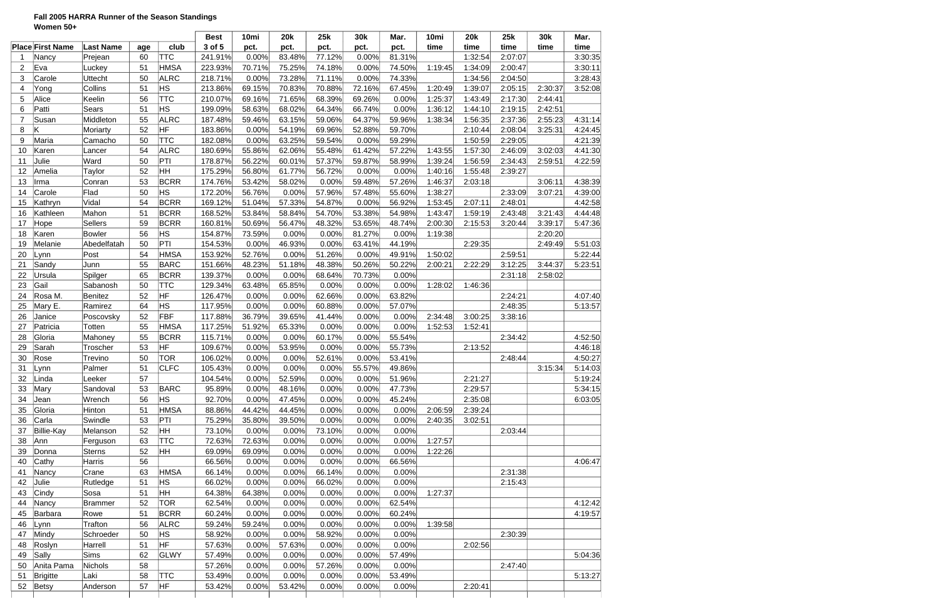### **Fall 2005 HARRA Runner of the Season Standings Women 50+**

|                |                         |                  |          |             | <b>Best</b> | 10mi   | <b>20k</b> | 25k      | 30k    | Mar.   | 10mi    | <b>20k</b> | 25k     | 30k     | Mar.    |
|----------------|-------------------------|------------------|----------|-------------|-------------|--------|------------|----------|--------|--------|---------|------------|---------|---------|---------|
|                | <b>Place First Name</b> | <b>Last Name</b> | age      | club        | 3 of 5      | pct.   | pct.       | pct.     | pct.   | pct.   | time    | time       | time    | time    | time    |
|                | Nancy                   | Prejean          | 60       | <b>TTC</b>  | 241.91%     | 0.00%  | 83.48%     | 77.12%   | 0.00%  | 81.31% |         | 1:32:54    | 2:07:07 |         | 3:30:35 |
| $\overline{2}$ | Eva                     | Luckey           | 51       | ∣HMSA       | 223.93%     | 70.71% | 75.25%     | 74.18%   | 0.00%  | 74.50% | 1:19:45 | 1:34:09    | 2:00:47 |         | 3:30:11 |
| 3              | Carole                  | <b>Uttecht</b>   | 50       | <b>ALRC</b> | 218.71%     | 0.00%  | 73.28%     | 71.11%   | 0.00%  | 74.33% |         | 1:34:56    | 2:04:50 |         | 3:28:43 |
| 4              | Yong                    | Collins          | 51       | <b>HS</b>   | 213.86%     | 69.15% | 70.83%     | 70.88%   | 72.16% | 67.45% | 1:20:49 | 1:39:07    | 2:05:15 | 2:30:37 | 3:52:08 |
| 5              | Alice                   | Keelin           | 56       | <b>TTC</b>  | 210.07%     | 69.16% | 71.65%     | 68.39%   | 69.26% | 0.00%  | 1:25:37 | 1:43:49    | 2:17:30 | 2:44:41 |         |
| 6              | Patti                   | Sears            | 51       | HS          | 199.09%     | 58.63% | 68.02%     | 64.34%   | 66.74% | 0.00%  | 1:36:12 | 1:44:10    | 2:19:15 | 2:42:51 |         |
| $\overline{7}$ | Susan                   | Middleton        | 55       | <b>ALRC</b> | 187.48%     | 59.46% | 63.15%     | 59.06%   | 64.37% | 59.96% | 1:38:34 | 1:56:35    | 2:37:36 | 2:55:23 | 4:31:14 |
| 8              | Κ                       | Moriarty         | 52       | HF          | 183.86%     | 0.00%  | 54.19%     | 69.96%   | 52.88% | 59.70% |         | 2:10:44    | 2:08:04 | 3:25:31 | 4:24:45 |
| 9              | Maria                   | Camacho          | 50       | <b>TTC</b>  | 182.08%     | 0.00%  | 63.25%     | 59.54%   | 0.00%  | 59.29% |         | 1:50:59    | 2:29:05 |         | 4:21:39 |
| 10             | Karen                   | Lancer           | 54       | <b>ALRC</b> | 180.69%     | 55.86% | 62.06%     | 55.48%   | 61.42% | 57.22% | 1:43:55 | 1:57:30    | 2:46:09 | 3:02:03 | 4:41:30 |
| 11             | Julie                   | Ward             | 50       | PTI         | 178.87%     | 56.22% | 60.01%     | 57.37%   | 59.87% | 58.99% | 1:39:24 | 1:56:59    | 2:34:43 | 2:59:51 | 4:22:59 |
| 12             | Amelia                  | Taylor           | 52       | HН          | 175.29%     | 56.80% | 61.77%     | 56.72%   | 0.00%  | 0.00%  | 1:40:16 | 1:55:48    | 2:39:27 |         |         |
| 13             | Irma                    | Conran           | 53       | <b>BCRR</b> | 174.76%     | 53.42% | 58.02%     | 0.00%    | 59.48% | 57.26% | 1:46:37 | 2:03:18    |         | 3:06:11 | 4:38:39 |
| 14             | Carole                  | Flad             | 50       | НS          | 172.20%     | 56.76% | 0.00%      | 57.96%   | 57.48% | 55.60% | 1:38:27 |            | 2:33:09 | 3:07:21 | 4:39:00 |
| 15             | Kathryn                 | Vidal            | 54       | <b>BCRR</b> | 169.12%     | 51.04% | 57.33%     | 54.87%   | 0.00%  | 56.92% | 1:53:45 | 2:07:11    | 2:48:01 |         | 4:42:58 |
| 16             | Kathleen                | Mahon            | 51       | <b>BCRR</b> | 168.52%     | 53.84% | 58.84%     | 54.70%   | 53.38% | 54.98% | 1:43:47 | 1:59:19    | 2:43:48 | 3:21:43 | 4:44:48 |
| 17             | Hope                    | <b>Sellers</b>   | 59       | <b>BCRR</b> | 160.81%     | 50.69% | 56.47%     | 48.32%   | 53.65% | 48.74% | 2:00:30 | 2:15:53    | 3:20:44 | 3:39:17 | 5:47:36 |
| 18             | Karen                   | Bowler           | 56       | ΗS          | 154.87%     | 73.59% | 0.00%      | 0.00%    | 81.27% | 0.00%  | 1:19:38 |            |         | 2:20:20 |         |
| 19             | Melanie                 | Abedelfatah      | 50       | PTI         | 154.53%     | 0.00%  | 46.93%     | 0.00%    | 63.41% | 44.19% |         | 2:29:35    |         | 2:49:49 | 5:51:03 |
| 20             | Lynn                    | Post             | 54       | <b>HMSA</b> | 153.92%     | 52.76% | 0.00%      | 51.26%   | 0.00%  | 49.91% | 1:50:02 |            | 2:59:51 |         | 5:22:44 |
| 21             | Sandy                   | Junn             | 55       | <b>BARC</b> | 151.66%     | 48.23% | 51.18%     | 48.38%   | 50.26% | 50.22% | 2:00:21 | 2:22:29    | 3:12:25 | 3:44:37 | 5:23:51 |
| 22             | Ursula                  | Spilger          | 65       | <b>BCRR</b> | 139.37%     | 0.00%  | 0.00%      | 68.64%   | 70.73% | 0.00%  |         |            | 2:31:18 | 2:58:02 |         |
| 23             | Gail                    | Sabanosh         | 50       | <b>TTC</b>  | 129.34%     | 63.48% | 65.85%     | 0.00%    | 0.00%  | 0.00%  | 1:28:02 | 1:46:36    |         |         |         |
| 24             | Rosa M.                 | Benitez          | 52       | HF          | 126.47%     | 0.00%  | 0.00%      | 62.66%   | 0.00%  | 63.82% |         |            | 2:24:21 |         | 4:07:40 |
| 25             | Mary E.                 | Ramirez          | 64       | НS          | 117.95%     | 0.00%  | 0.00%      | 60.88%   | 0.00%  | 57.07% |         |            | 2:48:35 |         | 5:13:57 |
| 26             | Janice                  | Poscovsky        | 52       | <b>FBF</b>  | 117.88%     | 36.79% | 39.65%     | 41.44%   | 0.00%  | 0.00%  | 2:34:48 | 3:00:25    | 3:38:16 |         |         |
| 27             | Patricia                | Totten           | 55       | ∣HMSA       | 117.25%     | 51.92% | 65.33%     | 0.00%    | 0.00%  | 0.00%  | 1:52:53 | 1:52:41    |         |         |         |
| 28             | Gloria                  | Mahoney          | 55       | <b>BCRR</b> | 115.71%     | 0.00%  | 0.00%      | 60.17%   | 0.00%  | 55.54% |         |            | 2:34:42 |         | 4:52:50 |
| 29             | Sarah                   | Troscher         | 53       | HF          | 109.67%     | 0.00%  | 53.95%     | 0.00%    | 0.00%  | 55.73% |         | 2:13:52    |         |         | 4:46:18 |
| 30             | Rose                    | Trevino          | 50       | <b>TOR</b>  | 106.02%     | 0.00%  | 0.00%      | 52.61%   | 0.00%  | 53.41% |         |            | 2:48:44 |         | 4:50:27 |
| 31             | Lynn                    | Palmer           | 51       | <b>CLFC</b> | 105.43%     | 0.00%  | 0.00%      | 0.00%    | 55.57% | 49.86% |         |            |         | 3:15:34 | 5:14:03 |
| 32             | Linda                   | Leeker           | 57       |             | 104.54%     | 0.00%  | 52.59%     | $0.00\%$ | 0.00%  | 51.96% |         | 2:21:27    |         |         | 5:19:24 |
| 33             | Mary                    | Sandoval         | 53       | <b>BARC</b> | 95.89%      | 0.00%  | 48.16%     | 0.00%    | 0.00%  | 47.73% |         | 2:29:57    |         |         | 5:34:15 |
| 34             | Jean                    | Wrench           | 56       | HS.         | 92.70%      | 0.00%  | 47.45%     | 0.00%    | 0.00%  | 45.24% |         | 2:35:08    |         |         | 6:03:05 |
| 35             | Gloria                  | Hinton           | 51       | ∣HMSA       | 88.86%      | 44.42% | 44.45%     | 0.00%    | 0.00%  | 0.00%  | 2:06:59 | 2:39:24    |         |         |         |
| 36             | Carla                   | Swindle          | 53       | PTI         | 75.29%      | 35.80% | 39.50%     | 0.00%    | 0.00%  | 0.00%  | 2:40:35 | 3:02:51    |         |         |         |
| 37             | Billie-Kay              | Melanson         | 52       | HH          | 73.10%      | 0.00%  | 0.00%      | 73.10%   | 0.00%  | 0.00%  |         |            | 2:03:44 |         |         |
| 38             | Ann                     | Ferguson         | 63       | <b>TTC</b>  | 72.63%      | 72.63% | 0.00%      | 0.00%    | 0.00%  | 0.00%  | 1:27:57 |            |         |         |         |
| 39             | Donna                   | <b>Sterns</b>    | 52       | HH          | 69.09%      | 69.09% | 0.00%      | 0.00%    | 0.00%  | 0.00%  | 1:22:26 |            |         |         |         |
| 40             | Cathy                   | Harris           | 56       |             | 66.56%      | 0.00%  | 0.00%      | 0.00%    | 0.00%  | 66.56% |         |            |         |         | 4:06:47 |
| 41             |                         |                  |          | ∣HMSA       |             | 0.00%  | 0.00%      |          | 0.00%  | 0.00%  |         |            |         |         |         |
|                | Nancy                   | Crane            | 63<br>51 | HS.         | 66.14%      |        |            | 66.14%   |        |        |         |            | 2:31:38 |         |         |
| 42             | Julie                   | Rutledge         |          |             | 66.02%      | 0.00%  | 0.00%      | 66.02%   | 0.00%  | 0.00%  |         |            | 2:15:43 |         |         |
| 43             | Cindy                   | Sosa             | 51       | HН          | 64.38%      | 64.38% | 0.00%      | 0.00%    | 0.00%  | 0.00%  | 1:27:37 |            |         |         |         |
| 44             | Nancy                   | Brammer          | 52       | <b>TOR</b>  | 62.54%      | 0.00%  | 0.00%      | 0.00%    | 0.00%  | 62.54% |         |            |         |         | 4:12:42 |
| 45             | Barbara                 | Rowe             | 51       | <b>BCRR</b> | 60.24%      | 0.00%  | 0.00%      | 0.00%    | 0.00%  | 60.24% |         |            |         |         | 4:19:57 |
| 46             | Lynn                    | Trafton          | 56       | <b>ALRC</b> | 59.24%      | 59.24% | 0.00%      | 0.00%    | 0.00%  | 0.00%  | 1:39:58 |            |         |         |         |
| 47             | Mindy                   | Schroeder        | 50       | ΗS          | 58.92%      | 0.00%  | 0.00%      | 58.92%   | 0.00%  | 0.00%  |         |            | 2:30:39 |         |         |
| 48             | Roslyn                  | Harrell          | 51       | HF          | 57.63%      | 0.00%  | 57.63%     | 0.00%    | 0.00%  | 0.00%  |         | 2:02:56    |         |         |         |
| 49             | Sally                   | <b>Sims</b>      | 62       | GLWY        | 57.49%      | 0.00%  | 0.00%      | 0.00%    | 0.00%  | 57.49% |         |            |         |         | 5:04:36 |
| 50             | Anita Pama              | Nichols          | 58       |             | 57.26%      | 0.00%  | 0.00%      | 57.26%   | 0.00%  | 0.00%  |         |            | 2:47:40 |         |         |
| 51             | Brigitte                | Laki             | 58       | <b>TTC</b>  | 53.49%      | 0.00%  | 0.00%      | 0.00%    | 0.00%  | 53.49% |         |            |         |         | 5:13:27 |
| 52             | Betsy                   | Anderson         | 57       | HF          | 53.42%      | 0.00%  | 53.42%     | 0.00%    | 0.00%  | 0.00%  |         | 2:20:41    |         |         |         |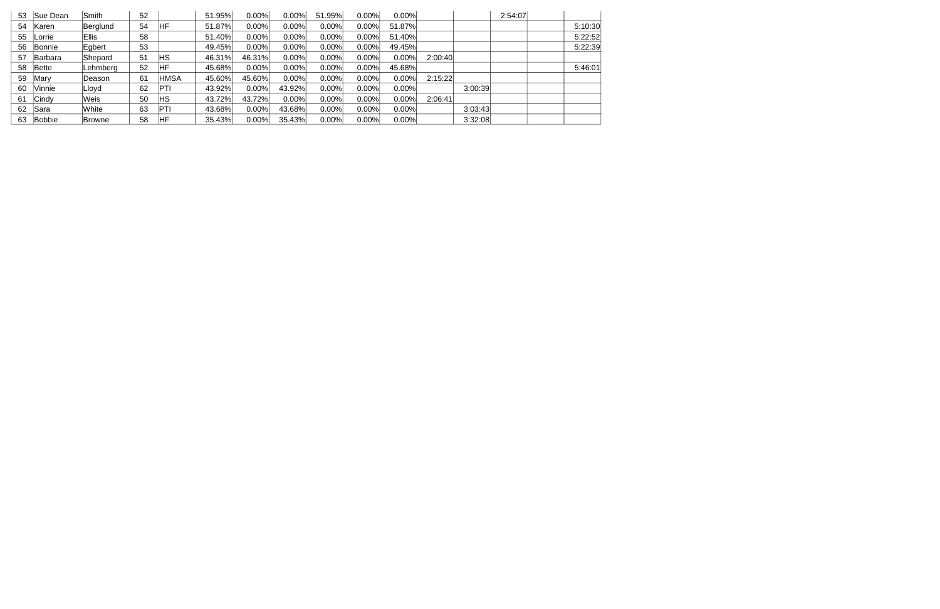| 53 | Sue Dean       | <b>Smith</b>  | 52 |            | 51.95% | $0.00\%$ | $0.00\%$ | 51.95%   | 0.00% | 0.00%    |         |         | 2:54:07 |         |
|----|----------------|---------------|----|------------|--------|----------|----------|----------|-------|----------|---------|---------|---------|---------|
| 54 | Karen          | Berglund      | 54 | ΗF         | 51.87% | $0.00\%$ | 0.00%    | 0.00%    | 0.00% | 51.87%   |         |         |         | 5:10:30 |
| 55 | lLorrie∶       | <b>Ellis</b>  | 58 |            | 51.40% | 0.00%    | 0.00%    | 0.00%    | 0.00% | 51.40%   |         |         |         | 5:22:52 |
| 56 | Bonnie         | Egbert        | 53 |            | 49.45% | 0.00%    | 0.00%    | 0.00%    | 0.00% | 49.45%   |         |         |         | 5:22:39 |
| 57 | <b>Barbara</b> | Shepard       | 51 | ΗS         | 46.31% | 46.31%   | 0.00%    | 0.00%    | 0.00% | 0.00%    | 2:00:40 |         |         |         |
| 58 | Bette          | Lehmberg      | 52 | НF         | 45.68% | 0.00%    | 0.00%    | 0.00%    | 0.00% | 45.68%   |         |         |         | 5:46:01 |
| 59 | Mary           | lDeason       | 61 | HMSA       | 45.60% | 45.60%   | 0.00%    | 0.00%    | 0.00% | 0.00%    | 2:15:22 |         |         |         |
| 60 | Vinnie         | Lloyd         | 62 | <b>PTI</b> | 43.92% | 0.00%    | 43.92%   | 0.00%    | 0.00% | $0.00\%$ |         | 3:00:39 |         |         |
| 61 | Cindy          | Weis          | 50 | НS         | 43.72% | 43.72%   | 0.00%    | $0.00\%$ | 0.00% | 0.00%    | 2:06:41 |         |         |         |
| 62 | Sara           | White         | 63 | <b>PTI</b> | 43.68% | 0.00%    | 43.68%   | $0.00\%$ | 0.00% | 0.00%    |         | 3:03:43 |         |         |
| 63 | Bobbie         | <b>Browne</b> | 58 | HF         | 35.43% | $0.00\%$ | 35.43%   | 0.00%    | 0.00% | 0.00%    |         | 3:32:08 |         |         |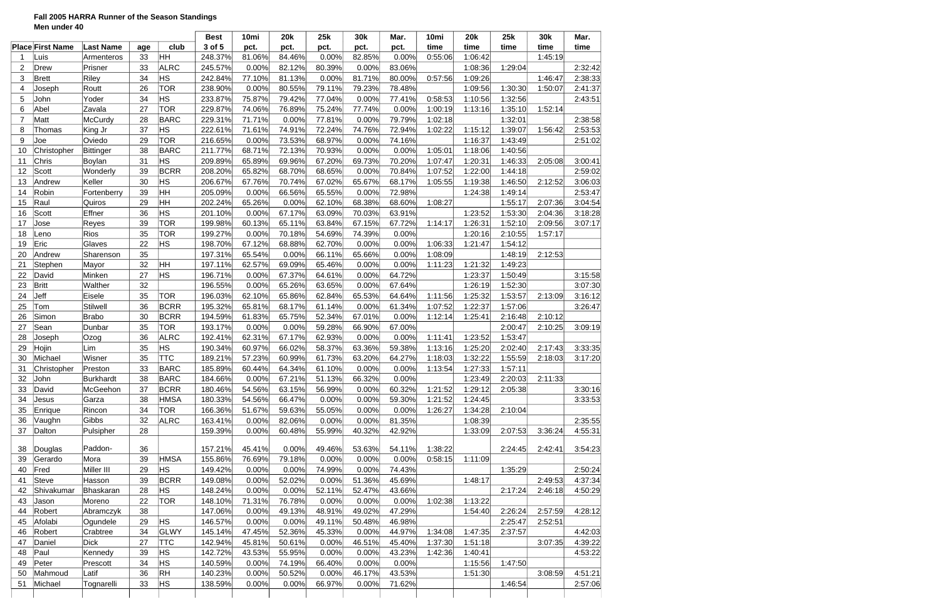### **Fall 2005 HARRA Runner of the Season Standings Men under 40**

| 3 of 5<br><b>Place First Name</b><br>time<br><b>Last Name</b><br>club<br>pct.<br>pct.<br>pct.<br>pct.<br>pct.<br>age<br>ŀНН<br>81.06%<br>84.46%<br>0.00%<br>33<br>248.37%<br>0.00%<br>82.85%<br>0:55:06<br>Luis<br>Armenteros<br><b>ALRC</b><br>Prisner<br>33<br>0.00%<br>82.12%<br>80.39%<br>83.06%<br>$\overline{2}$<br><b>Drew</b><br>245.57%<br>0.00%<br>34<br>HS<br>Riley<br>0:57:56<br>3<br>Brett<br>242.84%<br>77.10%<br>81.13%<br>0.00%<br>81.71%<br>80.00%<br>26<br><b>TOR</b><br>Routt<br>0.00%<br>80.55%<br>78.48%<br>238.90%<br>79.11%<br>79.23%<br>4<br>Joseph<br><b>HS</b><br>34<br>75.87%<br>5<br>Yoder<br>233.87%<br>79.42%<br>77.04%<br>0.00%<br>77.41%<br>0:58:53<br>John<br>Abel<br>27<br><b>TOR</b><br>6<br>Zavala<br>229.87%<br>74.06%<br>76.89%<br>75.24%<br>77.74%<br>0.00%<br>1:00:19<br>Matt<br>28<br><b>BARC</b><br>71.71%<br>79.79%<br>7<br>McCurdy<br>229.31%<br>0.00%<br>77.81%<br>0.00%<br>1:02:18<br>37<br><b>HS</b><br>74.91%<br>8<br>71.61%<br>72.24%<br>74.76%<br>72.94%<br>Thomas<br>King Jr<br>222.61%<br>1:02:22<br>29<br><b>TOR</b><br>0.00%<br>74.16%<br>9<br>Oviedo<br>216.65%<br>73.53%<br>68.97%<br>0.00%<br>Joe<br>38<br><b>BARC</b><br>68.71%<br>72.13%<br>Christopher<br>Bittinger<br>70.93%<br>0.00%<br>0.00%<br>1:05:01<br>211.77%<br>10<br>ΗS<br>Chris<br>31<br>209.89%<br>65.89%<br>69.96%<br>67.20%<br>69.73%<br>70.20%<br>1:07:47<br>11<br>Boylan<br>39<br>Scott<br><b>BCRR</b><br>65.82%<br>68.70%<br>68.65%<br>70.84%<br>12<br>Wonderly<br>208.20%<br>0.00%<br>1:07:52<br>HS<br>30<br>67.76%<br>13<br>Andrew<br>Keller<br>206.67%<br>70.74%<br>67.02%<br>65.67%<br>68.17%<br>1:05:55<br>ŀнн<br>39<br>Robin<br>205.09%<br>0.00%<br>66.56%<br>65.55%<br>0.00%<br>72.98%<br>Fortenberry<br>14<br>ŀнн<br>Raul<br>29<br>65.26%<br>0.00%<br>68.60%<br>1:08:27<br>202.24%<br>62.10%<br>68.38%<br>15<br>Quiros<br><b>HS</b><br>36<br>Scott<br>Effner<br>0.00%<br>67.17%<br>63.91%<br>16<br>201.10%<br>63.09%<br>70.03%<br><b>Reyes</b><br>39<br><b>TOR</b><br>60.13%<br>17<br>199.98%<br>65.11%<br>63.84%<br>67.15%<br>67.72%<br>1:14:17<br>Jose<br>Rios<br>35<br><b>TOR</b><br>0.00%<br>70.18%<br>54.69%<br>74.39%<br>0.00%<br>18<br>199.27%<br>Leno<br>22<br><b>HS</b><br>0.00%<br>1:06:33<br>Eric<br>Glaves<br>198.70%<br>67.12%<br>68.88%<br>62.70%<br>0.00%<br>19<br>35<br>65.54%<br>0.00%<br>65.66%<br>0.00%<br>1:08:09<br>20<br>Andrew<br>Sharenson<br>197.31%<br>66.11%<br>HН<br>32<br>62.57%<br>21<br>Stephen<br>197.11%<br>69.09%<br>65.46%<br>0.00%<br>0.00%<br>1:11:23<br>Mayor<br>HS<br>27<br>64.72%<br>22<br>David<br>Minken<br>196.71%<br>0.00%<br>67.37%<br>64.61%<br>0.00%<br><b>Britt</b><br>32<br>0.00%<br>65.26%<br>67.64%<br>23<br>Walther<br>196.55%<br>63.65%<br>0.00%<br>35<br>Jeff<br><b>TOR</b><br>24<br>62.10%<br>65.86%<br>62.84%<br>65.53%<br>64.64%<br>1:11:56<br>Eisele<br>196.03%<br>Stilwell<br>36<br><b>BCRR</b><br>65.81%<br>61.34%<br>25<br>195.32%<br>68.17%<br>61.14%<br>0.00%<br>1:07:52<br>Tom<br>30<br>Simon<br>Brabo<br><b>BCRR</b><br>61.83%<br>65.75%<br>52.34%<br>67.01%<br>0.00%<br>1:12:14<br>26<br>194.59%<br>35<br><b>TOR</b><br>0.00%<br>67.00%<br>27<br>Sean<br>193.17%<br>0.00%<br>59.28%<br>66.90%<br>Dunbar | time<br>1:06:42<br>1:08:36<br>1:09:26<br>1:09:56<br>1:10:56 | time<br>1:29:04 | time<br>1:45:19 | time    |
|----------------------------------------------------------------------------------------------------------------------------------------------------------------------------------------------------------------------------------------------------------------------------------------------------------------------------------------------------------------------------------------------------------------------------------------------------------------------------------------------------------------------------------------------------------------------------------------------------------------------------------------------------------------------------------------------------------------------------------------------------------------------------------------------------------------------------------------------------------------------------------------------------------------------------------------------------------------------------------------------------------------------------------------------------------------------------------------------------------------------------------------------------------------------------------------------------------------------------------------------------------------------------------------------------------------------------------------------------------------------------------------------------------------------------------------------------------------------------------------------------------------------------------------------------------------------------------------------------------------------------------------------------------------------------------------------------------------------------------------------------------------------------------------------------------------------------------------------------------------------------------------------------------------------------------------------------------------------------------------------------------------------------------------------------------------------------------------------------------------------------------------------------------------------------------------------------------------------------------------------------------------------------------------------------------------------------------------------------------------------------------------------------------------------------------------------------------------------------------------------------------------------------------------------------------------------------------------------------------------------------------------------------------------------------------------------------------------------------------------------------------------------------------------------------------------------------------------------------------------------------------------------------------------------------------------------------------------------------------------------------------------------------------------------------------------------------------------------------------------------------------------------------------------------------------------------------------------|-------------------------------------------------------------|-----------------|-----------------|---------|
|                                                                                                                                                                                                                                                                                                                                                                                                                                                                                                                                                                                                                                                                                                                                                                                                                                                                                                                                                                                                                                                                                                                                                                                                                                                                                                                                                                                                                                                                                                                                                                                                                                                                                                                                                                                                                                                                                                                                                                                                                                                                                                                                                                                                                                                                                                                                                                                                                                                                                                                                                                                                                                                                                                                                                                                                                                                                                                                                                                                                                                                                                                                                                                                                                |                                                             |                 |                 |         |
|                                                                                                                                                                                                                                                                                                                                                                                                                                                                                                                                                                                                                                                                                                                                                                                                                                                                                                                                                                                                                                                                                                                                                                                                                                                                                                                                                                                                                                                                                                                                                                                                                                                                                                                                                                                                                                                                                                                                                                                                                                                                                                                                                                                                                                                                                                                                                                                                                                                                                                                                                                                                                                                                                                                                                                                                                                                                                                                                                                                                                                                                                                                                                                                                                |                                                             |                 |                 |         |
|                                                                                                                                                                                                                                                                                                                                                                                                                                                                                                                                                                                                                                                                                                                                                                                                                                                                                                                                                                                                                                                                                                                                                                                                                                                                                                                                                                                                                                                                                                                                                                                                                                                                                                                                                                                                                                                                                                                                                                                                                                                                                                                                                                                                                                                                                                                                                                                                                                                                                                                                                                                                                                                                                                                                                                                                                                                                                                                                                                                                                                                                                                                                                                                                                |                                                             |                 |                 | 2:32:42 |
|                                                                                                                                                                                                                                                                                                                                                                                                                                                                                                                                                                                                                                                                                                                                                                                                                                                                                                                                                                                                                                                                                                                                                                                                                                                                                                                                                                                                                                                                                                                                                                                                                                                                                                                                                                                                                                                                                                                                                                                                                                                                                                                                                                                                                                                                                                                                                                                                                                                                                                                                                                                                                                                                                                                                                                                                                                                                                                                                                                                                                                                                                                                                                                                                                |                                                             |                 | 1:46:47         | 2:38:33 |
|                                                                                                                                                                                                                                                                                                                                                                                                                                                                                                                                                                                                                                                                                                                                                                                                                                                                                                                                                                                                                                                                                                                                                                                                                                                                                                                                                                                                                                                                                                                                                                                                                                                                                                                                                                                                                                                                                                                                                                                                                                                                                                                                                                                                                                                                                                                                                                                                                                                                                                                                                                                                                                                                                                                                                                                                                                                                                                                                                                                                                                                                                                                                                                                                                |                                                             | 1:30:30         | 1:50:07         | 2:41:37 |
|                                                                                                                                                                                                                                                                                                                                                                                                                                                                                                                                                                                                                                                                                                                                                                                                                                                                                                                                                                                                                                                                                                                                                                                                                                                                                                                                                                                                                                                                                                                                                                                                                                                                                                                                                                                                                                                                                                                                                                                                                                                                                                                                                                                                                                                                                                                                                                                                                                                                                                                                                                                                                                                                                                                                                                                                                                                                                                                                                                                                                                                                                                                                                                                                                |                                                             | 1:32:56         |                 | 2:43:51 |
|                                                                                                                                                                                                                                                                                                                                                                                                                                                                                                                                                                                                                                                                                                                                                                                                                                                                                                                                                                                                                                                                                                                                                                                                                                                                                                                                                                                                                                                                                                                                                                                                                                                                                                                                                                                                                                                                                                                                                                                                                                                                                                                                                                                                                                                                                                                                                                                                                                                                                                                                                                                                                                                                                                                                                                                                                                                                                                                                                                                                                                                                                                                                                                                                                | 1:13:16                                                     | 1:35:10         | 1:52:14         |         |
|                                                                                                                                                                                                                                                                                                                                                                                                                                                                                                                                                                                                                                                                                                                                                                                                                                                                                                                                                                                                                                                                                                                                                                                                                                                                                                                                                                                                                                                                                                                                                                                                                                                                                                                                                                                                                                                                                                                                                                                                                                                                                                                                                                                                                                                                                                                                                                                                                                                                                                                                                                                                                                                                                                                                                                                                                                                                                                                                                                                                                                                                                                                                                                                                                |                                                             | 1:32:01         |                 | 2:38:58 |
|                                                                                                                                                                                                                                                                                                                                                                                                                                                                                                                                                                                                                                                                                                                                                                                                                                                                                                                                                                                                                                                                                                                                                                                                                                                                                                                                                                                                                                                                                                                                                                                                                                                                                                                                                                                                                                                                                                                                                                                                                                                                                                                                                                                                                                                                                                                                                                                                                                                                                                                                                                                                                                                                                                                                                                                                                                                                                                                                                                                                                                                                                                                                                                                                                | 1:15:12                                                     | 1:39:07         | 1:56:42         | 2:53:53 |
|                                                                                                                                                                                                                                                                                                                                                                                                                                                                                                                                                                                                                                                                                                                                                                                                                                                                                                                                                                                                                                                                                                                                                                                                                                                                                                                                                                                                                                                                                                                                                                                                                                                                                                                                                                                                                                                                                                                                                                                                                                                                                                                                                                                                                                                                                                                                                                                                                                                                                                                                                                                                                                                                                                                                                                                                                                                                                                                                                                                                                                                                                                                                                                                                                | 1:16:37                                                     | 1:43:49         |                 | 2:51:02 |
|                                                                                                                                                                                                                                                                                                                                                                                                                                                                                                                                                                                                                                                                                                                                                                                                                                                                                                                                                                                                                                                                                                                                                                                                                                                                                                                                                                                                                                                                                                                                                                                                                                                                                                                                                                                                                                                                                                                                                                                                                                                                                                                                                                                                                                                                                                                                                                                                                                                                                                                                                                                                                                                                                                                                                                                                                                                                                                                                                                                                                                                                                                                                                                                                                | 1:18:06                                                     | 1:40:56         |                 |         |
|                                                                                                                                                                                                                                                                                                                                                                                                                                                                                                                                                                                                                                                                                                                                                                                                                                                                                                                                                                                                                                                                                                                                                                                                                                                                                                                                                                                                                                                                                                                                                                                                                                                                                                                                                                                                                                                                                                                                                                                                                                                                                                                                                                                                                                                                                                                                                                                                                                                                                                                                                                                                                                                                                                                                                                                                                                                                                                                                                                                                                                                                                                                                                                                                                | 1:20:31                                                     | 1:46:33         | 2:05:08         | 3:00:41 |
|                                                                                                                                                                                                                                                                                                                                                                                                                                                                                                                                                                                                                                                                                                                                                                                                                                                                                                                                                                                                                                                                                                                                                                                                                                                                                                                                                                                                                                                                                                                                                                                                                                                                                                                                                                                                                                                                                                                                                                                                                                                                                                                                                                                                                                                                                                                                                                                                                                                                                                                                                                                                                                                                                                                                                                                                                                                                                                                                                                                                                                                                                                                                                                                                                | 1:22:00                                                     | 1:44:18         |                 | 2:59:02 |
|                                                                                                                                                                                                                                                                                                                                                                                                                                                                                                                                                                                                                                                                                                                                                                                                                                                                                                                                                                                                                                                                                                                                                                                                                                                                                                                                                                                                                                                                                                                                                                                                                                                                                                                                                                                                                                                                                                                                                                                                                                                                                                                                                                                                                                                                                                                                                                                                                                                                                                                                                                                                                                                                                                                                                                                                                                                                                                                                                                                                                                                                                                                                                                                                                | 1:19:38                                                     | 1:46:50         | 2:12:52         | 3:06:03 |
|                                                                                                                                                                                                                                                                                                                                                                                                                                                                                                                                                                                                                                                                                                                                                                                                                                                                                                                                                                                                                                                                                                                                                                                                                                                                                                                                                                                                                                                                                                                                                                                                                                                                                                                                                                                                                                                                                                                                                                                                                                                                                                                                                                                                                                                                                                                                                                                                                                                                                                                                                                                                                                                                                                                                                                                                                                                                                                                                                                                                                                                                                                                                                                                                                | 1:24:38                                                     | 1:49:14         |                 | 2:53:47 |
|                                                                                                                                                                                                                                                                                                                                                                                                                                                                                                                                                                                                                                                                                                                                                                                                                                                                                                                                                                                                                                                                                                                                                                                                                                                                                                                                                                                                                                                                                                                                                                                                                                                                                                                                                                                                                                                                                                                                                                                                                                                                                                                                                                                                                                                                                                                                                                                                                                                                                                                                                                                                                                                                                                                                                                                                                                                                                                                                                                                                                                                                                                                                                                                                                |                                                             | 1:55:17         | 2:07:36         | 3:04:54 |
|                                                                                                                                                                                                                                                                                                                                                                                                                                                                                                                                                                                                                                                                                                                                                                                                                                                                                                                                                                                                                                                                                                                                                                                                                                                                                                                                                                                                                                                                                                                                                                                                                                                                                                                                                                                                                                                                                                                                                                                                                                                                                                                                                                                                                                                                                                                                                                                                                                                                                                                                                                                                                                                                                                                                                                                                                                                                                                                                                                                                                                                                                                                                                                                                                | 1:23:52                                                     | 1:53:30         | 2:04:36         | 3:18:28 |
|                                                                                                                                                                                                                                                                                                                                                                                                                                                                                                                                                                                                                                                                                                                                                                                                                                                                                                                                                                                                                                                                                                                                                                                                                                                                                                                                                                                                                                                                                                                                                                                                                                                                                                                                                                                                                                                                                                                                                                                                                                                                                                                                                                                                                                                                                                                                                                                                                                                                                                                                                                                                                                                                                                                                                                                                                                                                                                                                                                                                                                                                                                                                                                                                                | 1:26:31                                                     | 1:52:10         | 2:09:56         | 3:07:17 |
|                                                                                                                                                                                                                                                                                                                                                                                                                                                                                                                                                                                                                                                                                                                                                                                                                                                                                                                                                                                                                                                                                                                                                                                                                                                                                                                                                                                                                                                                                                                                                                                                                                                                                                                                                                                                                                                                                                                                                                                                                                                                                                                                                                                                                                                                                                                                                                                                                                                                                                                                                                                                                                                                                                                                                                                                                                                                                                                                                                                                                                                                                                                                                                                                                | 1:20:16                                                     | 2:10:55         | 1:57:17         |         |
|                                                                                                                                                                                                                                                                                                                                                                                                                                                                                                                                                                                                                                                                                                                                                                                                                                                                                                                                                                                                                                                                                                                                                                                                                                                                                                                                                                                                                                                                                                                                                                                                                                                                                                                                                                                                                                                                                                                                                                                                                                                                                                                                                                                                                                                                                                                                                                                                                                                                                                                                                                                                                                                                                                                                                                                                                                                                                                                                                                                                                                                                                                                                                                                                                | 1:21:47                                                     | 1:54:12         |                 |         |
|                                                                                                                                                                                                                                                                                                                                                                                                                                                                                                                                                                                                                                                                                                                                                                                                                                                                                                                                                                                                                                                                                                                                                                                                                                                                                                                                                                                                                                                                                                                                                                                                                                                                                                                                                                                                                                                                                                                                                                                                                                                                                                                                                                                                                                                                                                                                                                                                                                                                                                                                                                                                                                                                                                                                                                                                                                                                                                                                                                                                                                                                                                                                                                                                                |                                                             | 1:48:19         | 2:12:53         |         |
|                                                                                                                                                                                                                                                                                                                                                                                                                                                                                                                                                                                                                                                                                                                                                                                                                                                                                                                                                                                                                                                                                                                                                                                                                                                                                                                                                                                                                                                                                                                                                                                                                                                                                                                                                                                                                                                                                                                                                                                                                                                                                                                                                                                                                                                                                                                                                                                                                                                                                                                                                                                                                                                                                                                                                                                                                                                                                                                                                                                                                                                                                                                                                                                                                |                                                             |                 |                 |         |
|                                                                                                                                                                                                                                                                                                                                                                                                                                                                                                                                                                                                                                                                                                                                                                                                                                                                                                                                                                                                                                                                                                                                                                                                                                                                                                                                                                                                                                                                                                                                                                                                                                                                                                                                                                                                                                                                                                                                                                                                                                                                                                                                                                                                                                                                                                                                                                                                                                                                                                                                                                                                                                                                                                                                                                                                                                                                                                                                                                                                                                                                                                                                                                                                                | 1:21:32                                                     | 1:49:23         |                 |         |
|                                                                                                                                                                                                                                                                                                                                                                                                                                                                                                                                                                                                                                                                                                                                                                                                                                                                                                                                                                                                                                                                                                                                                                                                                                                                                                                                                                                                                                                                                                                                                                                                                                                                                                                                                                                                                                                                                                                                                                                                                                                                                                                                                                                                                                                                                                                                                                                                                                                                                                                                                                                                                                                                                                                                                                                                                                                                                                                                                                                                                                                                                                                                                                                                                | 1:23:37                                                     | 1:50:49         |                 | 3:15:58 |
|                                                                                                                                                                                                                                                                                                                                                                                                                                                                                                                                                                                                                                                                                                                                                                                                                                                                                                                                                                                                                                                                                                                                                                                                                                                                                                                                                                                                                                                                                                                                                                                                                                                                                                                                                                                                                                                                                                                                                                                                                                                                                                                                                                                                                                                                                                                                                                                                                                                                                                                                                                                                                                                                                                                                                                                                                                                                                                                                                                                                                                                                                                                                                                                                                | 1:26:19                                                     | 1:52:30         |                 | 3:07:30 |
|                                                                                                                                                                                                                                                                                                                                                                                                                                                                                                                                                                                                                                                                                                                                                                                                                                                                                                                                                                                                                                                                                                                                                                                                                                                                                                                                                                                                                                                                                                                                                                                                                                                                                                                                                                                                                                                                                                                                                                                                                                                                                                                                                                                                                                                                                                                                                                                                                                                                                                                                                                                                                                                                                                                                                                                                                                                                                                                                                                                                                                                                                                                                                                                                                | 1:25:32                                                     | 1:53:57         | 2:13:09         | 3:16:12 |
|                                                                                                                                                                                                                                                                                                                                                                                                                                                                                                                                                                                                                                                                                                                                                                                                                                                                                                                                                                                                                                                                                                                                                                                                                                                                                                                                                                                                                                                                                                                                                                                                                                                                                                                                                                                                                                                                                                                                                                                                                                                                                                                                                                                                                                                                                                                                                                                                                                                                                                                                                                                                                                                                                                                                                                                                                                                                                                                                                                                                                                                                                                                                                                                                                | 1:22:37                                                     | 1:57:06         |                 | 3:26:47 |
|                                                                                                                                                                                                                                                                                                                                                                                                                                                                                                                                                                                                                                                                                                                                                                                                                                                                                                                                                                                                                                                                                                                                                                                                                                                                                                                                                                                                                                                                                                                                                                                                                                                                                                                                                                                                                                                                                                                                                                                                                                                                                                                                                                                                                                                                                                                                                                                                                                                                                                                                                                                                                                                                                                                                                                                                                                                                                                                                                                                                                                                                                                                                                                                                                | 1:25:41                                                     | 2:16:48         | 2:10:12         |         |
|                                                                                                                                                                                                                                                                                                                                                                                                                                                                                                                                                                                                                                                                                                                                                                                                                                                                                                                                                                                                                                                                                                                                                                                                                                                                                                                                                                                                                                                                                                                                                                                                                                                                                                                                                                                                                                                                                                                                                                                                                                                                                                                                                                                                                                                                                                                                                                                                                                                                                                                                                                                                                                                                                                                                                                                                                                                                                                                                                                                                                                                                                                                                                                                                                |                                                             | 2:00:47         | 2:10:25         | 3:09:19 |
| 36<br><b>ALRC</b><br>62.31%<br>67.17%<br>0.00%<br>28<br>192.41%<br>62.93%<br>0.00%<br>1:11:41<br>Ozog<br>Joseph                                                                                                                                                                                                                                                                                                                                                                                                                                                                                                                                                                                                                                                                                                                                                                                                                                                                                                                                                                                                                                                                                                                                                                                                                                                                                                                                                                                                                                                                                                                                                                                                                                                                                                                                                                                                                                                                                                                                                                                                                                                                                                                                                                                                                                                                                                                                                                                                                                                                                                                                                                                                                                                                                                                                                                                                                                                                                                                                                                                                                                                                                                | 1:23:52                                                     | 1:53:47         |                 |         |
| <b>HS</b><br>35<br>60.97%<br>59.38%<br>29<br>Hojin<br>Lim<br>190.34%<br>66.02%<br>58.37%<br>63.36%<br>1:13:16                                                                                                                                                                                                                                                                                                                                                                                                                                                                                                                                                                                                                                                                                                                                                                                                                                                                                                                                                                                                                                                                                                                                                                                                                                                                                                                                                                                                                                                                                                                                                                                                                                                                                                                                                                                                                                                                                                                                                                                                                                                                                                                                                                                                                                                                                                                                                                                                                                                                                                                                                                                                                                                                                                                                                                                                                                                                                                                                                                                                                                                                                                  | 1:25:20                                                     | 2:02:40         | 2:17:43         | 3:33:35 |
| Wisner<br>Michael<br>35<br><b>TTC</b><br>189.21%<br>57.23%<br>60.99%<br>61.73%<br>63.20%<br>64.27%<br>1:18:03<br>30                                                                                                                                                                                                                                                                                                                                                                                                                                                                                                                                                                                                                                                                                                                                                                                                                                                                                                                                                                                                                                                                                                                                                                                                                                                                                                                                                                                                                                                                                                                                                                                                                                                                                                                                                                                                                                                                                                                                                                                                                                                                                                                                                                                                                                                                                                                                                                                                                                                                                                                                                                                                                                                                                                                                                                                                                                                                                                                                                                                                                                                                                            | 1:32:22                                                     | 1:55:59         | 2:18:03         | 3:17:20 |
| 33<br><b>BARC</b><br>60.44%<br>64.34%<br>0.00%<br>31<br>185.89%<br>61.10%<br>0.00%<br>1:13:54<br>Christopher<br>Preston                                                                                                                                                                                                                                                                                                                                                                                                                                                                                                                                                                                                                                                                                                                                                                                                                                                                                                                                                                                                                                                                                                                                                                                                                                                                                                                                                                                                                                                                                                                                                                                                                                                                                                                                                                                                                                                                                                                                                                                                                                                                                                                                                                                                                                                                                                                                                                                                                                                                                                                                                                                                                                                                                                                                                                                                                                                                                                                                                                                                                                                                                        | 1:27:33                                                     | 1:57:11         |                 |         |
| 32 $\vert$ John<br><b>BARC</b><br>Burkhardt<br>38<br>184.66%<br>51.13%<br>0.00%<br>0.00%<br>67.21%<br>66.32%                                                                                                                                                                                                                                                                                                                                                                                                                                                                                                                                                                                                                                                                                                                                                                                                                                                                                                                                                                                                                                                                                                                                                                                                                                                                                                                                                                                                                                                                                                                                                                                                                                                                                                                                                                                                                                                                                                                                                                                                                                                                                                                                                                                                                                                                                                                                                                                                                                                                                                                                                                                                                                                                                                                                                                                                                                                                                                                                                                                                                                                                                                   | 1:23:49                                                     | 2:20:03         | 2:11:33         |         |
| David<br><b>BCRR</b><br>54.56%<br>63.15%<br>0.00%<br>60.32%<br>33<br>McGeehon<br>37<br>180.46%<br>56.99%<br>1:21:52                                                                                                                                                                                                                                                                                                                                                                                                                                                                                                                                                                                                                                                                                                                                                                                                                                                                                                                                                                                                                                                                                                                                                                                                                                                                                                                                                                                                                                                                                                                                                                                                                                                                                                                                                                                                                                                                                                                                                                                                                                                                                                                                                                                                                                                                                                                                                                                                                                                                                                                                                                                                                                                                                                                                                                                                                                                                                                                                                                                                                                                                                            | 1:29:12                                                     | 2:05:38         |                 | 3:30:16 |
| <b>HMSA</b><br>54.56%<br>66.47%<br>59.30%<br>34<br>Jesus<br>Garza<br>38<br>180.33%<br>0.00%<br>0.00%<br>1:21:52                                                                                                                                                                                                                                                                                                                                                                                                                                                                                                                                                                                                                                                                                                                                                                                                                                                                                                                                                                                                                                                                                                                                                                                                                                                                                                                                                                                                                                                                                                                                                                                                                                                                                                                                                                                                                                                                                                                                                                                                                                                                                                                                                                                                                                                                                                                                                                                                                                                                                                                                                                                                                                                                                                                                                                                                                                                                                                                                                                                                                                                                                                | 1:24:45                                                     |                 |                 | 3:33:53 |
| Rincon<br>34<br><b>TOR</b><br>166.36%<br>51.67%<br>59.63%<br>55.05%<br>0.00%<br>0.00%<br>1:26:27<br>35<br>Enrique                                                                                                                                                                                                                                                                                                                                                                                                                                                                                                                                                                                                                                                                                                                                                                                                                                                                                                                                                                                                                                                                                                                                                                                                                                                                                                                                                                                                                                                                                                                                                                                                                                                                                                                                                                                                                                                                                                                                                                                                                                                                                                                                                                                                                                                                                                                                                                                                                                                                                                                                                                                                                                                                                                                                                                                                                                                                                                                                                                                                                                                                                              | 1:34:28                                                     | 2:10:04         |                 |         |
| Gibbs<br>32<br><b>ALRC</b><br>0.00%<br>81.35%<br>36<br>163.41%<br>82.06%<br>0.00%<br>0.00%<br>Vaughn                                                                                                                                                                                                                                                                                                                                                                                                                                                                                                                                                                                                                                                                                                                                                                                                                                                                                                                                                                                                                                                                                                                                                                                                                                                                                                                                                                                                                                                                                                                                                                                                                                                                                                                                                                                                                                                                                                                                                                                                                                                                                                                                                                                                                                                                                                                                                                                                                                                                                                                                                                                                                                                                                                                                                                                                                                                                                                                                                                                                                                                                                                           | 1:08:39                                                     |                 |                 | 2:35:55 |
| 37<br>28<br>159.39%<br>0.00%<br>40.32%<br>42.92%<br>Dalton<br>Pulsipher<br>60.48%<br>55.99%                                                                                                                                                                                                                                                                                                                                                                                                                                                                                                                                                                                                                                                                                                                                                                                                                                                                                                                                                                                                                                                                                                                                                                                                                                                                                                                                                                                                                                                                                                                                                                                                                                                                                                                                                                                                                                                                                                                                                                                                                                                                                                                                                                                                                                                                                                                                                                                                                                                                                                                                                                                                                                                                                                                                                                                                                                                                                                                                                                                                                                                                                                                    | 1:33:09                                                     | 2:07:53         | 3:36:24         | 4:55:31 |
|                                                                                                                                                                                                                                                                                                                                                                                                                                                                                                                                                                                                                                                                                                                                                                                                                                                                                                                                                                                                                                                                                                                                                                                                                                                                                                                                                                                                                                                                                                                                                                                                                                                                                                                                                                                                                                                                                                                                                                                                                                                                                                                                                                                                                                                                                                                                                                                                                                                                                                                                                                                                                                                                                                                                                                                                                                                                                                                                                                                                                                                                                                                                                                                                                |                                                             |                 |                 |         |
| Paddon-<br>36<br>38<br>157.21%<br>45.41%<br>0.00%<br>49.46%<br>53.63%<br>54.11%<br>1:38:22<br>Douglas                                                                                                                                                                                                                                                                                                                                                                                                                                                                                                                                                                                                                                                                                                                                                                                                                                                                                                                                                                                                                                                                                                                                                                                                                                                                                                                                                                                                                                                                                                                                                                                                                                                                                                                                                                                                                                                                                                                                                                                                                                                                                                                                                                                                                                                                                                                                                                                                                                                                                                                                                                                                                                                                                                                                                                                                                                                                                                                                                                                                                                                                                                          |                                                             | 2:24:45         | 2:42:41         | 3:54:23 |
| <b>HMSA</b><br>76.69%<br>79.18%<br>0.00%<br>Gerardo<br>39<br>155.86%<br>0.00%<br>0.00%<br>0:58:15<br>39<br>Mora                                                                                                                                                                                                                                                                                                                                                                                                                                                                                                                                                                                                                                                                                                                                                                                                                                                                                                                                                                                                                                                                                                                                                                                                                                                                                                                                                                                                                                                                                                                                                                                                                                                                                                                                                                                                                                                                                                                                                                                                                                                                                                                                                                                                                                                                                                                                                                                                                                                                                                                                                                                                                                                                                                                                                                                                                                                                                                                                                                                                                                                                                                | 1:11:09                                                     |                 |                 |         |
| ΗS<br>Fred<br>29<br>0.00%<br>74.43%<br>40<br>Miller III<br>149.42%<br>0.00%<br>74.99%<br>0.00%                                                                                                                                                                                                                                                                                                                                                                                                                                                                                                                                                                                                                                                                                                                                                                                                                                                                                                                                                                                                                                                                                                                                                                                                                                                                                                                                                                                                                                                                                                                                                                                                                                                                                                                                                                                                                                                                                                                                                                                                                                                                                                                                                                                                                                                                                                                                                                                                                                                                                                                                                                                                                                                                                                                                                                                                                                                                                                                                                                                                                                                                                                                 |                                                             | 1:35:29         |                 | 2:50:24 |
| 39<br><b>BCRR</b><br>0.00%<br>45.69%<br>Steve<br>149.08%<br>52.02%<br>0.00%<br>51.36%<br>41<br>Hasson                                                                                                                                                                                                                                                                                                                                                                                                                                                                                                                                                                                                                                                                                                                                                                                                                                                                                                                                                                                                                                                                                                                                                                                                                                                                                                                                                                                                                                                                                                                                                                                                                                                                                                                                                                                                                                                                                                                                                                                                                                                                                                                                                                                                                                                                                                                                                                                                                                                                                                                                                                                                                                                                                                                                                                                                                                                                                                                                                                                                                                                                                                          | 1:48:17                                                     |                 | 2:49:53         | 4:37:34 |
| ΗS<br>0.00%<br>43.66%<br>42<br>Shivakumar<br>28<br>148.24%<br>0.00%<br>52.11%<br>52.47%<br>Bhaskaran                                                                                                                                                                                                                                                                                                                                                                                                                                                                                                                                                                                                                                                                                                                                                                                                                                                                                                                                                                                                                                                                                                                                                                                                                                                                                                                                                                                                                                                                                                                                                                                                                                                                                                                                                                                                                                                                                                                                                                                                                                                                                                                                                                                                                                                                                                                                                                                                                                                                                                                                                                                                                                                                                                                                                                                                                                                                                                                                                                                                                                                                                                           |                                                             | 2:17:24         | 2:46:18         | 4:50:29 |
| 71.31%<br>0.00%<br>Jason<br>22<br><b>TOR</b><br>148.10%<br>76.78%<br>0.00%<br>0.00%<br>1:02:38<br>43<br>Moreno                                                                                                                                                                                                                                                                                                                                                                                                                                                                                                                                                                                                                                                                                                                                                                                                                                                                                                                                                                                                                                                                                                                                                                                                                                                                                                                                                                                                                                                                                                                                                                                                                                                                                                                                                                                                                                                                                                                                                                                                                                                                                                                                                                                                                                                                                                                                                                                                                                                                                                                                                                                                                                                                                                                                                                                                                                                                                                                                                                                                                                                                                                 | 1:13:22                                                     |                 |                 |         |
| Robert<br>38<br>0.00%<br>49.13%<br>49.02%<br>47.29%<br>44<br>147.06%<br>48.91%<br>Abramczyk                                                                                                                                                                                                                                                                                                                                                                                                                                                                                                                                                                                                                                                                                                                                                                                                                                                                                                                                                                                                                                                                                                                                                                                                                                                                                                                                                                                                                                                                                                                                                                                                                                                                                                                                                                                                                                                                                                                                                                                                                                                                                                                                                                                                                                                                                                                                                                                                                                                                                                                                                                                                                                                                                                                                                                                                                                                                                                                                                                                                                                                                                                                    | 1:54:40                                                     | 2:26:24         | 2:57:59         | 4:28:12 |
| HS<br>Afolabi<br>29<br>0.00%<br>46.98%<br>45<br>Ogundele<br>0.00%<br>49.11%<br>50.48%<br>146.57%                                                                                                                                                                                                                                                                                                                                                                                                                                                                                                                                                                                                                                                                                                                                                                                                                                                                                                                                                                                                                                                                                                                                                                                                                                                                                                                                                                                                                                                                                                                                                                                                                                                                                                                                                                                                                                                                                                                                                                                                                                                                                                                                                                                                                                                                                                                                                                                                                                                                                                                                                                                                                                                                                                                                                                                                                                                                                                                                                                                                                                                                                                               |                                                             | 2:25:47         | 2:52:51         |         |
| GLWY<br>47.45%<br>44.97%<br>46<br>Robert<br>Crabtree<br>34<br>145.14%<br>52.36%<br>45.33%<br>0.00%<br>1:34:08                                                                                                                                                                                                                                                                                                                                                                                                                                                                                                                                                                                                                                                                                                                                                                                                                                                                                                                                                                                                                                                                                                                                                                                                                                                                                                                                                                                                                                                                                                                                                                                                                                                                                                                                                                                                                                                                                                                                                                                                                                                                                                                                                                                                                                                                                                                                                                                                                                                                                                                                                                                                                                                                                                                                                                                                                                                                                                                                                                                                                                                                                                  | 1:47:35                                                     | 2:37:57         |                 | 4:42:03 |
| <b>Dick</b><br>45.40%<br>Daniel<br>27<br><b>TTC</b><br>142.94%<br>45.81%<br>50.61%<br>0.00%<br>46.51%<br>1:37:30<br>47                                                                                                                                                                                                                                                                                                                                                                                                                                                                                                                                                                                                                                                                                                                                                                                                                                                                                                                                                                                                                                                                                                                                                                                                                                                                                                                                                                                                                                                                                                                                                                                                                                                                                                                                                                                                                                                                                                                                                                                                                                                                                                                                                                                                                                                                                                                                                                                                                                                                                                                                                                                                                                                                                                                                                                                                                                                                                                                                                                                                                                                                                         | 1:51:18                                                     |                 | 3:07:35         | 4:39:22 |
| ΗS<br>55.95%<br>43.23%<br>48<br>Paul<br>39<br>142.72%<br>43.53%<br>0.00%<br>0.00%<br>1:42:36<br>Kennedy                                                                                                                                                                                                                                                                                                                                                                                                                                                                                                                                                                                                                                                                                                                                                                                                                                                                                                                                                                                                                                                                                                                                                                                                                                                                                                                                                                                                                                                                                                                                                                                                                                                                                                                                                                                                                                                                                                                                                                                                                                                                                                                                                                                                                                                                                                                                                                                                                                                                                                                                                                                                                                                                                                                                                                                                                                                                                                                                                                                                                                                                                                        | 1:40:41                                                     |                 |                 | 4:53:22 |
| 34<br><b>HS</b><br>0.00%<br>Peter<br>0.00%<br>74.19%<br>0.00%<br>49<br>Prescott<br>140.59%<br>66.40%                                                                                                                                                                                                                                                                                                                                                                                                                                                                                                                                                                                                                                                                                                                                                                                                                                                                                                                                                                                                                                                                                                                                                                                                                                                                                                                                                                                                                                                                                                                                                                                                                                                                                                                                                                                                                                                                                                                                                                                                                                                                                                                                                                                                                                                                                                                                                                                                                                                                                                                                                                                                                                                                                                                                                                                                                                                                                                                                                                                                                                                                                                           | 1:15:56                                                     | 1:47:50         |                 |         |
| 36<br>RH<br>0.00%<br>43.53%<br>50<br>Mahmoud<br>Latif<br>140.23%<br>50.52%<br>0.00%<br>46.17%                                                                                                                                                                                                                                                                                                                                                                                                                                                                                                                                                                                                                                                                                                                                                                                                                                                                                                                                                                                                                                                                                                                                                                                                                                                                                                                                                                                                                                                                                                                                                                                                                                                                                                                                                                                                                                                                                                                                                                                                                                                                                                                                                                                                                                                                                                                                                                                                                                                                                                                                                                                                                                                                                                                                                                                                                                                                                                                                                                                                                                                                                                                  |                                                             |                 |                 |         |
| 33<br><b>HS</b><br>0.00%<br>71.62%<br>51<br>Michael<br>138.59%<br>0.00%<br>66.97%<br>0.00%<br>Tognarelli                                                                                                                                                                                                                                                                                                                                                                                                                                                                                                                                                                                                                                                                                                                                                                                                                                                                                                                                                                                                                                                                                                                                                                                                                                                                                                                                                                                                                                                                                                                                                                                                                                                                                                                                                                                                                                                                                                                                                                                                                                                                                                                                                                                                                                                                                                                                                                                                                                                                                                                                                                                                                                                                                                                                                                                                                                                                                                                                                                                                                                                                                                       | 1:51:30                                                     |                 | 3:08:59         | 4:51:21 |
|                                                                                                                                                                                                                                                                                                                                                                                                                                                                                                                                                                                                                                                                                                                                                                                                                                                                                                                                                                                                                                                                                                                                                                                                                                                                                                                                                                                                                                                                                                                                                                                                                                                                                                                                                                                                                                                                                                                                                                                                                                                                                                                                                                                                                                                                                                                                                                                                                                                                                                                                                                                                                                                                                                                                                                                                                                                                                                                                                                                                                                                                                                                                                                                                                |                                                             | 1:46:54         |                 | 2:57:06 |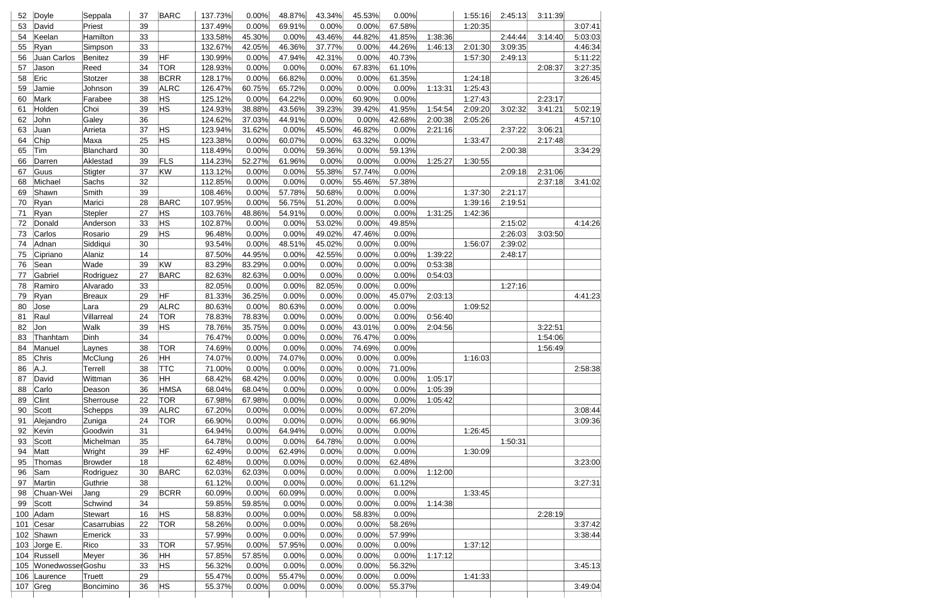| 52       | Doyle            | Seppala                  | 37       | <b>BARC</b>      | 137.73%          | 0.00%           | 48.87%         | 43.34%          | 45.53%         | 0.00%           |         | 1:55:16 | 2:45:13 | 3:11:39 |         |
|----------|------------------|--------------------------|----------|------------------|------------------|-----------------|----------------|-----------------|----------------|-----------------|---------|---------|---------|---------|---------|
| 53       | David            | Priest                   | 39       |                  | 137.49%          | 0.00%           | 69.91%         | 0.00%           | 0.00%          | 67.58%          |         | 1:20:35 |         |         | 3:07:41 |
| 54       | Keelan           | Hamilton                 | 33       |                  | 133.58%          | 45.30%          | 0.00%          | 43.46%          | 44.82%         | 41.85%          | 1:38:36 |         | 2:44:44 | 3:14:40 | 5:03:03 |
| 55       | Ryan             | Simpson                  | 33       |                  | 132.67%          | 42.05%          | 46.36%         | 37.77%          | 0.00%          | 44.26%          | 1:46:13 | 2:01:30 | 3:09:35 |         | 4:46:34 |
| 56       | Juan Carlos      | Benitez                  | 39       | HF               | 130.99%          | 0.00%           | 47.94%         | 42.31%          | 0.00%          | 40.73%          |         | 1:57:30 | 2:49:13 |         | 5:11:22 |
| 57       | Jason            | Reed                     | 34       | <b>TOR</b>       | 128.93%          | 0.00%           | 0.00%          | 0.00%           | 67.83%         | 61.10%          |         |         |         | 2:08:37 | 3:27:35 |
| 58       | Eric             | Stotzer                  | 38       | <b>BCRR</b>      | 128.17%          | 0.00%           | 66.82%         | 0.00%           | 0.00%          | 61.35%          |         | 1:24:18 |         |         | 3:26:45 |
| 59       | Jamie            | Johnson                  | 39       | <b>ALRC</b>      | 126.47%          | 60.75%          | 65.72%         | 0.00%           | 0.00%          | 0.00%           | 1:13:31 | 1:25:43 |         |         |         |
| 60       | Mark             | Farabee                  | 38       | HS               | 125.12%          | 0.00%           | 64.22%         | 0.00%           | 60.90%         | 0.00%           |         | 1:27:43 |         | 2:23:17 |         |
| 61       | Holden           | Choi                     | 39       | HS.              | 124.93%          | 38.88%          | 43.56%         | 39.23%          | 39.42%         | 41.95%          | 1:54:54 | 2:09:20 | 3:02:32 | 3:41:21 | 5:02:19 |
| 62       | John             | Galey                    | 36       |                  | 124.62%          | 37.03%          | 44.91%         | 0.00%           | 0.00%          | 42.68%          | 2:00:38 | 2:05:26 |         |         | 4:57:10 |
| 63       | Juan             | Arrieta                  | 37       | HS.              | 123.94%          | 31.62%          | 0.00%          | 45.50%          | 46.82%         | 0.00%           | 2:21:16 |         | 2:37:22 | 3:06:21 |         |
| 64       | Chip             | Maxa                     | 25       | HS               | 123.38%          | 0.00%           | 60.07%         | 0.00%           | 63.32%         | 0.00%           |         | 1:33:47 |         | 2:17:48 |         |
| 65       | Tim              | Blanchard                | 30       |                  | 118.49%          | 0.00%           | 0.00%          | 59.36%          | 0.00%          | 59.13%          |         |         | 2:00:38 |         | 3:34:29 |
| 66       | Darren           | Aklestad                 | 39       | FLS              | 114.23%          | 52.27%          | 61.96%         | 0.00%           | 0.00%          | 0.00%           | 1:25:27 | 1:30:55 |         |         |         |
| 67       | Guus             | Stigter                  | 37       | KW               | 113.12%          | 0.00%           | 0.00%          | 55.38%          | 57.74%         | 0.00%           |         |         | 2:09:18 | 2:31:06 |         |
| 68       | Michael          | Sachs                    | 32       |                  | 112.85%          | 0.00%           | 0.00%          | 0.00%           | 55.46%         | 57.38%          |         |         |         | 2:37:18 | 3:41:02 |
| 69       | Shawn            | Smith                    | 39       |                  | 108.46%          | 0.00%           | 57.78%         | 50.68%          | 0.00%          | 0.00%           |         | 1:37:30 | 2:21:17 |         |         |
| 70       | Ryan             | Marici                   | 28       | <b>BARC</b>      | 107.95%          | 0.00%           | 56.75%         | 51.20%          | 0.00%          | 0.00%           |         | 1:39:16 | 2:19:51 |         |         |
| 71       | Ryan             | <b>Stepler</b>           | 27       | HS.              | 103.76%          | 48.86%          | 54.91%         | 0.00%           | 0.00%          | 0.00%           | 1:31:25 | 1:42:36 |         |         |         |
| 72       | Donald           | Anderson                 | 33       | HS               | 102.87%          | 0.00%           | 0.00%          | 53.02%          | 0.00%          | 49.85%          |         |         | 2:15:02 |         | 4:14:26 |
| 73       | Carlos           | Rosario                  | 29       | HS               | 96.48%           | 0.00%           | 0.00%          | 49.02%          | 47.46%         | 0.00%           |         |         | 2:26:03 | 3:03:50 |         |
| 74       | Adnan            | Siddiqui                 | 30       |                  | 93.54%           | 0.00%           | 48.51%         | 45.02%          | 0.00%          | 0.00%           |         | 1:56:07 | 2:39:02 |         |         |
| 75       | Cipriano         | Alaniz                   | 14       |                  | 87.50%           | 44.95%          | 0.00%          | 42.55%          | 0.00%          | 0.00%           | 1:39:22 |         | 2:48:17 |         |         |
| 76       | Sean             | Wade                     | 39       | KW               | 83.29%           | 83.29%          | 0.00%          | 0.00%           | 0.00%          | 0.00%           | 0:53:38 |         |         |         |         |
| 77       | Gabriel          | Rodriguez                | 27       | <b>BARC</b>      | 82.63%           | 82.63%          | 0.00%          | 0.00%           | 0.00%          | 0.00%           | 0:54:03 |         |         |         |         |
| 78       | Ramiro           | Alvarado                 | 33       |                  | 82.05%           | 0.00%           | 0.00%          | 82.05%          | 0.00%          | 0.00%           |         |         | 1:27:16 |         |         |
| 79       | Ryan             | <b>Breaux</b>            | 29       | HF               | 81.33%           | 36.25%          | 0.00%          | 0.00%           | 0.00%          | 45.07%          | 2:03:13 |         |         |         | 4:41:23 |
| 80       | Jose             | Lara                     | 29       | <b>ALRC</b>      | 80.63%           | 0.00%           | 80.63%         | 0.00%           | 0.00%          | 0.00%           |         | 1:09:52 |         |         |         |
| 81       | Raul             | Villarreal               | 24       | <b>TOR</b>       | 78.83%           | 78.83%          | 0.00%          | 0.00%           | 0.00%          | 0.00%           | 0:56:40 |         |         |         |         |
| 82       | Jon              | Walk                     | 39       | HS.              | 78.76%           | 35.75%          | 0.00%          | 0.00%           | 43.01%         | 0.00%           | 2:04:56 |         |         | 3:22:51 |         |
| 83       | Thanhtam         | Dinh                     | 34       |                  | 76.47%           | 0.00%           | 0.00%          | 0.00%           | 76.47%         | 0.00%           |         |         |         | 1:54:06 |         |
| 84       | Manuel           | Laynes                   | 38       | <b>TOR</b>       | 74.69%           | 0.00%           | 0.00%          | 0.00%           | 74.69%         | 0.00%           |         |         |         | 1:56:49 |         |
| 85       | Chris            | McClung                  | 26       |                  | 74.07%           | 0.00%           | 74.07%         | 0.00%           | 0.00%          | 0.00%           |         | 1:16:03 |         |         |         |
| 86       | A.J.             | Terrell                  | 38       | HH<br><b>TTC</b> | 71.00%           | 0.00%           | 0.00%          | 0.00%           | 0.00%          | 71.00%          |         |         |         |         | 2:58:38 |
| 87       | David            | Wittman                  | 36       | HH.              | 68.42%           | 68.42%          | 0.00%          | 0.00%           | 0.00%          | 0.00%           | 1:05:17 |         |         |         |         |
| 88       | Carlo            |                          | 36       | <b>HMSA</b>      | 68.04%           | 68.04%          | 0.00%          | 0.00%           | 0.00%          | 0.00%           | 1:05:39 |         |         |         |         |
|          | Clint            | Deason                   |          | <b>TOR</b>       |                  |                 |                |                 |                |                 |         |         |         |         |         |
| 89<br>90 |                  | Sherrouse                | 22       | <b>ALRC</b>      | 67.98%           | 67.98%          | 0.00%          | 0.00%<br>0.00%  | 0.00%          | 0.00%<br>67.20% | 1:05:42 |         |         |         | 3:08:44 |
|          | Scott            | Schepps                  | 39       |                  | 67.20%           | 0.00%           | 0.00%          |                 | 0.00%          |                 |         |         |         |         |         |
| 91       | Alejandro        | Zuniga                   | 24<br>31 | <b>TOR</b>       | 66.90%           | 0.00%<br>0.00%  | 0.00%          | 0.00%<br>0.00%  | 0.00%          | 66.90%<br>0.00% |         | 1:26:45 |         |         | 3:09:36 |
| 92       | Kevin            | Goodwin                  | 35       |                  | 64.94%           |                 | 64.94%         |                 | 0.00%          |                 |         |         |         |         |         |
| 93<br>94 | Scott            | Michelman                | 39       | HF               | 64.78%<br>62.49% | 0.00%           | 0.00%          | 64.78%<br>0.00% | 0.00%          | 0.00%<br>0.00%  |         | 1:30:09 | 1:50:31 |         |         |
|          | Matt             | Wright<br><b>Browder</b> | 18       |                  |                  | 0.00%           | 62.49%         |                 | 0.00%          |                 |         |         |         |         |         |
| 95<br>96 | Thomas           |                          |          | <b>BARC</b>      | 62.48%<br>62.03% | 0.00%<br>62.03% | 0.00%<br>0.00% | 0.00%<br>0.00%  | 0.00%<br>0.00% | 62.48%<br>0.00% |         |         |         |         | 3:23:00 |
|          | Sam              | Rodriguez                | 30<br>38 |                  |                  |                 |                |                 |                |                 | 1:12:00 |         |         |         |         |
| 97       | Martin           | Guthrie                  |          |                  | 61.12%           | 0.00%           | 0.00%          | 0.00%           | 0.00%          | 61.12%          |         |         |         |         | 3:27:31 |
| 98       | Chuan-Wei        | Jang                     | 29       | <b>BCRR</b>      | 60.09%           | 0.00%           | 60.09%         | 0.00%           | 0.00%          | 0.00%           |         | 1:33:45 |         |         |         |
| 99       | Scott            | Schwind                  | 34       |                  | 59.85%           | 59.85%          | 0.00%          | 0.00%           | 0.00%          | 0.00%           | 1:14:38 |         |         |         |         |
| 100      | Adam             | Stewart                  | 16       | HS.              | 58.83%           | 0.00%           | 0.00%          | 0.00%           | 58.83%         | 0.00%           |         |         |         | 2:28:19 |         |
| 101      | Cesar            | Casarrubias              | 22       | <b>TOR</b>       | 58.26%           | 0.00%           | 0.00%          | 0.00%           | 0.00%          | 58.26%          |         |         |         |         | 3:37:42 |
| 102      | Shawn            | Emerick                  | 33       |                  | 57.99%           | 0.00%           | 0.00%          | 0.00%           | 0.00%          | 57.99%          |         |         |         |         | 3:38:44 |
| 103      | Jorge E.         | Rico                     | 33       | <b>TOR</b>       | 57.95%           | 0.00%           | 57.95%         | 0.00%           | 0.00%          | 0.00%           |         | 1:37:12 |         |         |         |
| 104      | Russell          | Meyer                    | 36       | HH.              | 57.85%           | 57.85%          | 0.00%          | 0.00%           | 0.00%          | 0.00%           | 1:17:12 |         |         |         |         |
| 105      | WonedwosserGoshu |                          | 33       | HS.              | 56.32%           | 0.00%           | 0.00%          | 0.00%           | 0.00%          | 56.32%          |         |         |         |         | 3:45:13 |
| 106      | Laurence         | Truett                   | 29<br>36 | HS               | 55.47%<br>55.37% | 0.00%           | 55.47%         | 0.00%<br>0.00%  | 0.00%<br>0.00% | 0.00%<br>55.37% |         | 1:41:33 |         |         | 3:49:04 |
| 107      | Greg             | Boncimino                |          |                  |                  | 0.00%           | 0.00%          |                 |                |                 |         |         |         |         |         |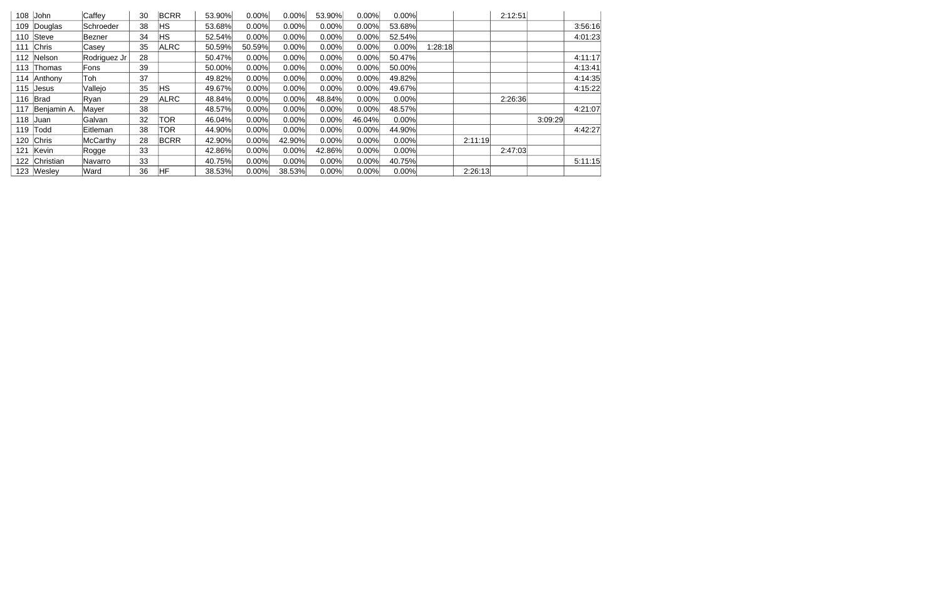| 108 | John        | Caffey       | 30 | <b>BCRR</b> | 53.90% | 0.00%    | 0.00%  | 53.90% | 0.00%  | 0.00%  |         | 2:12:51 |         |         |
|-----|-------------|--------------|----|-------------|--------|----------|--------|--------|--------|--------|---------|---------|---------|---------|
| 109 | Douglas     | Schroeder    | 38 | <b>HS</b>   | 53.68% | 0.00%    | 0.00%  | 0.00%  | 0.00%  | 53.68% |         |         |         | 3:56:16 |
| 110 | Steve       | lBezner      | 34 | <b>HS</b>   | 52.54% | 0.00%    | 0.00%  | 0.00%  | 0.00%  | 52.54% |         |         |         | 4:01:23 |
| 111 | Chris       | Casey        | 35 | <b>ALRC</b> | 50.59% | 50.59%   | 0.00%  | 0.00%  | 0.00%  | 0.00%  | 1:28:18 |         |         |         |
| 112 | Nelson      | Rodriguez Jr | 28 |             | 50.47% | 0.00%    | 0.00%  | 0.00%  | 0.00%  | 50.47% |         |         |         | 4:11:17 |
| 113 | Thomas      | Fons         | 39 |             | 50.00% | 0.00%    | 0.00%  | 0.00%  | 0.00%  | 50.00% |         |         |         | 4:13:41 |
| 114 | Anthony     | Toh          | 37 |             | 49.82% | 0.00%    | 0.00%  | 0.00%  | 0.00%  | 49.82% |         |         |         | 4:14:35 |
| 115 | Jesus       | Vallejo      | 35 | <b>HS</b>   | 49.67% | 0.00%    | 0.00%  | 0.00%  | 0.00%  | 49.67% |         |         |         | 4:15:22 |
| 116 | Brad        | Ryan         | 29 | <b>ALRC</b> | 48.84% | 0.00%    | 0.00%  | 48.84% | 0.00%  | 0.00%  |         | 2:26:36 |         |         |
| 117 | Benjamin A. | Mayer        | 38 |             | 48.57% | 0.00%    | 0.00%  | 0.00%  | 0.00%  | 48.57% |         |         |         | 4:21:07 |
| 118 | <b>Juan</b> | Galvan       | 32 | <b>TOR</b>  | 46.04% | 0.00%    | 0.00%  | 0.00%  | 46.04% | 0.00%  |         |         | 3:09:29 |         |
| 119 | Todd        | Eitleman     | 38 | TOR         | 44.90% | 0.00%    | 0.00%  | 0.00%  | 0.00%  | 44.90% |         |         |         | 4:42:27 |
| 120 | Chris       | McCarthy     | 28 | <b>BCRR</b> | 42.90% | 0.00%    | 42.90% | 0.00%  | 0.00%  | 0.00%  | 2:11:19 |         |         |         |
| 121 | Kevin       | Rogge        | 33 |             | 42.86% | 0.00%    | 0.00%  | 42.86% | 0.00%  | 0.00%  |         | 2:47:03 |         |         |
| 122 | Christian   | lNavarro     | 33 |             | 40.75% | 0.00%    | 0.00%  | 0.00%  | 0.00%  | 40.75% |         |         |         | 5:11:15 |
|     | 123 Wesley  | Ward         | 36 | IHF         | 38.53% | $0.00\%$ | 38.53% | 0.00%  | 0.00%  | 0.00%  | 2:26:13 |         |         |         |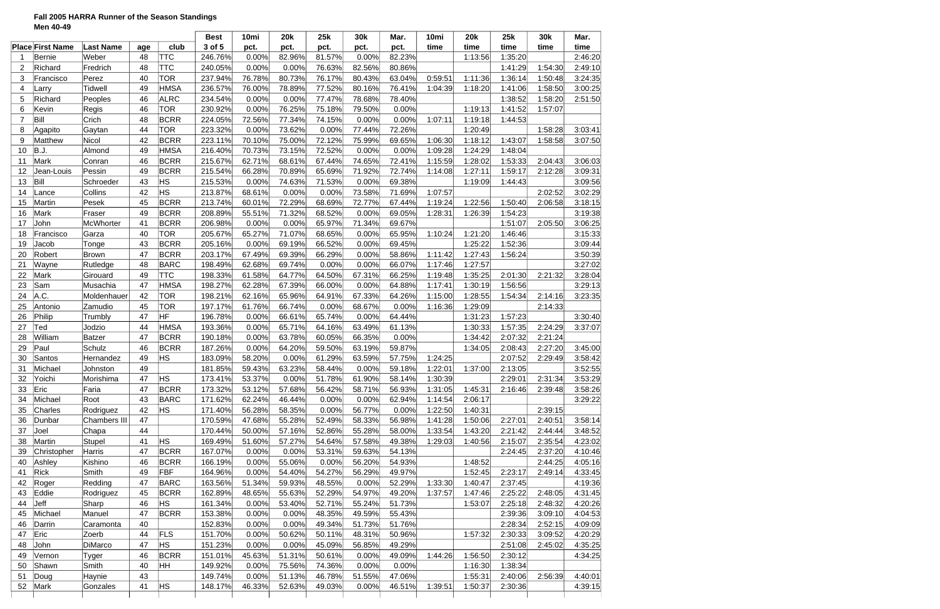# **Fall 2005 HARRA Runner of the Season Standings Men 40-49**

|                |                         |                  |     |             | <b>Best</b> | 10mi   | <b>20k</b> | 25k    | 30k    | Mar.   | 10mi    | <b>20k</b> | 25k     | 30k     | Mar.    |
|----------------|-------------------------|------------------|-----|-------------|-------------|--------|------------|--------|--------|--------|---------|------------|---------|---------|---------|
|                | <b>Place First Name</b> | <b>Last Name</b> | age | club        | 3 of 5      | pct.   | pct.       | pct.   | pct.   | pct.   | time    | time       | time    | time    | time    |
|                | <b>Bernie</b>           | Weber            | 48  | <b>TTC</b>  | 246.76%     | 0.00%  | 82.96%     | 81.57% | 0.00%  | 82.23% |         | 1:13:56    | 1:35:20 |         | 2:46:20 |
| $\overline{2}$ | Richard                 | Fredrich         | 48  | <b>TTC</b>  | 240.05%     | 0.00%  | 0.00%      | 76.63% | 82.56% | 80.86% |         |            | 1:41:29 | 1:54:30 | 2:49:10 |
| 3              | Francisco               | Perez            | 40  | <b>TOR</b>  | 237.94%     | 76.78% | 80.73%     | 76.17% | 80.43% | 63.04% | 0:59:51 | 1:11:36    | 1:36:14 | 1:50:48 | 3:24:35 |
| 4              | Larry                   | <b>Tidwell</b>   | 49  | <b>HMSA</b> | 236.57%     | 76.00% | 78.89%     | 77.52% | 80.16% | 76.41% | 1:04:39 | 1:18:20    | 1:41:06 | 1:58:50 | 3:00:25 |
| 5              | Richard                 | Peoples          | 46  | <b>ALRC</b> | 234.54%     | 0.00%  | 0.00%      | 77.47% | 78.68% | 78.40% |         |            | 1:38:52 | 1:58:20 | 2:51:50 |
| 6              | Kevin                   | Regis            | 46  | <b>TOR</b>  | 230.92%     | 0.00%  | 76.25%     | 75.18% | 79.50% | 0.00%  |         | 1:19:13    | 1:41:52 | 1:57:07 |         |
| $\overline{7}$ | Bill                    | Crich            | 48  | <b>BCRR</b> | 224.05%     | 72.56% | 77.34%     | 74.15% | 0.00%  | 0.00%  | 1:07:11 | 1:19:18    | 1:44:53 |         |         |
| 8              | Agapito                 | Gaytan           | 44  | <b>TOR</b>  | 223.32%     | 0.00%  | 73.62%     | 0.00%  | 77.44% | 72.26% |         | 1:20:49    |         | 1:58:28 | 3:03:41 |
| 9              | Matthew                 | Nicol            | 42  | <b>BCRR</b> | 223.11%     | 70.10% | 75.00%     | 72.12% | 75.99% | 69.65% | 1:06:30 | 1:18:12    | 1:43:07 | 1:58:58 | 3:07:50 |
| 10             | B.J.                    | Almond           | 49  | <b>HMSA</b> | 216.40%     | 70.73% | 73.15%     | 72.52% | 0.00%  | 0.00%  | 1:09:28 | 1:24:29    | 1:48:04 |         |         |
| 11             | Mark                    | Conran           | 46  | <b>BCRR</b> | 215.67%     | 62.71% | 68.61%     | 67.44% | 74.65% | 72.41% | 1:15:59 | 1:28:02    | 1:53:33 | 2:04:43 | 3:06:03 |
| 12             | Jean-Louis              | Pessin           | 49  | <b>BCRR</b> | 215.54%     | 66.28% | 70.89%     | 65.69% | 71.92% | 72.74% | 1:14:08 | 1:27:11    | 1:59:17 | 2:12:28 | 3:09:31 |
| 13             | Bill                    | Schroeder        | 43  | HS          | 215.53%     | 0.00%  | 74.63%     | 71.53% | 0.00%  | 69.38% |         | 1:19:09    | 1:44:43 |         | 3:09:56 |
| 14             | Lance                   | Collins          | 42  | HS          | 213.87%     | 68.61% | 0.00%      | 0.00%  | 73.58% | 71.69% | 1:07:57 |            |         | 2:02:52 | 3:02:29 |
| 15             | Martin                  | Pesek            | 45  | <b>BCRR</b> | 213.74%     | 60.01% | 72.29%     | 68.69% | 72.77% | 67.44% | 1:19:24 | 1:22:56    | 1:50:40 | 2:06:58 | 3:18:15 |
| 16             | Mark                    | Fraser           | 49  | <b>BCRR</b> | 208.89%     | 55.51% | 71.32%     | 68.52% | 0.00%  | 69.05% | 1:28:31 | 1:26:39    | 1:54:23 |         | 3:19:38 |
| 17             | John                    | <b>McWhorter</b> | 41  | <b>BCRR</b> | 206.98%     | 0.00%  | 0.00%      | 65.97% | 71.34% | 69.67% |         |            | 1:51:07 | 2:05:50 | 3:06:25 |
|                |                         |                  | 40  | <b>TOR</b>  |             | 65.27% | 71.07%     |        |        | 65.95% |         | 1:21:20    | 1:46:46 |         |         |
| 18             | Francisco               | Garza            |     |             | 205.67%     |        |            | 68.65% | 0.00%  |        | 1:10:24 |            |         |         | 3:15:33 |
| 19             | Jacob                   | Tonge            | 43  | <b>BCRR</b> | 205.16%     | 0.00%  | 69.19%     | 66.52% | 0.00%  | 69.45% |         | 1:25:22    | 1:52:36 |         | 3:09:44 |
| 20             | Robert                  | Brown            | 47  | <b>BCRR</b> | 203.17%     | 67.49% | 69.39%     | 66.29% | 0.00%  | 58.86% | 1:11:42 | 1:27:43    | 1:56:24 |         | 3:50:39 |
| 21             | Wayne                   | Rutledge         | 48  | <b>BARC</b> | 198.49%     | 62.68% | 69.74%     | 0.00%  | 0.00%  | 66.07% | 1:17:46 | 1:27:57    |         |         | 3:27:02 |
| 22             | Mark                    | Girouard         | 49  | <b>TTC</b>  | 198.33%     | 61.58% | 64.77%     | 64.50% | 67.31% | 66.25% | 1:19:48 | 1:35:25    | 2:01:30 | 2:21:32 | 3:28:04 |
| 23             | Sam                     | Musachia         | 47  | <b>HMSA</b> | 198.27%     | 62.28% | 67.39%     | 66.00% | 0.00%  | 64.88% | 1:17:41 | 1:30:19    | 1:56:56 |         | 3:29:13 |
| 24             | A.C.                    | Moldenhauer      | 42  | <b>TOR</b>  | 198.21%     | 62.16% | 65.96%     | 64.91% | 67.33% | 64.26% | 1:15:00 | 1:28:55    | 1:54:34 | 2:14:16 | 3:23:35 |
| 25             | Antonio                 | Zamudio          | 45  | TOR         | 197.17%     | 61.76% | 66.74%     | 0.00%  | 68.67% | 0.00%  | 1:16:36 | 1:29:09    |         | 2:14:33 |         |
| 26             | Philip                  | Trumbly          | 47  | HF          | 196.78%     | 0.00%  | 66.61%     | 65.74% | 0.00%  | 64.44% |         | 1:31:23    | 1:57:23 |         | 3:30:40 |
| 27             | Ted                     | Jodzio           | 44  | <b>HMSA</b> | 193.36%     | 0.00%  | 65.71%     | 64.16% | 63.49% | 61.13% |         | 1:30:33    | 1:57:35 | 2:24:29 | 3:37:07 |
| 28             | William                 | <b>Batzer</b>    | 47  | <b>BCRR</b> | 190.18%     | 0.00%  | 63.78%     | 60.05% | 66.35% | 0.00%  |         | 1:34:42    | 2:07:32 | 2:21:24 |         |
| 29             | Paul                    | Schulz           | 46  | <b>BCRR</b> | 187.26%     | 0.00%  | 64.20%     | 59.50% | 63.19% | 59.87% |         | 1:34:05    | 2:08:43 | 2:27:20 | 3:45:00 |
| 30             | Santos                  | Hernandez        | 49  | <b>HS</b>   | 183.09%     | 58.20% | 0.00%      | 61.29% | 63.59% | 57.75% | 1:24:25 |            | 2:07:52 | 2:29:49 | 3:58:42 |
| 31             | Michael                 | Johnston         | 49  |             | 181.85%     | 59.43% | 63.23%     | 58.44% | 0.00%  | 59.18% | 1:22:01 | 1:37:00    | 2:13:05 |         | 3:52:55 |
| 32             | Yoichi                  | Morishima        | 47  | <b>HS</b>   | 173.41%     | 53.37% | 0.00%      | 51.78% | 61.90% | 58.14% | 1:30:39 |            | 2:29:01 | 2:31:34 | 3:53:29 |
| 33             | Eric                    | Faria            | 47  | <b>BCRR</b> | 173.32%     | 53.12% | 57.68%     | 56.42% | 58.71% | 56.93% | 1:31:05 | 1:45:31    | 2:16:46 | 2:39:48 | 3:58:26 |
| 34             | Michael                 | Root             | 43  | <b>BARC</b> | 171.62%     | 62.24% | 46.44%     | 0.00%  | 0.00%  | 62.94% | 1:14:54 | 2:06:17    |         |         | 3:29:22 |
| 35             | Charles                 | Rodriguez        | 42  | <b>HS</b>   | 171.40%     | 56.28% | 58.35%     | 0.00%  | 56.77% | 0.00%  | 1:22:50 | 1:40:31    |         | 2:39:15 |         |
| 36             | Dunbar                  | Chambers III     | 47  |             | 170.59%     | 47.68% | 55.28%     | 52.49% | 58.33% | 56.98% | 1:41:28 | 1:50:06    | 2:27:01 | 2:40:51 | 3:58:14 |
| 37             | Joel                    | Chapa            | 44  |             | 170.44%     | 50.00% | 57.16%     | 52.86% | 55.28% | 58.00% | 1:33:54 | 1:43:20    | 2:21:42 | 2:44:44 | 3:48:52 |
| 38             | Martin                  | Stupel           | 41  | <b>HS</b>   | 169.49%     | 51.60% | 57.27%     | 54.64% | 57.58% | 49.38% | 1:29:03 | 1:40:56    | 2:15:07 | 2:35:54 | 4:23:02 |
| 39             | Christopher             | Harris           | 47  | <b>BCRR</b> | 167.07%     | 0.00%  | 0.00%      | 53.31% | 59.63% | 54.13% |         |            | 2:24:45 | 2:37:20 | 4:10:46 |
| 40             | Ashley                  | Kishino          | 46  | <b>BCRR</b> | 166.19%     | 0.00%  | 55.06%     | 0.00%  | 56.20% | 54.93% |         | 1:48:52    |         | 2:44:25 | 4:05:16 |
| 41             | Rick                    | Smith            | 49  | <b>FBF</b>  | 164.96%     | 0.00%  | 54.40%     | 54.27% | 56.29% | 49.97% |         | 1:52:45    | 2:23:17 | 2:49:14 | 4:33:45 |
| 42             | Roger                   | Redding          | 47  | <b>BARC</b> | 163.56%     | 51.34% | 59.93%     | 48.55% | 0.00%  | 52.29% | 1:33:30 | 1:40:47    | 2:37:45 |         | 4:19:36 |
| 43             | Eddie                   | Rodriguez        | 45  | <b>BCRR</b> | 162.89%     | 48.65% | 55.63%     | 52.29% | 54.97% | 49.20% | 1:37:57 | 1:47:46    | 2:25:22 | 2:48:05 | 4:31:45 |
| 44             | Jeff                    | Sharp            | 46  | HS          | 161.34%     | 0.00%  | 53.40%     | 52.71% | 55.24% | 51.73% |         | 1:53:07    | 2:25:18 | 2:48:32 | 4:20:26 |
| 45             | Michael                 | Manuel           | 47  | <b>BCRR</b> | 153.38%     | 0.00%  | 0.00%      | 48.35% | 49.59% | 55.43% |         |            | 2:39:36 | 3:09:10 | 4:04:53 |
| 46             | Darrin                  | Caramonta        | 40  |             | 152.83%     | 0.00%  | 0.00%      | 49.34% | 51.73% | 51.76% |         |            | 2:28:34 | 2:52:15 | 4:09:09 |
| 47             | Eric                    | Zoerb            | 44  | <b>FLS</b>  | 151.70%     | 0.00%  | 50.62%     | 50.11% | 48.31% | 50.96% |         | 1:57:32    | 2:30:33 | 3:09:52 | 4:20:29 |
|                | John                    | DiMarco          | 47  | <b>HS</b>   |             | 0.00%  |            |        |        | 49.29% |         |            |         |         |         |
| 48             |                         |                  |     |             | 151.23%     |        | 0.00%      | 45.09% | 56.85% |        |         |            | 2:51:08 | 2:45:02 | 4:35:25 |
| 49             | Vernon                  | <b>Tyger</b>     | 46  | <b>BCRR</b> | 151.01%     | 45.63% | 51.31%     | 50.61% | 0.00%  | 49.09% | 1:44:26 | 1:56:50    | 2:30:12 |         | 4:34:25 |
| 50             | Shawn                   | Smith            | 40  | HH          | 149.92%     | 0.00%  | 75.56%     | 74.36% | 0.00%  | 0.00%  |         | 1:16:30    | 1:38:34 |         |         |
| 51             | Doug                    | Haynie           | 43  |             | 149.74%     | 0.00%  | 51.13%     | 46.78% | 51.55% | 47.06% |         | 1:55:31    | 2:40:06 | 2:56:39 | 4:40:01 |
| 52             | Mark                    | Gonzales         | 41  | HS          | 148.17%     | 46.33% | 52.63%     | 49.03% | 0.00%  | 46.51% | 1:39:51 | 1:50:37    | 2:30:36 |         | 4:39:15 |
|                |                         |                  |     |             |             |        |            |        |        |        |         |            |         |         |         |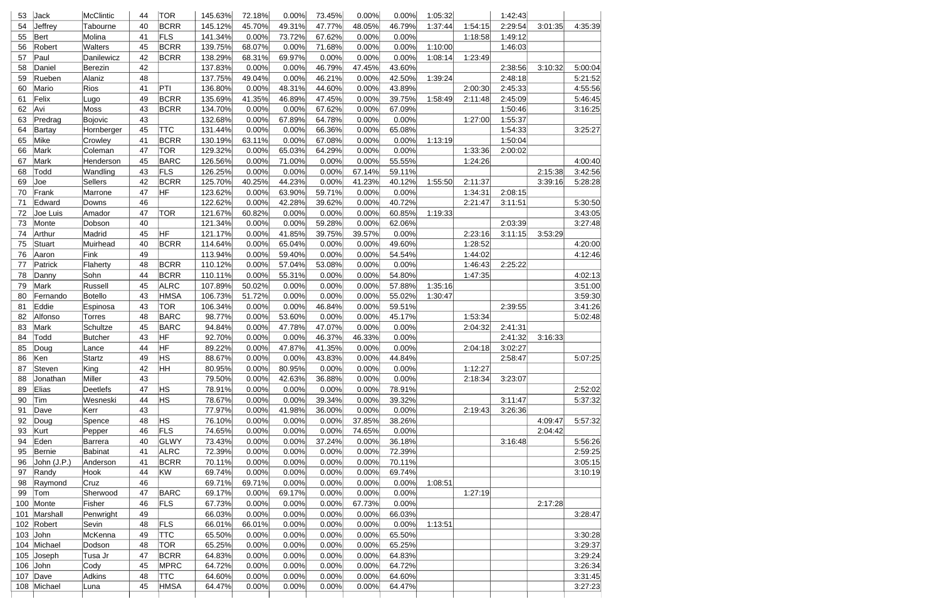| 53  | Jack          | McClintic       | 44 | <b>TOR</b>  | 145.63% | 72.18% | 0.00%  | 73.45% | 0.00%  | 0.00%  | 1:05:32 |         | 1:42:43 |         |         |
|-----|---------------|-----------------|----|-------------|---------|--------|--------|--------|--------|--------|---------|---------|---------|---------|---------|
| 54  | Jeffrey       | Tabourne        | 40 | <b>BCRR</b> | 145.12% | 45.70% | 49.31% | 47.77% | 48.05% | 46.79% | 1:37:44 | 1:54:15 | 2:29:54 | 3:01:35 | 4:35:39 |
| 55  | <b>Bert</b>   | Molina          | 41 | FLS         | 141.34% | 0.00%  | 73.72% | 67.62% | 0.00%  | 0.00%  |         | 1:18:58 | 1:49:12 |         |         |
| 56  | Robert        | Walters         | 45 | <b>BCRR</b> | 139.75% | 68.07% | 0.00%  | 71.68% | 0.00%  | 0.00%  | 1:10:00 |         | 1:46:03 |         |         |
| 57  | Paul          | Danilewicz      | 42 | <b>BCRR</b> | 138.29% | 68.31% | 69.97% | 0.00%  | 0.00%  | 0.00%  | 1:08:14 | 1:23:49 |         |         |         |
| 58  | Daniel        | Berezin         | 42 |             | 137.83% | 0.00%  | 0.00%  | 46.79% | 47.45% | 43.60% |         |         | 2:38:56 | 3:10:32 | 5:00:04 |
| 59  | Rueben        | Alaniz          | 48 |             | 137.75% | 49.04% | 0.00%  | 46.21% | 0.00%  | 42.50% | 1:39:24 |         | 2:48:18 |         | 5:21:52 |
| 60  | Mario         | Rios            | 41 | PTI         | 136.80% | 0.00%  | 48.31% | 44.60% | 0.00%  | 43.89% |         | 2:00:30 | 2:45:33 |         | 4:55:56 |
| 61  | Felix         | Lugo            | 49 | <b>BCRR</b> | 135.69% | 41.35% | 46.89% | 47.45% | 0.00%  | 39.75% | 1:58:49 | 2:11:48 | 2:45:09 |         | 5:46:45 |
| 62  | Avi           | Moss            | 43 | <b>BCRR</b> | 134.70% | 0.00%  | 0.00%  | 67.62% | 0.00%  | 67.09% |         |         | 1:50:46 |         | 3:16:25 |
| 63  | Predrag       | Bojovic         | 43 |             | 132.68% | 0.00%  | 67.89% | 64.78% | 0.00%  | 0.00%  |         | 1:27:00 | 1:55:37 |         |         |
| 64  | Bartay        | Hornberger      | 45 | <b>TTC</b>  | 131.44% | 0.00%  | 0.00%  | 66.36% | 0.00%  | 65.08% |         |         | 1:54:33 |         | 3:25:27 |
| 65  | Mike          | Crowley         | 41 | <b>BCRR</b> | 130.19% | 63.11% | 0.00%  | 67.08% | 0.00%  | 0.00%  | 1:13:19 |         | 1:50:04 |         |         |
| 66  | Mark          | Coleman         | 47 | TOR         | 129.32% | 0.00%  | 65.03% | 64.29% | 0.00%  | 0.00%  |         | 1:33:36 | 2:00:02 |         |         |
| 67  | Mark          | Henderson       | 45 | <b>BARC</b> | 126.56% | 0.00%  | 71.00% | 0.00%  | 0.00%  | 55.55% |         | 1:24:26 |         |         | 4:00:40 |
| 68  | Todd          | Wandling        | 43 | FLS         | 126.25% | 0.00%  | 0.00%  | 0.00%  | 67.14% | 59.11% |         |         |         | 2:15:38 | 3:42:56 |
| 69  | Joe           | <b>Sellers</b>  | 42 | <b>BCRR</b> | 125.70% | 40.25% | 44.23% | 0.00%  | 41.23% | 40.12% | 1:55:50 | 2:11:37 |         | 3:39:16 | 5:28:28 |
| 70  | Frank         | Marrone         | 47 | HF          | 123.62% | 0.00%  | 63.90% | 59.71% | 0.00%  | 0.00%  |         | 1:34:31 | 2:08:15 |         |         |
| 71  | Edward        | Downs           | 46 |             | 122.62% | 0.00%  | 42.28% | 39.62% | 0.00%  | 40.72% |         | 2:21:47 | 3:11:51 |         | 5:30:50 |
| 72  | Joe Luis      | Amador          | 47 | <b>TOR</b>  | 121.67% | 60.82% | 0.00%  | 0.00%  | 0.00%  | 60.85% | 1:19:33 |         |         |         | 3:43:05 |
| 73  | Monte         | Dobson          | 40 |             | 121.34% | 0.00%  | 0.00%  | 59.28% | 0.00%  | 62.06% |         |         | 2:03:39 |         | 3:27:48 |
| 74  | Arthur        | Madrid          | 45 | HF          | 121.17% | 0.00%  | 41.85% | 39.75% | 39.57% | 0.00%  |         | 2:23:16 | 3:11:15 | 3:53:29 |         |
| 75  | <b>Stuart</b> | Muirhead        | 40 | <b>BCRR</b> | 114.64% | 0.00%  | 65.04% | 0.00%  | 0.00%  | 49.60% |         | 1:28:52 |         |         | 4:20:00 |
| 76  | Aaron         | Fink            | 49 |             | 113.94% | 0.00%  | 59.40% | 0.00%  | 0.00%  | 54.54% |         | 1:44:02 |         |         | 4:12:46 |
| 77  | Patrick       | Flaherty        | 48 | <b>BCRR</b> | 110.12% | 0.00%  | 57.04% | 53.08% | 0.00%  | 0.00%  |         | 1:46:43 | 2:25:22 |         |         |
| 78  | Danny         | Sohn            | 44 | <b>BCRR</b> | 110.11% | 0.00%  | 55.31% | 0.00%  | 0.00%  | 54.80% |         | 1:47:35 |         |         | 4:02:13 |
| 79  | Mark          | Russell         | 45 | <b>ALRC</b> | 107.89% | 50.02% | 0.00%  | 0.00%  | 0.00%  | 57.88% | 1:35:16 |         |         |         | 3:51:00 |
| 80  | Fernando      | <b>Botello</b>  | 43 | <b>HMSA</b> | 106.73% | 51.72% | 0.00%  | 0.00%  | 0.00%  | 55.02% | 1:30:47 |         |         |         | 3:59:30 |
| 81  | Eddie         | Espinosa        | 43 | <b>TOR</b>  | 106.34% | 0.00%  | 0.00%  | 46.84% | 0.00%  | 59.51% |         |         | 2:39:55 |         | 3:41:26 |
| 82  | Alfonso       | <b>Torres</b>   | 48 | <b>BARC</b> | 98.77%  | 0.00%  | 53.60% | 0.00%  | 0.00%  | 45.17% |         | 1:53:34 |         |         | 5:02:48 |
| 83  | Mark          | Schultze        | 45 | <b>BARC</b> | 94.84%  | 0.00%  | 47.78% | 47.07% | 0.00%  | 0.00%  |         | 2:04:32 | 2:41:31 |         |         |
| 84  | Todd          | <b>Butcher</b>  | 43 | HF          | 92.70%  | 0.00%  | 0.00%  | 46.37% | 46.33% | 0.00%  |         |         | 2:41:32 | 3:16:33 |         |
| 85  | Doug          | Lance           | 44 | HF          | 89.22%  | 0.00%  | 47.87% | 41.35% | 0.00%  | 0.00%  |         | 2:04:18 | 3:02:27 |         |         |
| 86  | Ken           | Startz          | 49 | <b>HS</b>   | 88.67%  | 0.00%  | 0.00%  | 43.83% | 0.00%  | 44.84% |         |         | 2:58:47 |         | 5:07:25 |
| 87  | Steven        | King            | 42 | HН          | 80.95%  | 0.00%  | 80.95% | 0.00%  | 0.00%  | 0.00%  |         | 1:12:27 |         |         |         |
| 88  | Jonathan      | Miller          | 43 |             | 79.50%  | 0.00%  | 42.63% | 36.88% | 0.00%  | 0.00%  |         | 2:18:34 | 3:23:07 |         |         |
| 89  | Elias         | <b>Deetlefs</b> | 47 | <b>HS</b>   | 78.91%  | 0.00%  | 0.00%  | 0.00%  | 0.00%  | 78.91% |         |         |         |         | 2:52:02 |
| 90  | Tim           | Wesneski        | 44 | <b>HS</b>   | 78.67%  | 0.00%  | 0.00%  | 39.34% | 0.00%  | 39.32% |         |         | 3:11:47 |         | 5:37:32 |
| 91  | Dave          | Kerr            | 43 |             | 77.97%  | 0.00%  | 41.98% | 36.00% | 0.00%  | 0.00%  |         | 2:19:43 | 3:26:36 |         |         |
| 92  | Doug          | Spence          | 48 | <b>HS</b>   | 76.10%  | 0.00%  | 0.00%  | 0.00%  | 37.85% | 38.26% |         |         |         | 4:09:47 | 5:57:32 |
| 93  | Kurt          | Pepper          | 46 | FLS         | 74.65%  | 0.00%  | 0.00%  | 0.00%  | 74.65% | 0.00%  |         |         |         | 2:04:42 |         |
| 94  | Eden          | <b>Barrera</b>  | 40 | GLWY        | 73.43%  | 0.00%  | 0.00%  | 37.24% | 0.00%  | 36.18% |         |         | 3:16:48 |         | 5:56:26 |
| 95  | <b>Bernie</b> | Babinat         | 41 | <b>ALRC</b> | 72.39%  | 0.00%  | 0.00%  | 0.00%  | 0.00%  | 72.39% |         |         |         |         | 2:59:25 |
| 96  | John (J.P.)   | Anderson        | 41 | <b>BCRR</b> | 70.11%  | 0.00%  | 0.00%  | 0.00%  | 0.00%  | 70.11% |         |         |         |         | 3:05:15 |
| 97  | Randy         | Hook            | 44 | KW          | 69.74%  | 0.00%  | 0.00%  | 0.00%  | 0.00%  | 69.74% |         |         |         |         | 3:10:19 |
| 98  | Raymond       | Cruz            | 46 |             | 69.71%  | 69.71% | 0.00%  | 0.00%  | 0.00%  | 0.00%  | 1:08:51 |         |         |         |         |
| 99  | Tom           | Sherwood        | 47 | <b>BARC</b> | 69.17%  | 0.00%  | 69.17% | 0.00%  | 0.00%  | 0.00%  |         | 1:27:19 |         |         |         |
| 100 | Monte         | Fisher          | 46 | <b>FLS</b>  | 67.73%  | 0.00%  | 0.00%  | 0.00%  | 67.73% | 0.00%  |         |         |         | 2:17:28 |         |
| 101 | Marshall      | Penwright       | 49 |             | 66.03%  | 0.00%  | 0.00%  | 0.00%  | 0.00%  | 66.03% |         |         |         |         | 3:28:47 |
| 102 | Robert        | Sevin           | 48 | <b>FLS</b>  | 66.01%  | 66.01% | 0.00%  | 0.00%  | 0.00%  | 0.00%  | 1:13:51 |         |         |         |         |
| 103 | John          | McKenna         | 49 | <b>TTC</b>  | 65.50%  | 0.00%  | 0.00%  | 0.00%  | 0.00%  | 65.50% |         |         |         |         | 3:30:28 |
| 104 | Michael       | Dodson          | 48 | <b>TOR</b>  | 65.25%  | 0.00%  | 0.00%  | 0.00%  | 0.00%  | 65.25% |         |         |         |         | 3:29:37 |
| 105 | Joseph        | Tusa Jr         | 47 | <b>BCRR</b> | 64.83%  | 0.00%  | 0.00%  | 0.00%  | 0.00%  | 64.83% |         |         |         |         | 3:29:24 |
| 106 | John          | Cody            | 45 | <b>MPRC</b> | 64.72%  | 0.00%  | 0.00%  | 0.00%  | 0.00%  | 64.72% |         |         |         |         | 3:26:34 |
| 107 | Dave          | Adkins          | 48 | <b>TTC</b>  | 64.60%  | 0.00%  | 0.00%  | 0.00%  | 0.00%  | 64.60% |         |         |         |         | 3:31:45 |
| 108 | Michael       | Luna            | 45 | <b>HMSA</b> | 64.47%  | 0.00%  | 0.00%  | 0.00%  | 0.00%  | 64.47% |         |         |         |         | 3:27:23 |
|     |               |                 |    |             |         |        |        |        |        |        |         |         |         |         |         |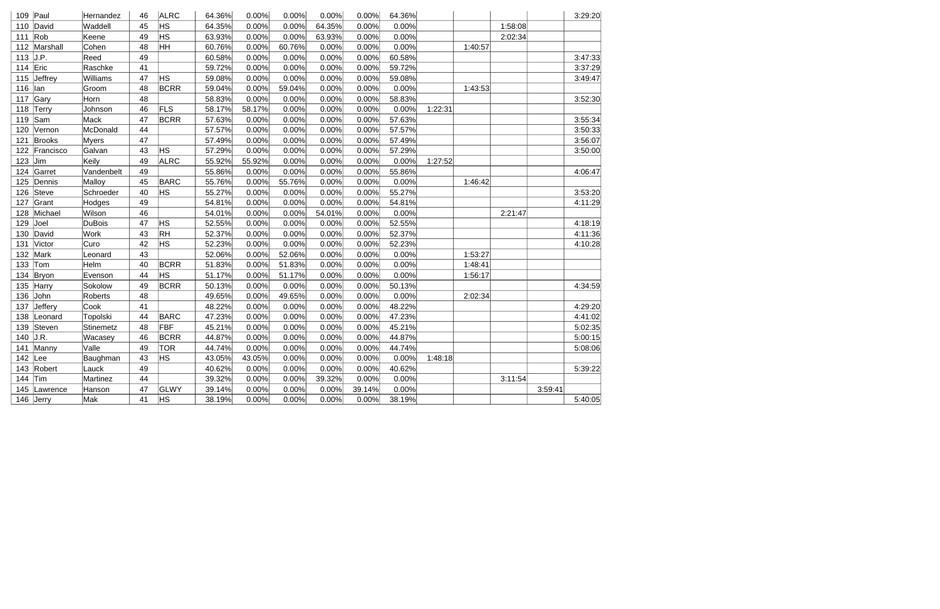| 109 | Paul      | Hernandez    | 46 | <b>ALRC</b> | 64.36% | 0.00%  | 0.00%  | 0.00%  | 0.00%  | 64.36% |         |         |         |         | 3:29:20 |
|-----|-----------|--------------|----|-------------|--------|--------|--------|--------|--------|--------|---------|---------|---------|---------|---------|
| 110 | David     | Waddell      | 45 | HS          | 64.35% | 0.00%  | 0.00%  | 64.35% | 0.00%  | 0.00%  |         |         | 1:58:08 |         |         |
| 111 | Rob       | Keene        | 49 | <b>HS</b>   | 63.93% | 0.00%  | 0.00%  | 63.93% | 0.00%  | 0.00%  |         |         | 2:02:34 |         |         |
| 112 | Marshall  | Cohen        | 48 | ŀНH         | 60.76% | 0.00%  | 60.76% | 0.00%  | 0.00%  | 0.00%  |         | 1:40:57 |         |         |         |
| 113 | J.P.      | Reed         | 49 |             | 60.58% | 0.00%  | 0.00%  | 0.00%  | 0.00%  | 60.58% |         |         |         |         | 3:47:33 |
| 114 | Eric      | Raschke      | 41 |             | 59.72% | 0.00%  | 0.00%  | 0.00%  | 0.00%  | 59.72% |         |         |         |         | 3:37:29 |
| 115 | Jeffrey   | Williams     | 47 | HS          | 59.08% | 0.00%  | 0.00%  | 0.00%  | 0.00%  | 59.08% |         |         |         |         | 3:49:47 |
| 116 | lan       | Groom        | 48 | <b>BCRR</b> | 59.04% | 0.00%  | 59.04% | 0.00%  | 0.00%  | 0.00%  |         | 1:43:53 |         |         |         |
| 117 | Gary      | Horn         | 48 |             | 58.83% | 0.00%  | 0.00%  | 0.00%  | 0.00%  | 58.83% |         |         |         |         | 3:52:30 |
| 118 | Terry     | Johnson      | 46 | FLS         | 58.17% | 58.17% | 0.00%  | 0.00%  | 0.00%  | 0.00%  | 1:22:31 |         |         |         |         |
| 119 | Sam       | Mack         | 47 | <b>BCRR</b> | 57.63% | 0.00%  | 0.00%  | 0.00%  | 0.00%  | 57.63% |         |         |         |         | 3:55:34 |
| 120 | Vernon    | McDonald     | 44 |             | 57.57% | 0.00%  | 0.00%  | 0.00%  | 0.00%  | 57.57% |         |         |         |         | 3:50:33 |
| 121 | Brooks    | <b>Myers</b> | 47 |             | 57.49% | 0.00%  | 0.00%  | 0.00%  | 0.00%  | 57.49% |         |         |         |         | 3:56:07 |
| 122 | Francisco | Galvan       | 43 | HS          | 57.29% | 0.00%  | 0.00%  | 0.00%  | 0.00%  | 57.29% |         |         |         |         | 3:50:00 |
| 123 | Jim       | Keily        | 49 | <b>ALRC</b> | 55.92% | 55.92% | 0.00%  | 0.00%  | 0.00%  | 0.00%  | 1:27:52 |         |         |         |         |
| 124 | Garret    | Vandenbelt   | 49 |             | 55.86% | 0.00%  | 0.00%  | 0.00%  | 0.00%  | 55.86% |         |         |         |         | 4:06:47 |
| 125 | Dennis    | Malloy       | 45 | <b>BARC</b> | 55.76% | 0.00%  | 55.76% | 0.00%  | 0.00%  | 0.00%  |         | 1:46:42 |         |         |         |
| 126 | Steve     | Schroeder    | 40 | <b>HS</b>   | 55.27% | 0.00%  | 0.00%  | 0.00%  | 0.00%  | 55.27% |         |         |         |         | 3:53:20 |
| 127 | Grant     | Hodges       | 49 |             | 54.81% | 0.00%  | 0.00%  | 0.00%  | 0.00%  | 54.81% |         |         |         |         | 4:11:29 |
| 128 | Michael   | Wilson       | 46 |             | 54.01% | 0.00%  | 0.00%  | 54.01% | 0.00%  | 0.00%  |         |         | 2:21:47 |         |         |
| 129 | Joel      | DuBois       | 47 | <b>HS</b>   | 52.55% | 0.00%  | 0.00%  | 0.00%  | 0.00%  | 52.55% |         |         |         |         | 4:18:19 |
| 130 | David     | Work         | 43 | <b>RH</b>   | 52.37% | 0.00%  | 0.00%  | 0.00%  | 0.00%  | 52.37% |         |         |         |         | 4:11:36 |
| 131 | Victor    | Curo         | 42 | <b>HS</b>   | 52.23% | 0.00%  | 0.00%  | 0.00%  | 0.00%  | 52.23% |         |         |         |         | 4:10:28 |
| 132 | Mark      | Leonard      | 43 |             | 52.06% | 0.00%  | 52.06% | 0.00%  | 0.00%  | 0.00%  |         | 1:53:27 |         |         |         |
| 133 | Tom       | Helm         | 40 | <b>BCRR</b> | 51.83% | 0.00%  | 51.83% | 0.00%  | 0.00%  | 0.00%  |         | 1:48:41 |         |         |         |
| 134 | Bryon     | Evenson      | 44 | HS          | 51.17% | 0.00%  | 51.17% | 0.00%  | 0.00%  | 0.00%  |         | 1:56:17 |         |         |         |
| 135 | Harry     | Sokolow      | 49 | <b>BCRR</b> | 50.13% | 0.00%  | 0.00%  | 0.00%  | 0.00%  | 50.13% |         |         |         |         | 4:34:59 |
| 136 | John      | Roberts      | 48 |             | 49.65% | 0.00%  | 49.65% | 0.00%  | 0.00%  | 0.00%  |         | 2:02:34 |         |         |         |
| 137 | Jeffery   | Cook         | 41 |             | 48.22% | 0.00%  | 0.00%  | 0.00%  | 0.00%  | 48.22% |         |         |         |         | 4:29:20 |
| 138 | Leonard   | Topolski     | 44 | <b>BARC</b> | 47.23% | 0.00%  | 0.00%  | 0.00%  | 0.00%  | 47.23% |         |         |         |         | 4:41:02 |
| 139 | Steven    | Stinemetz    | 48 | FBF         | 45.21% | 0.00%  | 0.00%  | 0.00%  | 0.00%  | 45.21% |         |         |         |         | 5:02:35 |
| 140 | J.R.      | Wacasey      | 46 | <b>BCRR</b> | 44.87% | 0.00%  | 0.00%  | 0.00%  | 0.00%  | 44.87% |         |         |         |         | 5:00:15 |
| 141 | Manny     | Valle        | 49 | <b>TOR</b>  | 44.74% | 0.00%  | 0.00%  | 0.00%  | 0.00%  | 44.74% |         |         |         |         | 5:08:06 |
| 142 | Lee       | Baughman     | 43 | <b>HS</b>   | 43.05% | 43.05% | 0.00%  | 0.00%  | 0.00%  | 0.00%  | 1:48:18 |         |         |         |         |
| 143 | Robert    | Lauck        | 49 |             | 40.62% | 0.00%  | 0.00%  | 0.00%  | 0.00%  | 40.62% |         |         |         |         | 5:39:22 |
| 144 | Tim       | Martinez     | 44 |             | 39.32% | 0.00%  | 0.00%  | 39.32% | 0.00%  | 0.00%  |         |         | 3:11:54 |         |         |
| 145 | Lawrence  | Hanson       | 47 | GLWY        | 39.14% | 0.00%  | 0.00%  | 0.00%  | 39.14% | 0.00%  |         |         |         | 3:59:41 |         |
| 146 | Jerry     | Mak          | 41 | <b>HS</b>   | 38.19% | 0.00%  | 0.00%  | 0.00%  | 0.00%  | 38.19% |         |         |         |         | 5:40:05 |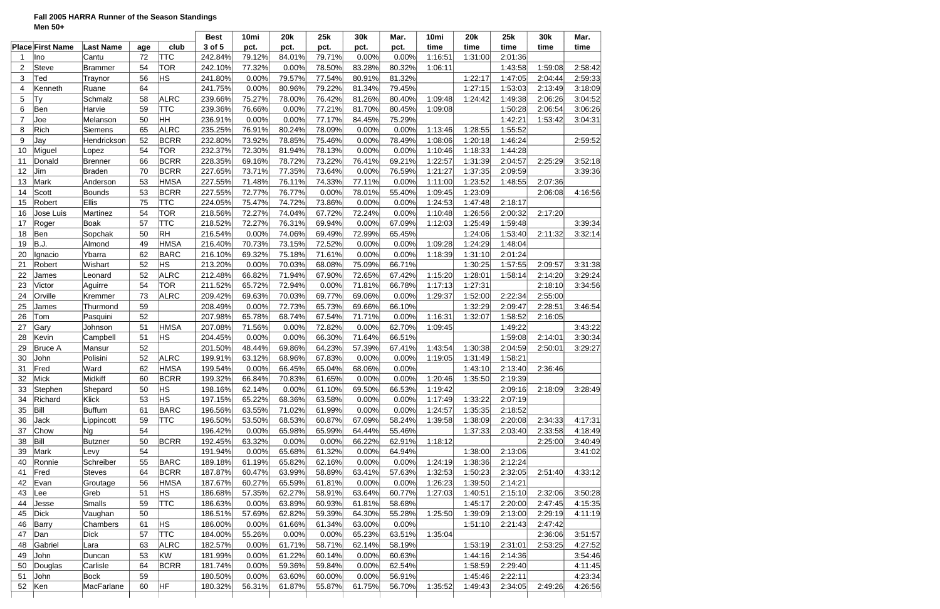# **Fall 2005 HARRA Runner of the Season Standings Men 50+**

|                |                         |                  |     |             | <b>Best</b> | 10mi   | <b>20k</b> | 25k    | 30k    | Mar.   | 10mi    | <b>20k</b> | 25k     | 30k     | Mar.    |
|----------------|-------------------------|------------------|-----|-------------|-------------|--------|------------|--------|--------|--------|---------|------------|---------|---------|---------|
|                | <b>Place First Name</b> | <b>Last Name</b> | age | club        | 3 of 5      | pct.   | pct.       | pct.   | pct.   | pct.   | time    | time       | time    | time    | time    |
| -1             | Ino                     | Cantu            | 72  | <b>TTC</b>  | 242.84%     | 79.12% | 84.01%     | 79.71% | 0.00%  | 0.00%  | 1:16:51 | 1:31:00    | 2:01:36 |         |         |
| $\overline{2}$ | <b>Steve</b>            | Brammer          | 54  | <b>TOR</b>  | 242.10%     | 77.32% | 0.00%      | 78.50% | 83.28% | 80.32% | 1:06:11 |            | 1:43:58 | 1:59:08 | 2:58:42 |
| 3              | Ted                     | Traynor          | 56  | <b>HS</b>   | 241.80%     | 0.00%  | 79.57%     | 77.54% | 80.91% | 81.32% |         | 1:22:17    | 1:47:05 | 2:04:44 | 2:59:33 |
| 4              | Kenneth                 | Ruane            | 64  |             | 241.75%     | 0.00%  | 80.96%     | 79.22% | 81.34% | 79.45% |         | 1:27:15    | 1:53:03 | 2:13:49 | 3:18:09 |
| 5              | Ty                      | Schmalz          | 58  | <b>ALRC</b> | 239.66%     | 75.27% | 78.00%     | 76.42% | 81.26% | 80.40% | 1:09:48 | 1:24:42    | 1:49:38 | 2:06:26 | 3:04:52 |
| 6              | Ben                     | Harvie           | 59  | <b>TTC</b>  | 239.36%     | 76.66% | 0.00%      | 77.21% | 81.70% | 80.45% | 1:09:08 |            | 1:50:28 | 2:06:54 | 3:06:26 |
| $\overline{7}$ | Joe                     | Melanson         | 50  | <b>HH</b>   | 236.91%     | 0.00%  | 0.00%      | 77.17% | 84.45% | 75.29% |         |            | 1:42:21 | 1:53:42 | 3:04:31 |
| 8              | Rich                    | Siemens          | 65  | <b>ALRC</b> | 235.25%     | 76.91% | 80.24%     | 78.09% | 0.00%  | 0.00%  | 1:13:46 | 1:28:55    | 1:55:52 |         |         |
| 9              | Jay                     | Hendrickson      | 52  | <b>BCRR</b> | 232.80%     | 73.92% | 78.85%     | 75.46% | 0.00%  | 78.49% | 1:08:06 | 1:20:18    | 1:46:24 |         | 2:59:52 |
| 10             | Miguel                  | Lopez            | 54  | <b>TOR</b>  | 232.37%     | 72.30% | 81.94%     | 78.13% | 0.00%  | 0.00%  | 1:10:46 | 1:18:33    | 1:44:28 |         |         |
| 11             | Donald                  | Brenner          | 66  | <b>BCRR</b> | 228.35%     | 69.16% | 78.72%     | 73.22% | 76.41% | 69.21% | 1:22:57 | 1:31:39    | 2:04:57 | 2:25:29 | 3:52:18 |
| 12             | Jim                     | <b>Braden</b>    | 70  | <b>BCRR</b> | 227.65%     | 73.71% | 77.35%     | 73.64% | 0.00%  | 76.59% | 1:21:27 | 1:37:35    | 2:09:59 |         | 3:39:36 |
| 13             | Mark                    | Anderson         | 53  | <b>HMSA</b> | 227.55%     | 71.48% | 76.11%     | 74.33% | 77.11% | 0.00%  | 1:11:00 | 1:23:52    | 1:48:55 | 2:07:36 |         |
| 14             | <b>Scott</b>            | Bounds           | 53  | <b>BCRR</b> | 227.55%     | 72.77% | 76.77%     | 0.00%  | 78.01% | 55.40% | 1:09:45 | 1:23:09    |         | 2:06:08 | 4:16:56 |
| 15             | Robert                  | Ellis            | 75  | <b>TTC</b>  | 224.05%     | 75.47% | 74.72%     | 73.86% | 0.00%  | 0.00%  | 1:24:53 | 1:47:48    | 2:18:17 |         |         |
| 16             | Jose Luis               | Martinez         | 54  | <b>TOR</b>  | 218.56%     | 72.27% | 74.04%     | 67.72% | 72.24% | 0.00%  | 1:10:48 | 1:26:56    | 2:00:32 | 2:17:20 |         |
| 17             | Roger                   | <b>Boak</b>      | 57  | <b>TTC</b>  | 218.52%     | 72.27% | 76.31%     | 69.94% | 0.00%  | 67.09% | 1:12:03 | 1:25:49    | 1:59:48 |         | 3:39:34 |
| 18             | Ben                     | Sopchak          | 50  | <b>RH</b>   | 216.54%     | 0.00%  | 74.06%     | 69.49% | 72.99% | 65.45% |         | 1:24:06    | 1:53:40 | 2:11:32 | 3:32:14 |
| 19             | B.J.                    | Almond           | 49  | <b>HMSA</b> | 216.40%     | 70.73% | 73.15%     | 72.52% | 0.00%  | 0.00%  | 1:09:28 | 1:24:29    | 1:48:04 |         |         |
| 20             | Ignacio                 | Ybarra           | 62  | <b>BARC</b> | 216.10%     | 69.32% | 75.18%     | 71.61% | 0.00%  | 0.00%  | 1:18:39 | 1:31:10    | 2:01:24 |         |         |
| 21             | Robert                  | Wishart          | 52  | <b>HS</b>   | 213.20%     | 0.00%  | 70.03%     | 68.08% | 75.09% | 66.71% |         | 1:30:25    | 1:57:55 | 2:09:57 | 3:31:38 |
| 22             | James                   | Leonard          | 52  | <b>ALRC</b> | 212.48%     | 66.82% | 71.94%     | 67.90% | 72.65% | 67.42% | 1:15:20 | 1:28:01    | 1:58:14 | 2:14:20 | 3:29:24 |
| 23             | Victor                  | Aguirre          | 54  | <b>TOR</b>  | 211.52%     | 65.72% | 72.94%     | 0.00%  | 71.81% | 66.78% | 1:17:13 | 1:27:31    |         | 2:18:10 | 3:34:56 |
| 24             | Orville                 | Kremmer          | 73  | <b>ALRC</b> | 209.42%     | 69.63% | 70.03%     | 69.77% | 69.06% | 0.00%  | 1:29:37 | 1:52:00    | 2:22:34 | 2:55:00 |         |
| 25             | James                   | Thurmond         | 59  |             | 208.49%     | 0.00%  | 72.73%     | 65.73% | 69.66% | 66.10% |         | 1:32:29    | 2:09:47 | 2:28:51 | 3:46:54 |
| 26             | Tom                     | Pasquini         | 52  |             | 207.98%     | 65.78% | 68.74%     | 67.54% | 71.71% | 0.00%  | 1:16:31 | 1:32:07    | 1:58:52 | 2:16:05 |         |
| 27             | Gary                    | Johnson          | 51  | <b>HMSA</b> | 207.08%     | 71.56% | 0.00%      | 72.82% | 0.00%  | 62.70% | 1:09:45 |            | 1:49:22 |         | 3:43:22 |
| 28             | Kevin                   | Campbell         | 51  | <b>HS</b>   | 204.45%     | 0.00%  | 0.00%      | 66.30% | 71.64% | 66.51% |         |            | 1:59:08 | 2:14:01 | 3:30:34 |
| 29             | <b>Bruce A</b>          | Mansur           | 52  |             | 201.50%     | 48.44% | 69.86%     | 64.23% | 57.39% | 67.41% | 1:43:54 | 1:30:38    | 2:04:59 | 2:50:01 | 3:29:27 |
| 30             | John                    | Polisini         | 52  | <b>ALRC</b> | 199.91%     | 63.12% | 68.96%     | 67.83% | 0.00%  | 0.00%  | 1:19:05 | 1:31:49    | 1:58:21 |         |         |
| 31             | Fred                    | Ward             | 62  | <b>HMSA</b> | 199.54%     | 0.00%  | 66.45%     | 65.04% | 68.06% | 0.00%  |         | 1:43:10    | 2:13:40 | 2:36:46 |         |
| 32             | Mick                    | Midkiff          | 60  | ∣BCRR       | 199.32%     | 66.84% | 70.83%     | 61.65% | 0.00%  | 0.00%  | 1:20:46 | 1:35:50    | 2:19:39 |         |         |
| 33             | Stephen                 | Shepard          | 50  | ΗS          | 198.16%     | 62.14% | 0.00%      | 61.10% | 69.50% | 66.53% | 1:19:42 |            | 2:09:16 | 2:18:09 | 3:28:49 |
| 34             | Richard                 | Klick            | 53  | HS          | 197.15%     | 65.22% | 68.36%     | 63.58% | 0.00%  | 0.00%  | 1:17:49 | 1:33:22    | 2:07:19 |         |         |
| 35             | Bill                    | <b>Buffum</b>    | 61  | <b>BARC</b> | 196.56%     | 63.55% | 71.02%     | 61.99% | 0.00%  | 0.00%  | 1:24:57 | 1:35:35    | 2:18:52 |         |         |
| 36             | Jack                    | Lippincott       | 59  | <b>TTC</b>  | 196.50%     | 53.50% | 68.53%     | 60.87% | 67.09% | 58.24% | 1:39:58 | 1:38:09    | 2:20:08 | 2:34:33 | 4:17:31 |
| 37             | Chow                    | <b>Ng</b>        | 54  |             | 196.42%     | 0.00%  | 65.98%     | 65.99% | 64.44% | 55.46% |         | 1:37:33    | 2:03:40 | 2:33:58 | 4:18:49 |
| 38             | Bill                    | <b>Butzner</b>   | 50  | <b>BCRR</b> | 192.45%     | 63.32% | 0.00%      | 0.00%  | 66.22% | 62.91% | 1:18:12 |            |         | 2:25:00 | 3:40.49 |
| 39             | Mark                    | Levy             | 54  |             | 191.94%     | 0.00%  | 65.68%     | 61.32% | 0.00%  | 64.94% |         | 1:38:00    | 2:13:06 |         | 3:41:02 |
| 40             | Ronnie                  | Schreiber        | 55  | <b>BARC</b> | 189.18%     | 61.19% | 65.82%     | 62.16% | 0.00%  | 0.00%  | 1:24:19 | 1:38:36    | 2:12:24 |         |         |
| 41             | Fred                    | <b>Steves</b>    | 64  | <b>BCRR</b> | 187.87%     | 60.47% | 63.99%     | 58.89% | 63.41% | 57.63% | 1:32:53 | 1:50:23    | 2:32:05 | 2:51:40 | 4:33:12 |
| 42             | Evan                    | Groutage         | 56  | <b>HMSA</b> | 187.67%     | 60.27% | 65.59%     | 61.81% | 0.00%  | 0.00%  | 1:26:23 | 1:39:50    | 2:14:21 |         |         |
| 43             | Lee                     | Greb             | 51  | HS          | 186.68%     | 57.35% | 62.27%     | 58.91% | 63.64% | 60.77% | 1:27:03 | 1:40:51    | 2:15:10 | 2:32:06 | 3:50:28 |
| 44             | Jesse                   | Smalls           | 59  | <b>TTC</b>  | 186.63%     | 0.00%  | 63.89%     | 60.93% | 61.81% | 58.68% |         | 1:45:17    | 2:20:00 | 2:47:45 | 4:15:35 |
| 45             | <b>Dick</b>             | Vaughan          | 50  |             | 186.51%     | 57.69% | 62.82%     | 59.39% | 64.30% | 55.28% | 1:25:50 | 1:39:09    | 2:13:00 | 2:29:19 | 4:11:19 |
| 46             | Barry                   | Chambers         | 61  | <b>HS</b>   | 186.00%     | 0.00%  | 61.66%     | 61.34% | 63.00% | 0.00%  |         | 1:51:10    | 2:21:43 | 2:47:42 |         |
| 47             | Dan                     | <b>Dick</b>      | 57  | <b>TTC</b>  | 184.00%     | 55.26% | 0.00%      | 0.00%  | 65.23% | 63.51% | 1:35:04 |            |         | 2:36:06 | 3:51:57 |
| 48             | Gabriel                 | Lara             | 63  | <b>ALRC</b> | 182.57%     | 0.00%  | 61.71%     | 58.71% | 62.14% | 58.19% |         | 1:53:19    | 2:31:01 | 2:53:25 | 4:27:52 |
| 49             | John                    | Duncan           | 53  | KW          | 181.99%     | 0.00%  | 61.22%     | 60.14% | 0.00%  | 60.63% |         | 1:44:16    | 2:14:36 |         | 3:54:46 |
| 50             | Douglas                 | Carlisle         | 64  | <b>BCRR</b> | 181.74%     | 0.00%  | 59.36%     | 59.84% | 0.00%  | 62.54% |         | 1:58:59    | 2:29:40 |         | 4:11:45 |
| 51             | John                    | <b>Bock</b>      | 59  |             | 180.50%     | 0.00%  | 63.60%     | 60.00% | 0.00%  | 56.91% |         | 1:45:46    | 2:22:11 |         | 4:23:34 |
| 52             | Ken                     | MacFarlane       | 60  | HF          | 180.32%     | 56.31% | 61.87%     | 55.87% | 61.75% | 56.70% | 1:35:52 | 1:49:43    | 2:34:05 | 2:49:26 | 4:26:56 |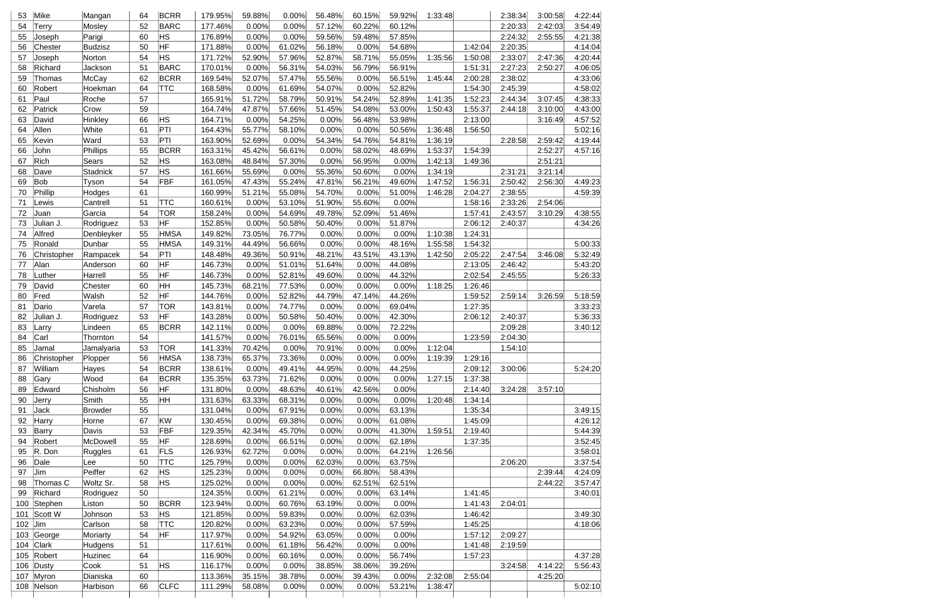| 53        | Mike        | Mangan               | 64 | <b>BCRR</b> | 179.95% | 59.88% | 0.00%  | 56.48% | 60.15% | 59.92% | 1:33:48 |         | 2:38:34 | 3:00:58 | 4:22:44 |
|-----------|-------------|----------------------|----|-------------|---------|--------|--------|--------|--------|--------|---------|---------|---------|---------|---------|
| 54        | Terry       | Mosley               | 52 | <b>BARC</b> | 177.46% | 0.00%  | 0.00%  | 57.12% | 60.22% | 60.12% |         |         | 2:20:33 | 2:42:03 | 3:54:49 |
| 55        | Joseph      | Parigi               | 60 | HS          | 176.89% | 0.00%  | 0.00%  | 59.56% | 59.48% | 57.85% |         |         | 2:24:32 | 2:55:55 | 4:21:38 |
| 56        | Chester     | Budzisz              | 50 | HF          | 171.88% | 0.00%  | 61.02% | 56.18% | 0.00%  | 54.68% |         | 1:42:04 | 2:20:35 |         | 4:14:04 |
| 57        | Joseph      | Norton               | 54 | HS          | 171.72% | 52.90% | 57.96% | 52.87% | 58.71% | 55.05% | 1:35:56 | 1:50:08 | 2:33:07 | 2:47:36 | 4:20:44 |
| 58        | Richard     | Jackson              | 51 | <b>BARC</b> | 170.01% | 0.00%  | 56.31% | 54.03% | 56.79% | 56.91% |         | 1:51:31 | 2:27:23 | 2:50:27 | 4:06:05 |
| 59        | Thomas      | McCay                | 62 | <b>BCRR</b> | 169.54% | 52.07% | 57.47% | 55.56% | 0.00%  | 56.51% | 1:45:44 | 2:00:28 | 2:38:02 |         | 4:33:06 |
| 60        | Robert      | Hoekman              | 64 | <b>TTC</b>  | 168.58% | 0.00%  | 61.69% | 54.07% | 0.00%  | 52.82% |         | 1:54:30 | 2:45:39 |         | 4:58:02 |
| 61        | Paul        | Roche                | 57 |             | 165.91% | 51.72% | 58.79% | 50.91% | 54.24% | 52.89% | 1:41:35 | 1:52:23 | 2:44:34 | 3:07:45 | 4:38:33 |
| 62        | Patrick     | Crow                 | 59 |             | 164.74% | 47.87% | 57.66% | 51.45% | 54.08% | 53.00% | 1:50:43 | 1:55:37 | 2:44:18 | 3:10:00 | 4:43:00 |
| 63        | David       | Hinkley              | 66 | HS.         | 164.71% | 0.00%  | 54.25% | 0.00%  | 56.48% | 53.98% |         | 2:13:00 |         | 3:16:49 | 4:57:52 |
| 64        | Allen       | White                | 61 | PTI         | 164.43% | 55.77% | 58.10% | 0.00%  | 0.00%  | 50.56% | 1:36:48 | 1:56:50 |         |         | 5:02:16 |
| 65        | Kevin       | Ward                 | 53 | PTI         | 163.90% | 52.69% | 0.00%  | 54.34% | 54.76% | 54.81% | 1:36:19 |         | 2:28:58 | 2:59:42 | 4:19:44 |
| 66        | John        | Phillips             | 55 | <b>BCRR</b> | 163.31% | 45.42% | 56.61% | 0.00%  | 58.02% | 48.69% | 1:53:37 | 1:54:39 |         | 2:52:27 | 4:57:16 |
| 67        | Rich        | Sears                | 52 | HS          | 163.08% | 48.84% | 57.30% | 0.00%  | 56.95% | 0.00%  | 1:42:13 | 1:49:36 |         | 2:51:21 |         |
| 68        | Dave        | Stadnick             | 57 | HS          | 161.66% | 55.69% | 0.00%  | 55.36% | 50.60% | 0.00%  | 1:34:19 |         | 2:31:21 | 3:21:14 |         |
| 69        | Bob         | Tyson                | 54 | FBF         | 161.05% | 47.43% | 55.24% | 47.81% | 56.21% | 49.60% | 1:47:52 | 1:56:31 | 2:50:42 | 2:56:30 | 4:49:23 |
| 70        | Phillip     | Hodges               | 61 |             | 160.99% | 51.21% | 55.08% | 54.70% | 0.00%  | 51.00% | 1:46:28 | 2:04:27 | 2:38:55 |         | 4:59:39 |
| 71        | Lewis       | Cantrell             | 51 | <b>TTC</b>  | 160.61% | 0.00%  | 53.10% | 51.90% | 55.60% | 0.00%  |         | 1:58:16 | 2:33:26 | 2:54:06 |         |
| 72        | Juan        | Garcia               | 54 | <b>TOR</b>  | 158.24% | 0.00%  | 54.69% | 49.78% | 52.09% | 51.46% |         | 1:57:41 | 2:43:57 | 3:10:29 | 4:38:55 |
| 73        | Julian J.   | Rodriguez            | 53 | HF          | 152.85% | 0.00%  | 50.58% | 50.40% | 0.00%  | 51.87% |         | 2:06:12 | 2:40:37 |         | 4:34:26 |
| 74        | Alfred      | Denbleyker           | 55 | <b>HMSA</b> | 149.82% | 73.05% | 76.77% | 0.00%  | 0.00%  | 0.00%  | 1:10:38 | 1:24:31 |         |         |         |
| 75        | Ronald      | Dunbar               | 55 | <b>HMSA</b> | 149.31% | 44.49% | 56.66% | 0.00%  | 0.00%  | 48.16% | 1:55:58 | 1:54:32 |         |         | 5:00:33 |
| 76        | Christopher | Rampacek             | 54 | PTI         | 148.48% | 49.36% | 50.91% | 48.21% | 43.51% | 43.13% | 1:42:50 | 2:05:22 | 2:47:54 | 3:46:08 | 5:32:49 |
| 77        | Alan        | Anderson             | 60 | HF          | 146.73% | 0.00%  | 51.01% | 51.64% | 0.00%  | 44.08% |         | 2:13:05 | 2:46:42 |         | 5:43:20 |
| 78        | Luther      | Harrell              | 55 | HF          | 146.73% | 0.00%  | 52.81% | 49.60% | 0.00%  | 44.32% |         | 2:02:54 | 2:45:55 |         | 5:26:33 |
| 79        | David       | Chester              | 60 | ŀнн         | 145.73% | 68.21% | 77.53% | 0.00%  | 0.00%  | 0.00%  | 1:18:25 | 1:26:46 |         |         |         |
| 80        |             |                      | 52 | HF          |         |        |        | 44.79% | 47.14% | 44.26% |         |         | 2:59:14 |         |         |
|           | Fred        | Walsh                | 57 | TOR         | 144.76% | 0.00%  | 52.82% | 0.00%  |        |        |         | 1:59:52 |         | 3:26:59 | 5:18:59 |
| 81        | Dario       | Varela               |    | HF          | 143.81% | 0.00%  | 74.77% |        | 0.00%  | 69.04% |         | 1:27:35 |         |         | 3:33:23 |
| 82        | Julian J.   | Rodriguez            | 53 |             | 143.28% | 0.00%  | 50.58% | 50.40% | 0.00%  | 42.30% |         | 2:06:12 | 2:40:37 |         | 5:36:33 |
| 83        | Larry       | Lindeen              | 65 | <b>BCRR</b> | 142.11% | 0.00%  | 0.00%  | 69.88% | 0.00%  | 72.22% |         |         | 2:09:28 |         | 3:40:12 |
| 84        | Carl        | Thornton             | 54 |             | 141.57% | 0.00%  | 76.01% | 65.56% | 0.00%  | 0.00%  |         | 1:23:59 | 2:04:30 |         |         |
| 85        | Jamal       | Jamalyaria           | 53 | <b>TOR</b>  | 141.33% | 70.42% | 0.00%  | 70.91% | 0.00%  | 0.00%  | 1:12:04 |         | 1:54:10 |         |         |
| 86        | Christopher | Plopper              | 56 | <b>HMSA</b> | 138.73% | 65.37% | 73.36% | 0.00%  | 0.00%  | 0.00%  | 1:19:39 | 1:29:16 |         |         |         |
| 87        | William     | Hayes                | 54 | <b>BCRR</b> | 138.61% | 0.00%  | 49.41% | 44.95% | 0.00%  | 44.25% |         | 2:09:12 | 3:00:06 |         | 5:24:20 |
| 88        | Gary        | Wood                 | 64 | <b>BCRR</b> | 135.35% | 63.73% | 71.62% | 0.00%  | 0.00%  | 0.00%  | 1:27:15 | 1:37:38 |         |         |         |
| 89        | Edward      | Chisholm             | 56 | HF          | 131.80% | 0.00%  | 48.63% | 40.61% | 42.56% | 0.00%  |         | 2:14:40 | 3:24:28 | 3:57:10 |         |
| 90        | Jerry       | Smith                | 55 | HН          | 131.63% | 63.33% | 68.31% | 0.00%  | 0.00%  | 0.00%  | 1:20:48 | 1:34:14 |         |         |         |
| 91        | Jack        | Browder              | 55 |             | 131.04% | 0.00%  | 67.91% | 0.00%  | 0.00%  | 63.13% |         | 1:35:34 |         |         | 3:49:15 |
| 92        | Harry       | Horne                | 67 | KW          | 130.45% | 0.00%  | 69.38% | 0.00%  | 0.00%  | 61.08% |         | 1:45:09 |         |         | 4:26:12 |
| 93        | Barry       | Davis                | 53 | FBF         | 129.35% | 42.34% | 45.70% | 0.00%  | 0.00%  | 41.30% | 1:59:51 | 2:19:40 |         |         | 5:44:39 |
| 94        | Robert      | McDowell             | 55 | HF          | 128.69% | 0.00%  | 66.51% | 0.00%  | 0.00%  | 62.18% |         | 1:37:35 |         |         | 3:52:45 |
| 95        | R. Don      | Ruggles              | 61 | FLS         | 126.93% | 62.72% | 0.00%  | 0.00%  | 0.00%  | 64.21% | 1:26:56 |         |         |         | 3:58:01 |
| 96        | Dale        | Lee                  | 50 | <b>TTC</b>  | 125.79% | 0.00%  | 0.00%  | 62.03% | 0.00%  | 63.75% |         |         | 2:06:20 |         | 3:37:54 |
| 97        | Jim         | Peiffer              | 62 | HS.         | 125.23% | 0.00%  | 0.00%  | 0.00%  | 66.80% | 58.43% |         |         |         | 2:39:44 | 4:24:09 |
| 98        | Thomas C    | Woltz Sr.            | 58 | HS          | 125.02% | 0.00%  | 0.00%  | 0.00%  | 62.51% | 62.51% |         |         |         | 2:44:22 | 3:57:47 |
| 99        | Richard     | Rodriguez            | 50 |             | 124.35% | 0.00%  | 61.21% | 0.00%  | 0.00%  | 63.14% |         | 1:41:45 |         |         | 3:40:01 |
| 100       | Stephen     | Liston               | 50 | <b>BCRR</b> | 123.94% | 0.00%  | 60.76% | 63.19% | 0.00%  | 0.00%  |         | 1:41:43 | 2:04:01 |         |         |
| 101       | Scott W     | Johnson              | 53 | HS          | 121.85% | 0.00%  | 59.83% | 0.00%  | 0.00%  | 62.03% |         | 1:46:42 |         |         | 3:49:30 |
| $102$ Jim |             | Carlson              | 58 | <b>TTC</b>  | 120.82% | 0.00%  | 63.23% | 0.00%  | 0.00%  | 57.59% |         | 1:45:25 |         |         | 4:18:06 |
| 103       | George      | Moriarty             | 54 | HF          | 117.97% | 0.00%  | 54.92% | 63.05% | 0.00%  | 0.00%  |         | 1:57:12 | 2:09:27 |         |         |
| 104       | Clark       | Hudgens              | 51 |             | 117.61% | 0.00%  | 61.18% | 56.42% | 0.00%  | 0.00%  |         | 1:41:48 | 2:19:59 |         |         |
| 105       | Robert      | Huzinec              | 64 |             | 116.90% | 0.00%  | 60.16% | 0.00%  | 0.00%  | 56.74% |         | 1:57:23 |         |         | 4:37:28 |
|           | 106 Dusty   | Cook                 | 51 | HS.         | 116.17% | 0.00%  | 0.00%  | 38.85% | 38.06% | 39.26% |         |         | 3:24:58 | 4:14:22 | 5:56:43 |
|           |             |                      |    |             |         | 35.15% | 38.78% | 0.00%  | 39.43% | 0.00%  | 2:32:08 | 2:55:04 |         | 4:25:20 |         |
| 107 Myron |             | Dianiska<br>Harbison | 60 | <b>CLFC</b> | 113.36% |        |        |        |        |        |         |         |         |         |         |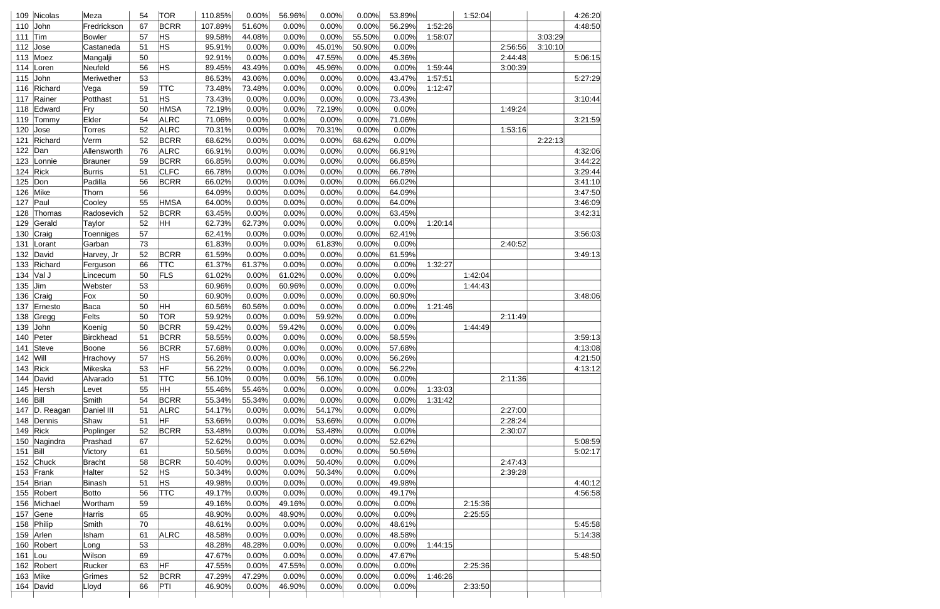| 109 Nicolas         | Meza        | 54 | <b>TOR</b>     | 110.85% | 0.00%  | 56.96% | 0.00%  | 0.00%  | 53.89% |         | 1:52:04 |         |         | 4:26:20 |
|---------------------|-------------|----|----------------|---------|--------|--------|--------|--------|--------|---------|---------|---------|---------|---------|
| John<br>110         | Fredrickson | 67 | <b>BCRR</b>    | 107.89% | 51.60% | 0.00%  | 0.00%  | 0.00%  | 56.29% | 1:52:26 |         |         |         | 4:48:50 |
| Tim<br>111          | Bowler      | 57 | ΗS             | 99.58%  | 44.08% | 0.00%  | 0.00%  | 55.50% | 0.00%  | 1:58:07 |         |         | 3:03:29 |         |
| 112 $\vert$ Jose    | Castaneda   | 51 | HS.            | 95.91%  | 0.00%  | 0.00%  | 45.01% | 50.90% | 0.00%  |         |         | 2:56:56 | 3:10:10 |         |
| 113 $Moez$          | Mangalji    | 50 |                | 92.91%  | 0.00%  | 0.00%  | 47.55% | 0.00%  | 45.36% |         |         | 2:44:48 |         | 5:06:15 |
| 114<br>Loren        | Neufeld     | 56 | HS.            | 89.45%  | 43.49% | 0.00%  | 45.96% | 0.00%  | 0.00%  | 1:59:44 |         | 3:00:39 |         |         |
| John<br>115         | Meriwether  | 53 |                | 86.53%  | 43.06% | 0.00%  | 0.00%  | 0.00%  | 43.47% | 1:57:51 |         |         |         | 5:27:29 |
| 116<br>Richard      | Vega        | 59 | <b>TTC</b>     | 73.48%  | 73.48% | 0.00%  | 0.00%  | 0.00%  | 0.00%  | 1:12:47 |         |         |         |         |
| 117<br>Rainer       | Potthast    | 51 | HS.            | 73.43%  | 0.00%  | 0.00%  | 0.00%  | 0.00%  | 73.43% |         |         |         |         | 3:10:44 |
| 118 Edward          | Fry         | 50 | <b>HMSA</b>    | 72.19%  | 0.00%  | 0.00%  | 72.19% | 0.00%  | 0.00%  |         |         | 1:49:24 |         |         |
| Tommy<br>119        | Elder       | 54 | <b>ALRC</b>    | 71.06%  | 0.00%  | 0.00%  | 0.00%  | 0.00%  | 71.06% |         |         |         |         | 3:21:59 |
| 120<br>$\vert$ Jose | Torres      | 52 | <b>ALRC</b>    | 70.31%  | 0.00%  | 0.00%  | 70.31% | 0.00%  | 0.00%  |         |         | 1:53:16 |         |         |
| Richard<br>121      | Verm        | 52 | <b>BCRR</b>    | 68.62%  | 0.00%  | 0.00%  | 0.00%  | 68.62% | 0.00%  |         |         |         | 2:22:13 |         |
| 122 Dan             | Allensworth | 76 | <b>ALRC</b>    | 66.91%  | 0.00%  | 0.00%  | 0.00%  | 0.00%  | 66.91% |         |         |         |         | 4:32:06 |
| 123<br>Lonnie       | Brauner     | 59 | <b>BCRR</b>    | 66.85%  | 0.00%  | 0.00%  | 0.00%  | 0.00%  | 66.85% |         |         |         |         | 3:44:22 |
| 124 $Rick$          | Burris      | 51 | <b>CLFC</b>    | 66.78%  | 0.00%  | 0.00%  | 0.00%  | 0.00%  | 66.78% |         |         |         |         | 3:29:44 |
| 125 $ $ Don         | Padilla     | 56 | <b>BCRR</b>    | 66.02%  | 0.00%  | 0.00%  | 0.00%  | 0.00%  | 66.02% |         |         |         |         | 3:41:10 |
| 126 Mike            | Thorn       | 56 |                | 64.09%  | 0.00%  | 0.00%  | 0.00%  | 0.00%  | 64.09% |         |         |         |         | 3:47:50 |
| 127<br>Paul         | Cooley      | 55 | <b>HMSA</b>    | 64.00%  | 0.00%  | 0.00%  | 0.00%  | 0.00%  | 64.00% |         |         |         |         | 3:46:09 |
| 128<br>Thomas       | Radosevich  | 52 | <b>BCRR</b>    | 63.45%  | 0.00%  | 0.00%  | 0.00%  | 0.00%  | 63.45% |         |         |         |         | 3:42:31 |
| Gerald<br>129       | Taylor      | 52 | HΗ             | 62.73%  | 62.73% | 0.00%  | 0.00%  | 0.00%  | 0.00%  | 1:20:14 |         |         |         |         |
|                     |             |    |                |         |        |        |        |        |        |         |         |         |         |         |
| Craig<br>130        | Toenniges   | 57 |                | 62.41%  | 0.00%  | 0.00%  | 0.00%  | 0.00%  | 62.41% |         |         |         |         | 3:56:03 |
| 131<br>Lorant       | Garban      | 73 |                | 61.83%  | 0.00%  | 0.00%  | 61.83% | 0.00%  | 0.00%  |         |         | 2:40:52 |         |         |
| David<br>132        | Harvey, Jr  | 52 | <b>BCRR</b>    | 61.59%  | 0.00%  | 0.00%  | 0.00%  | 0.00%  | 61.59% |         |         |         |         | 3:49:13 |
| Richard<br>133      | Ferguson    | 66 | <b>TTC</b>     | 61.37%  | 61.37% | 0.00%  | 0.00%  | 0.00%  | 0.00%  | 1:32:27 |         |         |         |         |
| 134 $\sqrt{a}$ J    | Lincecum    | 50 | <b>FLS</b>     | 61.02%  | 0.00%  | 61.02% | 0.00%  | 0.00%  | 0.00%  |         | 1:42:04 |         |         |         |
| Jim<br>135          | Webster     | 53 |                | 60.96%  | 0.00%  | 60.96% | 0.00%  | 0.00%  | 0.00%  |         | 1:44:43 |         |         |         |
| 136<br>Craig        | Fox         | 50 |                | 60.90%  | 0.00%  | 0.00%  | 0.00%  | 0.00%  | 60.90% |         |         |         |         | 3:48:06 |
| Ernesto<br>137      | Baca        | 50 | HH             | 60.56%  | 60.56% | 0.00%  | 0.00%  | 0.00%  | 0.00%  | 1:21:46 |         |         |         |         |
| Gregg<br>138        | Felts       | 50 | <b>TOR</b>     | 59.92%  | 0.00%  | 0.00%  | 59.92% | 0.00%  | 0.00%  |         |         | 2:11:49 |         |         |
| John<br>139         | Koenig      | 50 | <b>BCRR</b>    | 59.42%  | 0.00%  | 59.42% | 0.00%  | 0.00%  | 0.00%  |         | 1:44:49 |         |         |         |
| 140<br>Peter        | Birckhead   | 51 | <b>BCRR</b>    | 58.55%  | 0.00%  | 0.00%  | 0.00%  | 0.00%  | 58.55% |         |         |         |         | 3:59:13 |
| 141 Steve           | Boone       | 56 | <b>BCRR</b>    | 57.68%  | 0.00%  | 0.00%  | 0.00%  | 0.00%  | 57.68% |         |         |         |         | 4:13:08 |
| $142$ Will          | Hrachovy    | 57 | ∣HS            | 56.26%  | 0.00%  | 0.00%  | 0.00%  | 0.00%  | 56.26% |         |         |         |         | 4:21:50 |
| 143 $Rick$          | Mikeska     | 53 | HF             | 56.22%  | 0.00%  | 0.00%  | 0.00%  | 0.00%  | 56.22% |         |         |         |         | 4:13:12 |
| 144 David           | Alvarado    | 51 | <b>TTC</b>     | 56.10%  | 0.00%  | 0.00%  | 56.10% | 0.00%  | 0.00%  |         |         | 2:11:36 |         |         |
| 145 Hersh           | Levet       | 55 | HΗ             | 55.46%  | 55.46% | 0.00%  | 0.00%  | 0.00%  | 0.00%  | 1:33:03 |         |         |         |         |
| 146 Bill            | Smith       | 54 | <b>BCRR</b>    | 55.34%  | 55.34% | 0.00%  | 0.00%  | 0.00%  | 0.00%  | 1:31:42 |         |         |         |         |
| 147 D. Reagan       | Daniel III  | 51 | <b>ALRC</b>    | 54.17%  | 0.00%  | 0.00%  | 54.17% | 0.00%  | 0.00%  |         |         | 2:27:00 |         |         |
| 148 Dennis          | Shaw        | 51 | HF             | 53.66%  | 0.00%  | 0.00%  | 53.66% | 0.00%  | 0.00%  |         |         | 2:28:24 |         |         |
| 149 $Rick$          | Poplinger   | 52 | <b>BCRR</b>    | 53.48%  | 0.00%  | 0.00%  | 53.48% | 0.00%  | 0.00%  |         |         | 2:30:07 |         |         |
| 150 Nagindra        | Prashad     | 67 |                | 52.62%  | 0.00%  | 0.00%  | 0.00%  | 0.00%  | 52.62% |         |         |         |         | 5:08:59 |
| $151$ Bill          | Victory     | 61 |                | 50.56%  | 0.00%  | 0.00%  | 0.00%  | 0.00%  | 50.56% |         |         |         |         | 5:02:17 |
| 152 Chuck           | Bracht      | 58 | <b>BCRR</b>    | 50.40%  | 0.00%  | 0.00%  | 50.40% | 0.00%  | 0.00%  |         |         | 2:47:43 |         |         |
| 153 Frank           | Halter      | 52 | H <sub>S</sub> | 50.34%  | 0.00%  | 0.00%  | 50.34% | 0.00%  | 0.00%  |         |         | 2:39:28 |         |         |
| 154 Brian           | Binash      | 51 | HS.            | 49.98%  | 0.00%  | 0.00%  | 0.00%  | 0.00%  | 49.98% |         |         |         |         | 4:40:12 |
| 155 Robert          | Botto       | 56 | <b>TTC</b>     | 49.17%  | 0.00%  | 0.00%  | 0.00%  | 0.00%  | 49.17% |         |         |         |         | 4:56:58 |
| 156 Michael         | Wortham     | 59 |                | 49.16%  | 0.00%  | 49.16% | 0.00%  | 0.00%  | 0.00%  |         | 2:15:36 |         |         |         |
| 157 $ Gene$         | Harris      | 65 |                | 48.90%  | 0.00%  | 48.90% | 0.00%  | 0.00%  | 0.00%  |         | 2:25:55 |         |         |         |
|                     |             |    |                |         |        |        |        |        |        |         |         |         |         |         |
| 158 Philip          | Smith       | 70 |                | 48.61%  | 0.00%  | 0.00%  | 0.00%  | 0.00%  | 48.61% |         |         |         |         | 5:45:58 |
| 159 Arlen           | Isham       | 61 | <b>ALRC</b>    | 48.58%  | 0.00%  | 0.00%  | 0.00%  | 0.00%  | 48.58% |         |         |         |         | 5:14:38 |
| 160 Robert          | Long        | 53 |                | 48.28%  | 48.28% | 0.00%  | 0.00%  | 0.00%  | 0.00%  | 1:44:15 |         |         |         |         |
| 161 $ $ Lou         | Wilson      | 69 |                | 47.67%  | 0.00%  | 0.00%  | 0.00%  | 0.00%  | 47.67% |         |         |         |         | 5:48:50 |
| 162 Robert          | Rucker      | 63 | HF             | 47.55%  | 0.00%  | 47.55% | 0.00%  | 0.00%  | 0.00%  |         | 2:25:36 |         |         |         |
| $163$ Mike          | Grimes      | 52 | <b>BCRR</b>    | 47.29%  | 47.29% | 0.00%  | 0.00%  | 0.00%  | 0.00%  | 1:46:26 |         |         |         |         |
| 164 David           | Lloyd       | 66 | PTI            | 46.90%  | 0.00%  | 46.90% | 0.00%  | 0.00%  | 0.00%  |         | 2:33:50 |         |         |         |